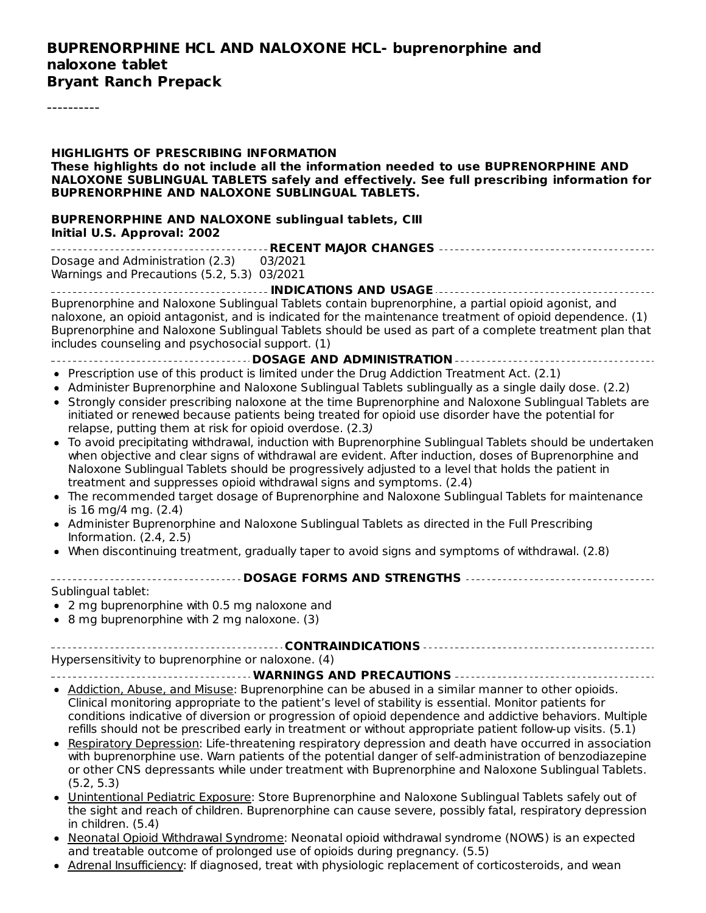#### **BUPRENORPHINE HCL AND NALOXONE HCL- buprenorphine and naloxone tablet Bryant Ranch Prepack**

----------

**HIGHLIGHTS OF PRESCRIBING INFORMATION These highlights do not include all the information needed to use BUPRENORPHINE AND NALOXONE SUBLINGUAL TABLETS safely and effectively. See full prescribing information for BUPRENORPHINE AND NALOXONE SUBLINGUAL TABLETS. BUPRENORPHINE AND NALOXONE sublingual tablets, CIII Initial U.S. Approval: 2002 RECENT MAJOR CHANGES** Dosage and Administration (2.3) 03/2021 Warnings and Precautions (5.2, 5.3) 03/2021 **INDICATIONS AND USAGE** Buprenorphine and Naloxone Sublingual Tablets contain buprenorphine, a partial opioid agonist, and naloxone, an opioid antagonist, and is indicated for the maintenance treatment of opioid dependence. (1) Buprenorphine and Naloxone Sublingual Tablets should be used as part of a complete treatment plan that includes counseling and psychosocial support. (1) **DOSAGE AND ADMINISTRATION** Prescription use of this product is limited under the Drug Addiction Treatment Act. (2.1) Administer Buprenorphine and Naloxone Sublingual Tablets sublingually as a single daily dose. (2.2) Strongly consider prescribing naloxone at the time Buprenorphine and Naloxone Sublingual Tablets are initiated or renewed because patients being treated for opioid use disorder have the potential for relapse, putting them at risk for opioid overdose. (2.3) To avoid precipitating withdrawal, induction with Buprenorphine Sublingual Tablets should be undertaken when objective and clear signs of withdrawal are evident. After induction, doses of Buprenorphine and Naloxone Sublingual Tablets should be progressively adjusted to a level that holds the patient in treatment and suppresses opioid withdrawal signs and symptoms. (2.4) The recommended target dosage of Buprenorphine and Naloxone Sublingual Tablets for maintenance is 16 mg/4 mg. (2.4) Administer Buprenorphine and Naloxone Sublingual Tablets as directed in the Full Prescribing  $\bullet$ Information. (2.4, 2.5) When discontinuing treatment, gradually taper to avoid signs and symptoms of withdrawal. (2.8) **DOSAGE FORMS AND STRENGTHS** Sublingual tablet: 2 mg buprenorphine with 0.5 mg naloxone and  $\bullet$  8 mg buprenorphine with 2 mg naloxone. (3) **CONTRAINDICATIONS** Hypersensitivity to buprenorphine or naloxone. (4) **WARNINGS AND PRECAUTIONS** Addiction, Abuse, and Misuse: Buprenorphine can be abused in a similar manner to other opioids. Clinical monitoring appropriate to the patient's level of stability is essential. Monitor patients for conditions indicative of diversion or progression of opioid dependence and addictive behaviors. Multiple refills should not be prescribed early in treatment or without appropriate patient follow-up visits. (5.1) Respiratory Depression: Life-threatening respiratory depression and death have occurred in association with buprenorphine use. Warn patients of the potential danger of self-administration of benzodiazepine or other CNS depressants while under treatment with Buprenorphine and Naloxone Sublingual Tablets. (5.2, 5.3) Unintentional Pediatric Exposure: Store Buprenorphine and Naloxone Sublingual Tablets safely out of the sight and reach of children. Buprenorphine can cause severe, possibly fatal, respiratory depression in children. (5.4)

Neonatal Opioid Withdrawal Syndrome: Neonatal opioid withdrawal syndrome (NOWS) is an expected and treatable outcome of prolonged use of opioids during pregnancy. (5.5)

Adrenal Insufficiency: If diagnosed, treat with physiologic replacement of corticosteroids, and wean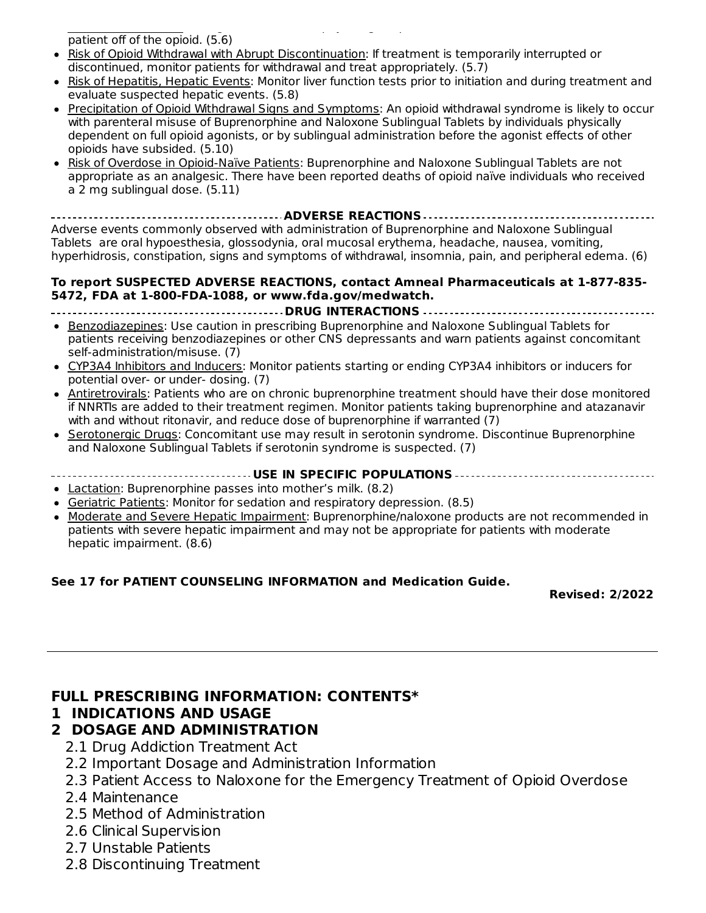Adrenal Insufficiency: If diagnosed, treat with physiologic replacement of corticosteroids, and wean  $\alpha$ patient off of the opioid. (5.6)

- Risk of Opioid Withdrawal with Abrupt Discontinuation: If treatment is temporarily interrupted or  $\bullet$ discontinued, monitor patients for withdrawal and treat appropriately. (5.7)
- Risk of Hepatitis, Hepatic Events: Monitor liver function tests prior to initiation and during treatment and evaluate suspected hepatic events. (5.8)
- Precipitation of Opioid Withdrawal Signs and Symptoms: An opioid withdrawal syndrome is likely to occur with parenteral misuse of Buprenorphine and Naloxone Sublingual Tablets by individuals physically dependent on full opioid agonists, or by sublingual administration before the agonist effects of other opioids have subsided. (5.10)
- Risk of Overdose in Opioid-Naïve Patients: Buprenorphine and Naloxone Sublingual Tablets are not appropriate as an analgesic. There have been reported deaths of opioid naïve individuals who received a 2 mg sublingual dose. (5.11)
- 

**ADVERSE REACTIONS**

Adverse events commonly observed with administration of Buprenorphine and Naloxone Sublingual Tablets are oral hypoesthesia, glossodynia, oral mucosal erythema, headache, nausea, vomiting, hyperhidrosis, constipation, signs and symptoms of withdrawal, insomnia, pain, and peripheral edema. (6)

#### **To report SUSPECTED ADVERSE REACTIONS, contact Amneal Pharmaceuticals at 1-877-835- 5472, FDA at 1-800-FDA-1088, or www.fda.gov/medwatch.**

- **DRUG INTERACTIONS Benzodiazepines: Use caution in prescribing Buprenorphine and Naloxone Sublingual Tablets for** patients receiving benzodiazepines or other CNS depressants and warn patients against concomitant self-administration/misuse. (7)
- CYP3A4 Inhibitors and Inducers: Monitor patients starting or ending CYP3A4 inhibitors or inducers for potential over- or under- dosing. (7)
- Antiretrovirals: Patients who are on chronic buprenorphine treatment should have their dose monitored if NNRTIs are added to their treatment regimen. Monitor patients taking buprenorphine and atazanavir with and without ritonavir, and reduce dose of buprenorphine if warranted (7)
- Serotonergic Drugs: Concomitant use may result in serotonin syndrome. Discontinue Buprenorphine and Naloxone Sublingual Tablets if serotonin syndrome is suspected. (7)

#### **USE IN SPECIFIC POPULATIONS**

- Lactation: Buprenorphine passes into mother's milk. (8.2)
- Geriatric Patients: Monitor for sedation and respiratory depression. (8.5)
- Moderate and Severe Hepatic Impairment: Buprenorphine/naloxone products are not recommended in patients with severe hepatic impairment and may not be appropriate for patients with moderate hepatic impairment. (8.6)

#### **See 17 for PATIENT COUNSELING INFORMATION and Medication Guide.**

**Revised: 2/2022**

#### **FULL PRESCRIBING INFORMATION: CONTENTS\***

#### **1 INDICATIONS AND USAGE**

#### **2 DOSAGE AND ADMINISTRATION**

- 2.1 Drug Addiction Treatment Act
- 2.2 Important Dosage and Administration Information
- 2.3 Patient Access to Naloxone for the Emergency Treatment of Opioid Overdose
- 2.4 Maintenance
- 2.5 Method of Administration
- 2.6 Clinical Supervision
- 2.7 Unstable Patients
- 2.8 Discontinuing Treatment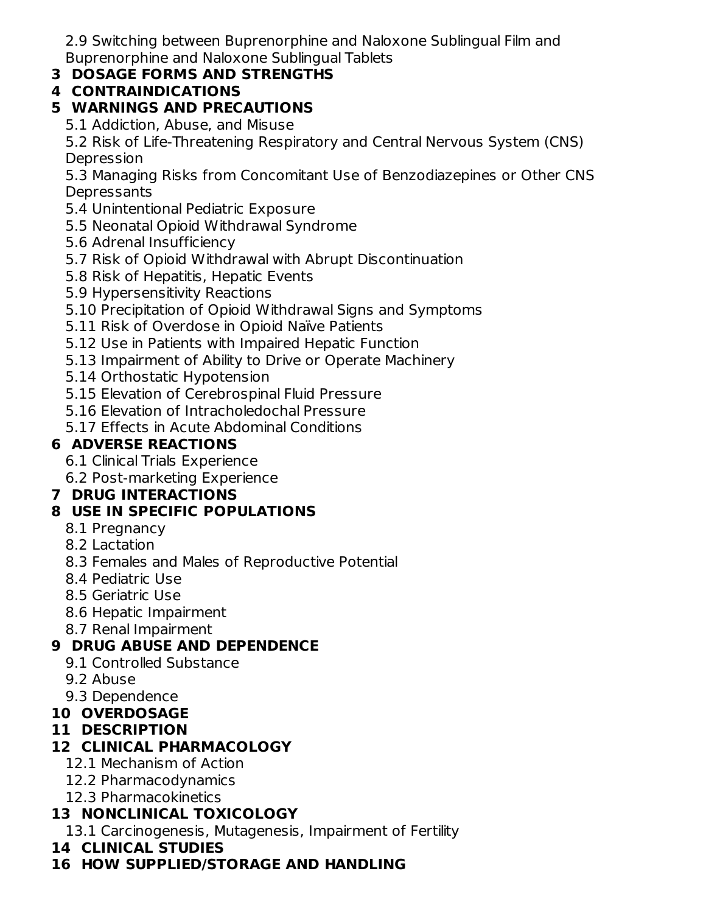2.9 Switching between Buprenorphine and Naloxone Sublingual Film and Buprenorphine and Naloxone Sublingual Tablets

## **3 DOSAGE FORMS AND STRENGTHS**

## **4 CONTRAINDICATIONS**

### **5 WARNINGS AND PRECAUTIONS**

5.1 Addiction, Abuse, and Misuse

5.2 Risk of Life-Threatening Respiratory and Central Nervous System (CNS) Depression

5.3 Managing Risks from Concomitant Use of Benzodiazepines or Other CNS **Depressants** 

- 5.4 Unintentional Pediatric Exposure
- 5.5 Neonatal Opioid Withdrawal Syndrome
- 5.6 Adrenal Insufficiency
- 5.7 Risk of Opioid Withdrawal with Abrupt Discontinuation
- 5.8 Risk of Hepatitis, Hepatic Events
- 5.9 Hypersensitivity Reactions
- 5.10 Precipitation of Opioid Withdrawal Signs and Symptoms
- 5.11 Risk of Overdose in Opioid Naïve Patients
- 5.12 Use in Patients with Impaired Hepatic Function
- 5.13 Impairment of Ability to Drive or Operate Machinery
- 5.14 Orthostatic Hypotension
- 5.15 Elevation of Cerebrospinal Fluid Pressure
- 5.16 Elevation of Intracholedochal Pressure
- 5.17 Effects in Acute Abdominal Conditions

### **6 ADVERSE REACTIONS**

- 6.1 Clinical Trials Experience
- 6.2 Post-marketing Experience

### **7 DRUG INTERACTIONS**

## **8 USE IN SPECIFIC POPULATIONS**

- 8.1 Pregnancy
- 8.2 Lactation
- 8.3 Females and Males of Reproductive Potential
- 8.4 Pediatric Use
- 8.5 Geriatric Use
- 8.6 Hepatic Impairment
- 8.7 Renal Impairment

## **9 DRUG ABUSE AND DEPENDENCE**

- 9.1 Controlled Substance
- 9.2 Abuse
- 9.3 Dependence
- **10 OVERDOSAGE**

### **11 DESCRIPTION**

## **12 CLINICAL PHARMACOLOGY**

- 12.1 Mechanism of Action
- 12.2 Pharmacodynamics
- 12.3 Pharmacokinetics

## **13 NONCLINICAL TOXICOLOGY**

13.1 Carcinogenesis, Mutagenesis, Impairment of Fertility

### **14 CLINICAL STUDIES**

**16 HOW SUPPLIED/STORAGE AND HANDLING**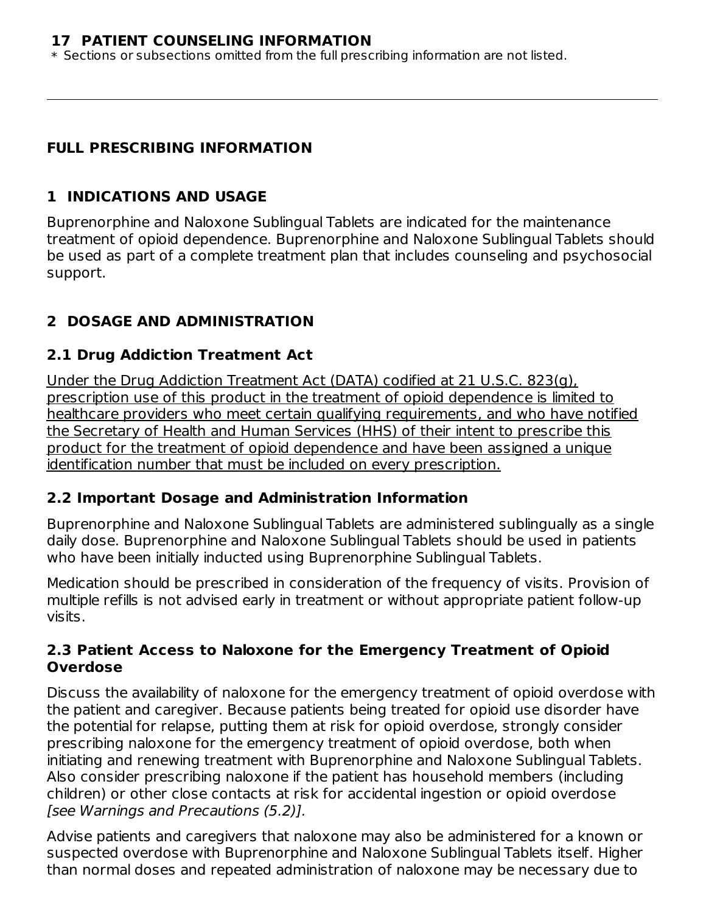#### **17 PATIENT COUNSELING INFORMATION**

 $\ast$  Sections or subsections omitted from the full prescribing information are not listed.

#### **FULL PRESCRIBING INFORMATION**

#### **1 INDICATIONS AND USAGE**

Buprenorphine and Naloxone Sublingual Tablets are indicated for the maintenance treatment of opioid dependence. Buprenorphine and Naloxone Sublingual Tablets should be used as part of a complete treatment plan that includes counseling and psychosocial support.

### **2 DOSAGE AND ADMINISTRATION**

#### **2.1 Drug Addiction Treatment Act**

Under the Drug Addiction Treatment Act (DATA) codified at 21 U.S.C. 823(g), prescription use of this product in the treatment of opioid dependence is limited to healthcare providers who meet certain qualifying requirements, and who have notified the Secretary of Health and Human Services (HHS) of their intent to prescribe this product for the treatment of opioid dependence and have been assigned a unique identification number that must be included on every prescription.

#### **2.2 Important Dosage and Administration Information**

Buprenorphine and Naloxone Sublingual Tablets are administered sublingually as a single daily dose. Buprenorphine and Naloxone Sublingual Tablets should be used in patients who have been initially inducted using Buprenorphine Sublingual Tablets.

Medication should be prescribed in consideration of the frequency of visits. Provision of multiple refills is not advised early in treatment or without appropriate patient follow-up visits.

#### **2.3 Patient Access to Naloxone for the Emergency Treatment of Opioid Overdose**

Discuss the availability of naloxone for the emergency treatment of opioid overdose with the patient and caregiver. Because patients being treated for opioid use disorder have the potential for relapse, putting them at risk for opioid overdose, strongly consider prescribing naloxone for the emergency treatment of opioid overdose, both when initiating and renewing treatment with Buprenorphine and Naloxone Sublingual Tablets. Also consider prescribing naloxone if the patient has household members (including children) or other close contacts at risk for accidental ingestion or opioid overdose [see Warnings and Precautions (5.2)].

Advise patients and caregivers that naloxone may also be administered for a known or suspected overdose with Buprenorphine and Naloxone Sublingual Tablets itself. Higher than normal doses and repeated administration of naloxone may be necessary due to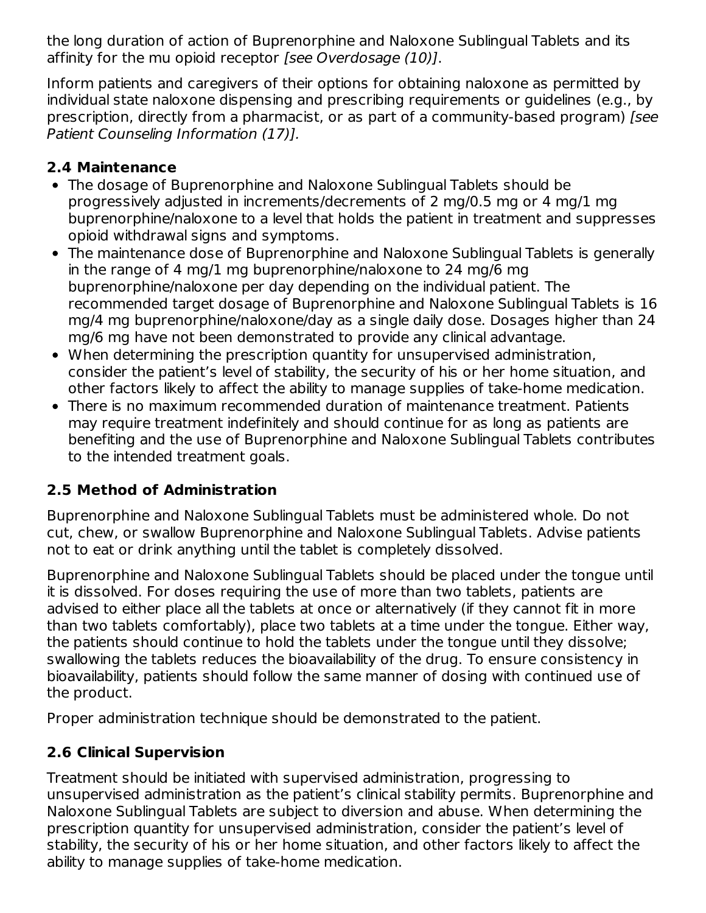the long duration of action of Buprenorphine and Naloxone Sublingual Tablets and its affinity for the mu opioid receptor [see Overdosage (10)].

Inform patients and caregivers of their options for obtaining naloxone as permitted by individual state naloxone dispensing and prescribing requirements or guidelines (e.g., by prescription, directly from a pharmacist, or as part of a community-based program) [see Patient Counseling Information (17)].

## **2.4 Maintenance**

- The dosage of Buprenorphine and Naloxone Sublingual Tablets should be progressively adjusted in increments/decrements of 2 mg/0.5 mg or 4 mg/1 mg buprenorphine/naloxone to a level that holds the patient in treatment and suppresses opioid withdrawal signs and symptoms.
- The maintenance dose of Buprenorphine and Naloxone Sublingual Tablets is generally in the range of 4 mg/1 mg buprenorphine/naloxone to 24 mg/6 mg buprenorphine/naloxone per day depending on the individual patient. The recommended target dosage of Buprenorphine and Naloxone Sublingual Tablets is 16 mg/4 mg buprenorphine/naloxone/day as a single daily dose. Dosages higher than 24 mg/6 mg have not been demonstrated to provide any clinical advantage.
- When determining the prescription quantity for unsupervised administration, consider the patient's level of stability, the security of his or her home situation, and other factors likely to affect the ability to manage supplies of take-home medication.
- There is no maximum recommended duration of maintenance treatment. Patients may require treatment indefinitely and should continue for as long as patients are benefiting and the use of Buprenorphine and Naloxone Sublingual Tablets contributes to the intended treatment goals.

## **2.5 Method of Administration**

Buprenorphine and Naloxone Sublingual Tablets must be administered whole. Do not cut, chew, or swallow Buprenorphine and Naloxone Sublingual Tablets. Advise patients not to eat or drink anything until the tablet is completely dissolved.

Buprenorphine and Naloxone Sublingual Tablets should be placed under the tongue until it is dissolved. For doses requiring the use of more than two tablets, patients are advised to either place all the tablets at once or alternatively (if they cannot fit in more than two tablets comfortably), place two tablets at a time under the tongue. Either way, the patients should continue to hold the tablets under the tongue until they dissolve; swallowing the tablets reduces the bioavailability of the drug. To ensure consistency in bioavailability, patients should follow the same manner of dosing with continued use of the product.

Proper administration technique should be demonstrated to the patient.

# **2.6 Clinical Supervision**

Treatment should be initiated with supervised administration, progressing to unsupervised administration as the patient's clinical stability permits. Buprenorphine and Naloxone Sublingual Tablets are subject to diversion and abuse. When determining the prescription quantity for unsupervised administration, consider the patient's level of stability, the security of his or her home situation, and other factors likely to affect the ability to manage supplies of take-home medication.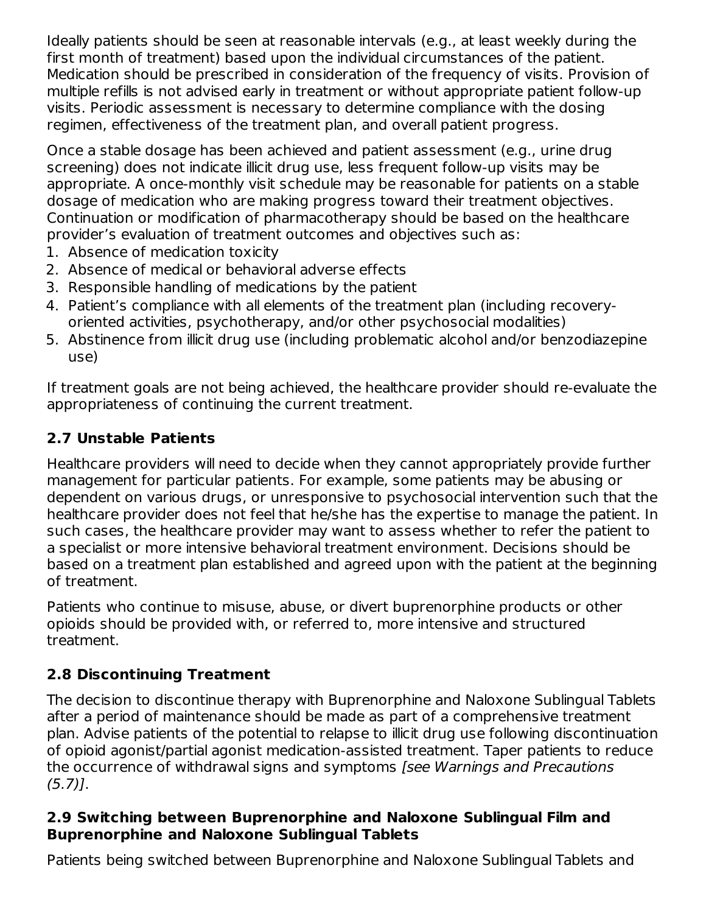Ideally patients should be seen at reasonable intervals (e.g., at least weekly during the first month of treatment) based upon the individual circumstances of the patient. Medication should be prescribed in consideration of the frequency of visits. Provision of multiple refills is not advised early in treatment or without appropriate patient follow-up visits. Periodic assessment is necessary to determine compliance with the dosing regimen, effectiveness of the treatment plan, and overall patient progress.

Once a stable dosage has been achieved and patient assessment (e.g., urine drug screening) does not indicate illicit drug use, less frequent follow-up visits may be appropriate. A once-monthly visit schedule may be reasonable for patients on a stable dosage of medication who are making progress toward their treatment objectives. Continuation or modification of pharmacotherapy should be based on the healthcare provider's evaluation of treatment outcomes and objectives such as:

- 1. Absence of medication toxicity
- 2. Absence of medical or behavioral adverse effects
- 3. Responsible handling of medications by the patient
- 4. Patient's compliance with all elements of the treatment plan (including recoveryoriented activities, psychotherapy, and/or other psychosocial modalities)
- 5. Abstinence from illicit drug use (including problematic alcohol and/or benzodiazepine use)

If treatment goals are not being achieved, the healthcare provider should re-evaluate the appropriateness of continuing the current treatment.

### **2.7 Unstable Patients**

Healthcare providers will need to decide when they cannot appropriately provide further management for particular patients. For example, some patients may be abusing or dependent on various drugs, or unresponsive to psychosocial intervention such that the healthcare provider does not feel that he/she has the expertise to manage the patient. In such cases, the healthcare provider may want to assess whether to refer the patient to a specialist or more intensive behavioral treatment environment. Decisions should be based on a treatment plan established and agreed upon with the patient at the beginning of treatment.

Patients who continue to misuse, abuse, or divert buprenorphine products or other opioids should be provided with, or referred to, more intensive and structured treatment.

## **2.8 Discontinuing Treatment**

The decision to discontinue therapy with Buprenorphine and Naloxone Sublingual Tablets after a period of maintenance should be made as part of a comprehensive treatment plan. Advise patients of the potential to relapse to illicit drug use following discontinuation of opioid agonist/partial agonist medication-assisted treatment. Taper patients to reduce the occurrence of withdrawal signs and symptoms [see Warnings and Precautions  $(5.7)$ ].

#### **2.9 Switching between Buprenorphine and Naloxone Sublingual Film and Buprenorphine and Naloxone Sublingual Tablets**

Patients being switched between Buprenorphine and Naloxone Sublingual Tablets and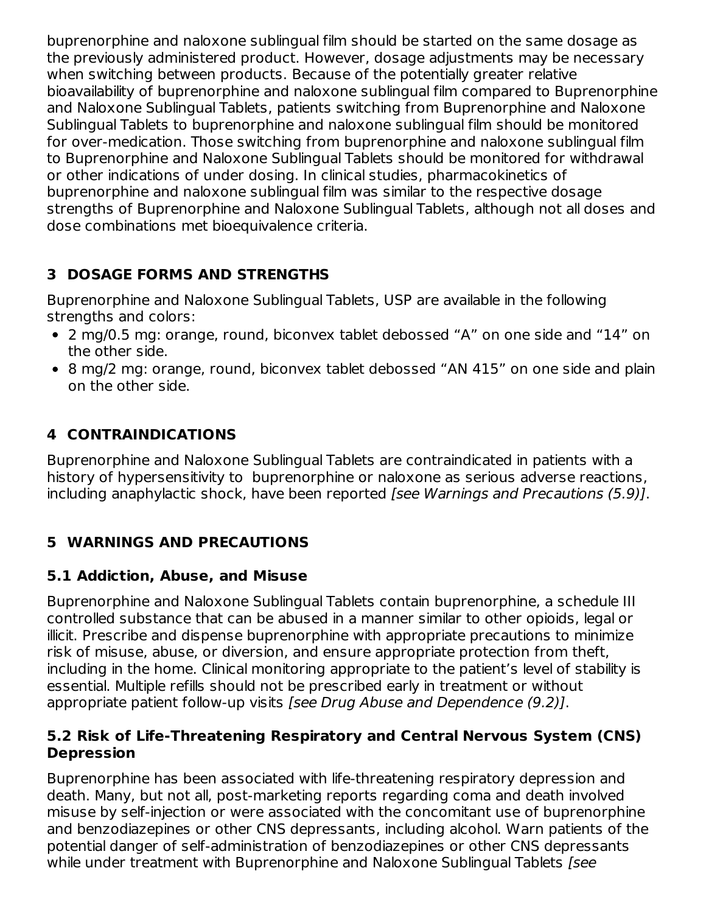buprenorphine and naloxone sublingual film should be started on the same dosage as the previously administered product. However, dosage adjustments may be necessary when switching between products. Because of the potentially greater relative bioavailability of buprenorphine and naloxone sublingual film compared to Buprenorphine and Naloxone Sublingual Tablets, patients switching from Buprenorphine and Naloxone Sublingual Tablets to buprenorphine and naloxone sublingual film should be monitored for over-medication. Those switching from buprenorphine and naloxone sublingual film to Buprenorphine and Naloxone Sublingual Tablets should be monitored for withdrawal or other indications of under dosing. In clinical studies, pharmacokinetics of buprenorphine and naloxone sublingual film was similar to the respective dosage strengths of Buprenorphine and Naloxone Sublingual Tablets, although not all doses and dose combinations met bioequivalence criteria.

# **3 DOSAGE FORMS AND STRENGTHS**

Buprenorphine and Naloxone Sublingual Tablets, USP are available in the following strengths and colors:

- 2 mg/0.5 mg: orange, round, biconvex tablet debossed "A" on one side and "14" on the other side.
- 8 mg/2 mg: orange, round, biconvex tablet debossed "AN 415" on one side and plain on the other side.

# **4 CONTRAINDICATIONS**

Buprenorphine and Naloxone Sublingual Tablets are contraindicated in patients with a history of hypersensitivity to buprenorphine or naloxone as serious adverse reactions, including anaphylactic shock, have been reported [see Warnings and Precautions (5.9)].

# **5 WARNINGS AND PRECAUTIONS**

## **5.1 Addiction, Abuse, and Misuse**

Buprenorphine and Naloxone Sublingual Tablets contain buprenorphine, a schedule III controlled substance that can be abused in a manner similar to other opioids, legal or illicit. Prescribe and dispense buprenorphine with appropriate precautions to minimize risk of misuse, abuse, or diversion, and ensure appropriate protection from theft, including in the home. Clinical monitoring appropriate to the patient's level of stability is essential. Multiple refills should not be prescribed early in treatment or without appropriate patient follow-up visits [see Drug Abuse and Dependence (9.2)].

#### **5.2 Risk of Life-Threatening Respiratory and Central Nervous System (CNS) Depression**

Buprenorphine has been associated with life-threatening respiratory depression and death. Many, but not all, post-marketing reports regarding coma and death involved misuse by self-injection or were associated with the concomitant use of buprenorphine and benzodiazepines or other CNS depressants, including alcohol. Warn patients of the potential danger of self-administration of benzodiazepines or other CNS depressants while under treatment with Buprenorphine and Naloxone Sublingual Tablets [see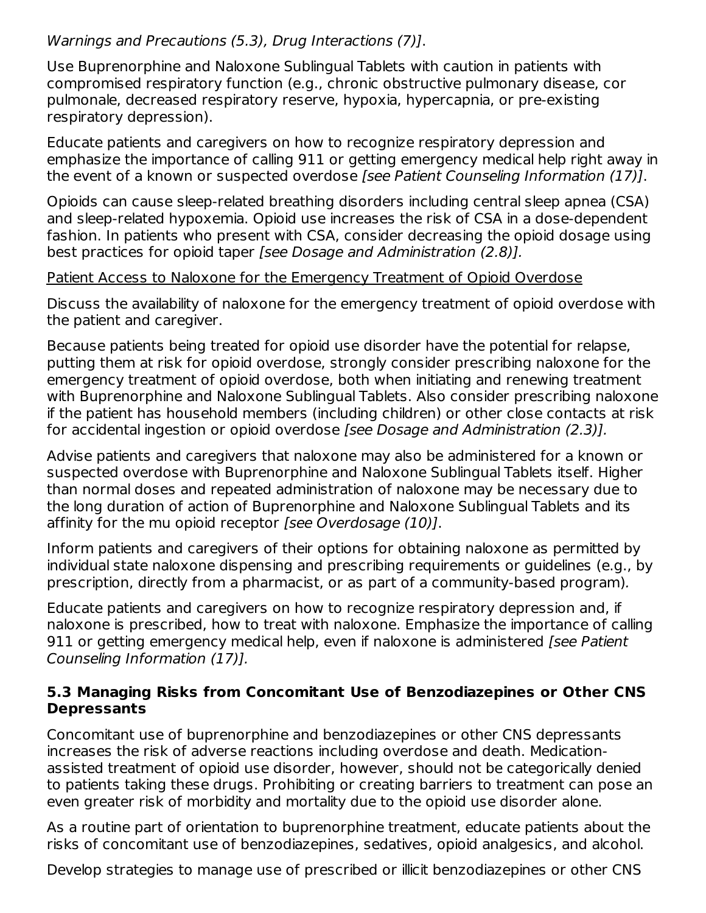#### Warnings and Precautions (5.3), Drug Interactions (7)].

Use Buprenorphine and Naloxone Sublingual Tablets with caution in patients with compromised respiratory function (e.g., chronic obstructive pulmonary disease, cor pulmonale, decreased respiratory reserve, hypoxia, hypercapnia, or pre-existing respiratory depression).

Educate patients and caregivers on how to recognize respiratory depression and emphasize the importance of calling 911 or getting emergency medical help right away in the event of a known or suspected overdose [see Patient Counseling Information (17)].

Opioids can cause sleep-related breathing disorders including central sleep apnea (CSA) and sleep-related hypoxemia. Opioid use increases the risk of CSA in a dose-dependent fashion. In patients who present with CSA, consider decreasing the opioid dosage using best practices for opioid taper [see Dosage and Administration (2.8)].

#### Patient Access to Naloxone for the Emergency Treatment of Opioid Overdose

Discuss the availability of naloxone for the emergency treatment of opioid overdose with the patient and caregiver.

Because patients being treated for opioid use disorder have the potential for relapse, putting them at risk for opioid overdose, strongly consider prescribing naloxone for the emergency treatment of opioid overdose, both when initiating and renewing treatment with Buprenorphine and Naloxone Sublingual Tablets. Also consider prescribing naloxone if the patient has household members (including children) or other close contacts at risk for accidental ingestion or opioid overdose [see Dosage and Administration (2.3)].

Advise patients and caregivers that naloxone may also be administered for a known or suspected overdose with Buprenorphine and Naloxone Sublingual Tablets itself. Higher than normal doses and repeated administration of naloxone may be necessary due to the long duration of action of Buprenorphine and Naloxone Sublingual Tablets and its affinity for the mu opioid receptor [see Overdosage (10)].

Inform patients and caregivers of their options for obtaining naloxone as permitted by individual state naloxone dispensing and prescribing requirements or guidelines (e.g., by prescription, directly from a pharmacist, or as part of a community-based program).

Educate patients and caregivers on how to recognize respiratory depression and, if naloxone is prescribed, how to treat with naloxone. Emphasize the importance of calling 911 or getting emergency medical help, even if naloxone is administered [see Patient Counseling Information (17)].

#### **5.3 Managing Risks from Concomitant Use of Benzodiazepines or Other CNS Depressants**

Concomitant use of buprenorphine and benzodiazepines or other CNS depressants increases the risk of adverse reactions including overdose and death. Medicationassisted treatment of opioid use disorder, however, should not be categorically denied to patients taking these drugs. Prohibiting or creating barriers to treatment can pose an even greater risk of morbidity and mortality due to the opioid use disorder alone.

As a routine part of orientation to buprenorphine treatment, educate patients about the risks of concomitant use of benzodiazepines, sedatives, opioid analgesics, and alcohol.

Develop strategies to manage use of prescribed or illicit benzodiazepines or other CNS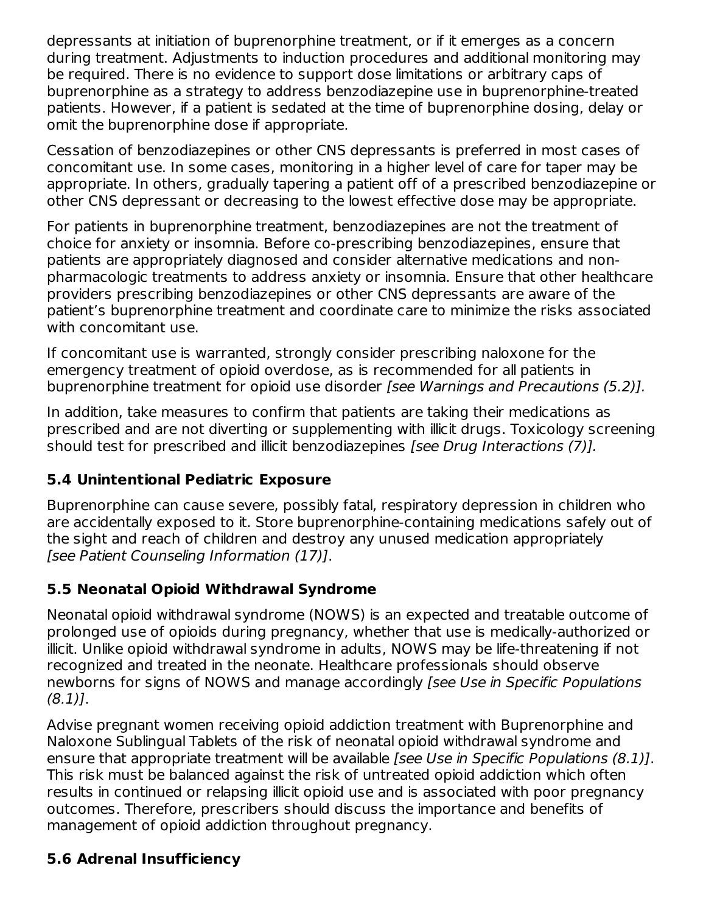depressants at initiation of buprenorphine treatment, or if it emerges as a concern during treatment. Adjustments to induction procedures and additional monitoring may be required. There is no evidence to support dose limitations or arbitrary caps of buprenorphine as a strategy to address benzodiazepine use in buprenorphine-treated patients. However, if a patient is sedated at the time of buprenorphine dosing, delay or omit the buprenorphine dose if appropriate.

Cessation of benzodiazepines or other CNS depressants is preferred in most cases of concomitant use. In some cases, monitoring in a higher level of care for taper may be appropriate. In others, gradually tapering a patient off of a prescribed benzodiazepine or other CNS depressant or decreasing to the lowest effective dose may be appropriate.

For patients in buprenorphine treatment, benzodiazepines are not the treatment of choice for anxiety or insomnia. Before co-prescribing benzodiazepines, ensure that patients are appropriately diagnosed and consider alternative medications and nonpharmacologic treatments to address anxiety or insomnia. Ensure that other healthcare providers prescribing benzodiazepines or other CNS depressants are aware of the patient's buprenorphine treatment and coordinate care to minimize the risks associated with concomitant use.

If concomitant use is warranted, strongly consider prescribing naloxone for the emergency treatment of opioid overdose, as is recommended for all patients in buprenorphine treatment for opioid use disorder [see Warnings and Precautions (5.2)].

In addition, take measures to confirm that patients are taking their medications as prescribed and are not diverting or supplementing with illicit drugs. Toxicology screening should test for prescribed and illicit benzodiazepines [see Drug Interactions (7)].

## **5.4 Unintentional Pediatric Exposure**

Buprenorphine can cause severe, possibly fatal, respiratory depression in children who are accidentally exposed to it. Store buprenorphine-containing medications safely out of the sight and reach of children and destroy any unused medication appropriately [see Patient Counseling Information (17)].

## **5.5 Neonatal Opioid Withdrawal Syndrome**

Neonatal opioid withdrawal syndrome (NOWS) is an expected and treatable outcome of prolonged use of opioids during pregnancy, whether that use is medically-authorized or illicit. Unlike opioid withdrawal syndrome in adults, NOWS may be life-threatening if not recognized and treated in the neonate. Healthcare professionals should observe newborns for signs of NOWS and manage accordingly [see Use in Specific Populations (8.1)].

Advise pregnant women receiving opioid addiction treatment with Buprenorphine and Naloxone Sublingual Tablets of the risk of neonatal opioid withdrawal syndrome and ensure that appropriate treatment will be available [see Use in Specific Populations (8.1)]. This risk must be balanced against the risk of untreated opioid addiction which often results in continued or relapsing illicit opioid use and is associated with poor pregnancy outcomes. Therefore, prescribers should discuss the importance and benefits of management of opioid addiction throughout pregnancy.

## **5.6 Adrenal Insufficiency**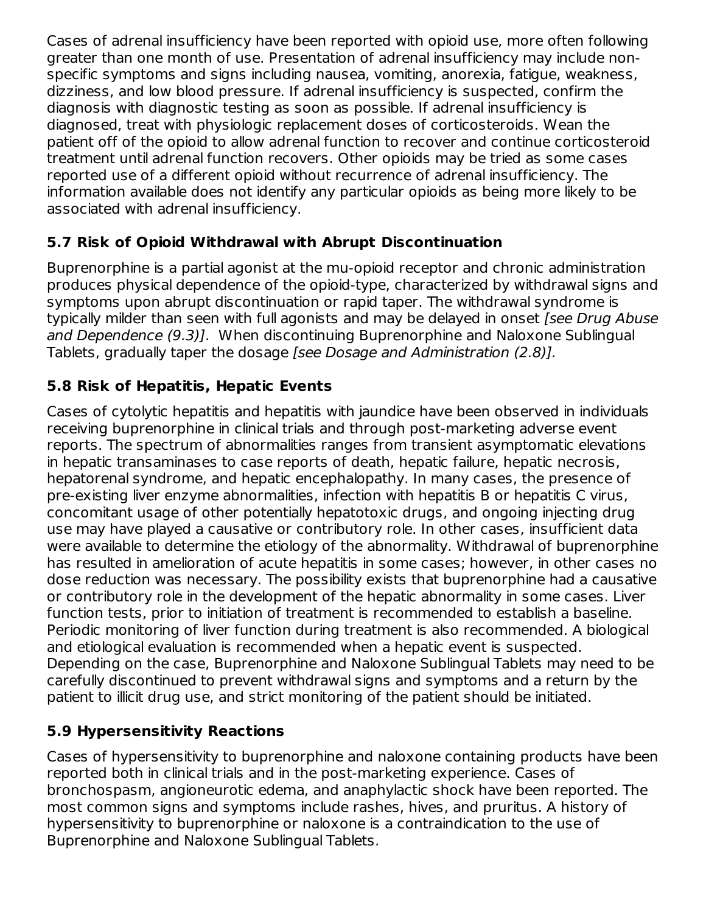Cases of adrenal insufficiency have been reported with opioid use, more often following greater than one month of use. Presentation of adrenal insufficiency may include nonspecific symptoms and signs including nausea, vomiting, anorexia, fatigue, weakness, dizziness, and low blood pressure. If adrenal insufficiency is suspected, confirm the diagnosis with diagnostic testing as soon as possible. If adrenal insufficiency is diagnosed, treat with physiologic replacement doses of corticosteroids. Wean the patient off of the opioid to allow adrenal function to recover and continue corticosteroid treatment until adrenal function recovers. Other opioids may be tried as some cases reported use of a different opioid without recurrence of adrenal insufficiency. The information available does not identify any particular opioids as being more likely to be associated with adrenal insufficiency.

## **5.7 Risk of Opioid Withdrawal with Abrupt Discontinuation**

Buprenorphine is a partial agonist at the mu-opioid receptor and chronic administration produces physical dependence of the opioid-type, characterized by withdrawal signs and symptoms upon abrupt discontinuation or rapid taper. The withdrawal syndrome is typically milder than seen with full agonists and may be delayed in onset *[see Drug Abuse* and Dependence (9.3)]. When discontinuing Buprenorphine and Naloxone Sublingual Tablets, gradually taper the dosage [see Dosage and Administration (2.8)].

# **5.8 Risk of Hepatitis, Hepatic Events**

Cases of cytolytic hepatitis and hepatitis with jaundice have been observed in individuals receiving buprenorphine in clinical trials and through post-marketing adverse event reports. The spectrum of abnormalities ranges from transient asymptomatic elevations in hepatic transaminases to case reports of death, hepatic failure, hepatic necrosis, hepatorenal syndrome, and hepatic encephalopathy. In many cases, the presence of pre-existing liver enzyme abnormalities, infection with hepatitis B or hepatitis C virus, concomitant usage of other potentially hepatotoxic drugs, and ongoing injecting drug use may have played a causative or contributory role. In other cases, insufficient data were available to determine the etiology of the abnormality. Withdrawal of buprenorphine has resulted in amelioration of acute hepatitis in some cases; however, in other cases no dose reduction was necessary. The possibility exists that buprenorphine had a causative or contributory role in the development of the hepatic abnormality in some cases. Liver function tests, prior to initiation of treatment is recommended to establish a baseline. Periodic monitoring of liver function during treatment is also recommended. A biological and etiological evaluation is recommended when a hepatic event is suspected. Depending on the case, Buprenorphine and Naloxone Sublingual Tablets may need to be carefully discontinued to prevent withdrawal signs and symptoms and a return by the patient to illicit drug use, and strict monitoring of the patient should be initiated.

# **5.9 Hypersensitivity Reactions**

Cases of hypersensitivity to buprenorphine and naloxone containing products have been reported both in clinical trials and in the post-marketing experience. Cases of bronchospasm, angioneurotic edema, and anaphylactic shock have been reported. The most common signs and symptoms include rashes, hives, and pruritus. A history of hypersensitivity to buprenorphine or naloxone is a contraindication to the use of Buprenorphine and Naloxone Sublingual Tablets.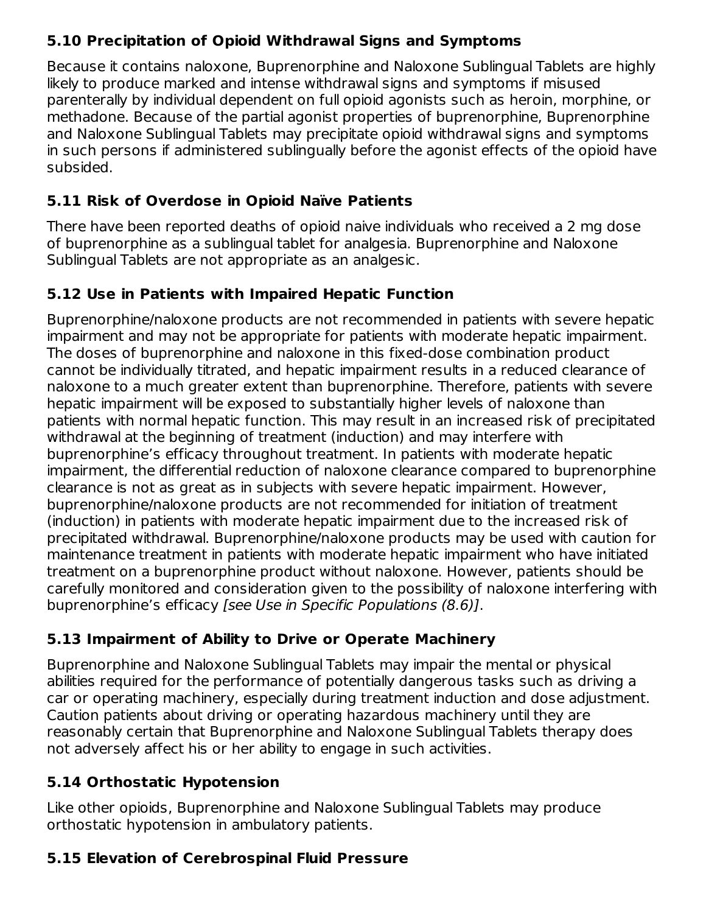## **5.10 Precipitation of Opioid Withdrawal Signs and Symptoms**

Because it contains naloxone, Buprenorphine and Naloxone Sublingual Tablets are highly likely to produce marked and intense withdrawal signs and symptoms if misused parenterally by individual dependent on full opioid agonists such as heroin, morphine, or methadone. Because of the partial agonist properties of buprenorphine, Buprenorphine and Naloxone Sublingual Tablets may precipitate opioid withdrawal signs and symptoms in such persons if administered sublingually before the agonist effects of the opioid have subsided.

### **5.11 Risk of Overdose in Opioid Naïve Patients**

There have been reported deaths of opioid naive individuals who received a 2 mg dose of buprenorphine as a sublingual tablet for analgesia. Buprenorphine and Naloxone Sublingual Tablets are not appropriate as an analgesic.

### **5.12 Use in Patients with Impaired Hepatic Function**

Buprenorphine/naloxone products are not recommended in patients with severe hepatic impairment and may not be appropriate for patients with moderate hepatic impairment. The doses of buprenorphine and naloxone in this fixed-dose combination product cannot be individually titrated, and hepatic impairment results in a reduced clearance of naloxone to a much greater extent than buprenorphine. Therefore, patients with severe hepatic impairment will be exposed to substantially higher levels of naloxone than patients with normal hepatic function. This may result in an increased risk of precipitated withdrawal at the beginning of treatment (induction) and may interfere with buprenorphine's efficacy throughout treatment. In patients with moderate hepatic impairment, the differential reduction of naloxone clearance compared to buprenorphine clearance is not as great as in subjects with severe hepatic impairment. However, buprenorphine/naloxone products are not recommended for initiation of treatment (induction) in patients with moderate hepatic impairment due to the increased risk of precipitated withdrawal. Buprenorphine/naloxone products may be used with caution for maintenance treatment in patients with moderate hepatic impairment who have initiated treatment on a buprenorphine product without naloxone. However, patients should be carefully monitored and consideration given to the possibility of naloxone interfering with buprenorphine's efficacy [see Use in Specific Populations (8.6)].

## **5.13 Impairment of Ability to Drive or Operate Machinery**

Buprenorphine and Naloxone Sublingual Tablets may impair the mental or physical abilities required for the performance of potentially dangerous tasks such as driving a car or operating machinery, especially during treatment induction and dose adjustment. Caution patients about driving or operating hazardous machinery until they are reasonably certain that Buprenorphine and Naloxone Sublingual Tablets therapy does not adversely affect his or her ability to engage in such activities.

## **5.14 Orthostatic Hypotension**

Like other opioids, Buprenorphine and Naloxone Sublingual Tablets may produce orthostatic hypotension in ambulatory patients.

## **5.15 Elevation of Cerebrospinal Fluid Pressure**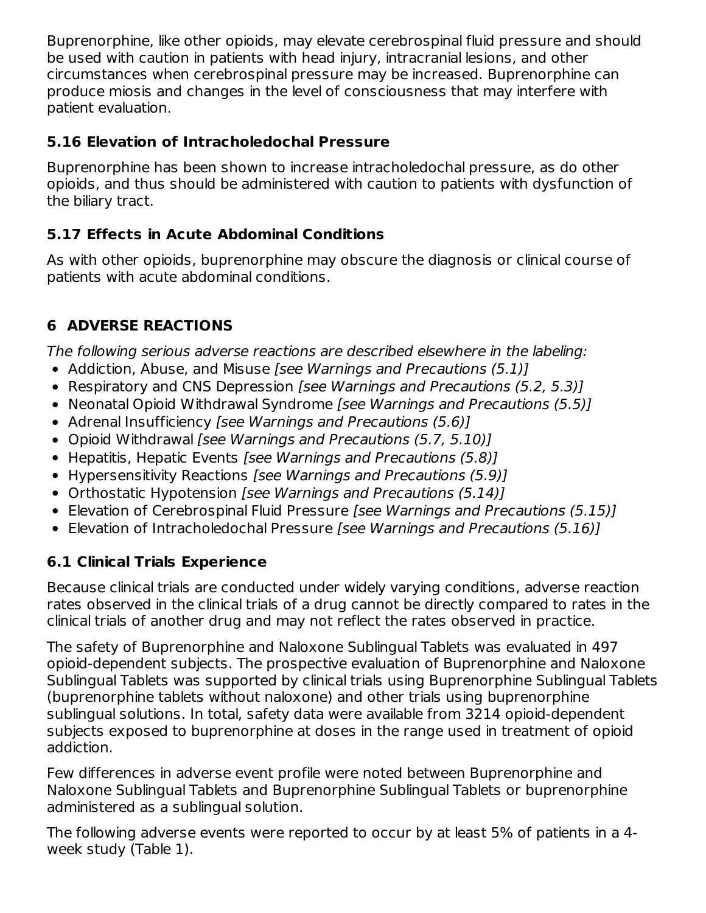Buprenorphine, like other opioids, may elevate cerebrospinal fluid pressure and should be used with caution in patients with head injury, intracranial lesions, and other circumstances when cerebrospinal pressure may be increased. Buprenorphine can produce miosis and changes in the level of consciousness that may interfere with patient evaluation.

## **5.16 Elevation of Intracholedochal Pressure**

Buprenorphine has been shown to increase intracholedochal pressure, as do other opioids, and thus should be administered with caution to patients with dysfunction of the biliary tract.

## **5.17 Effects in Acute Abdominal Conditions**

As with other opioids, buprenorphine may obscure the diagnosis or clinical course of patients with acute abdominal conditions.

## **6 ADVERSE REACTIONS**

The following serious adverse reactions are described elsewhere in the labeling:

- Addiction, Abuse, and Misuse [see Warnings and Precautions (5.1)]
- Respiratory and CNS Depression [see Warnings and Precautions (5.2, 5.3)]
- Neonatal Opioid Withdrawal Syndrome [see Warnings and Precautions (5.5)]
- Adrenal Insufficiency [see Warnings and Precautions (5.6)]
- Opioid Withdrawal [see Warnings and Precautions (5.7, 5.10)]
- Hepatitis, Hepatic Events [see Warnings and Precautions (5.8)]
- Hypersensitivity Reactions [see Warnings and Precautions (5.9)]
- Orthostatic Hypotension *[see Warnings and Precautions (5.14)]*
- Elevation of Cerebrospinal Fluid Pressure *[see Warnings and Precautions (5.15)]*
- Elevation of Intracholedochal Pressure *[see Warnings and Precautions (5.16)]*

### **6.1 Clinical Trials Experience**

Because clinical trials are conducted under widely varying conditions, adverse reaction rates observed in the clinical trials of a drug cannot be directly compared to rates in the clinical trials of another drug and may not reflect the rates observed in practice.

The safety of Buprenorphine and Naloxone Sublingual Tablets was evaluated in 497 opioid-dependent subjects. The prospective evaluation of Buprenorphine and Naloxone Sublingual Tablets was supported by clinical trials using Buprenorphine Sublingual Tablets (buprenorphine tablets without naloxone) and other trials using buprenorphine sublingual solutions. In total, safety data were available from 3214 opioid-dependent subjects exposed to buprenorphine at doses in the range used in treatment of opioid addiction.

Few differences in adverse event profile were noted between Buprenorphine and Naloxone Sublingual Tablets and Buprenorphine Sublingual Tablets or buprenorphine administered as a sublingual solution.

The following adverse events were reported to occur by at least 5% of patients in a 4 week study (Table 1).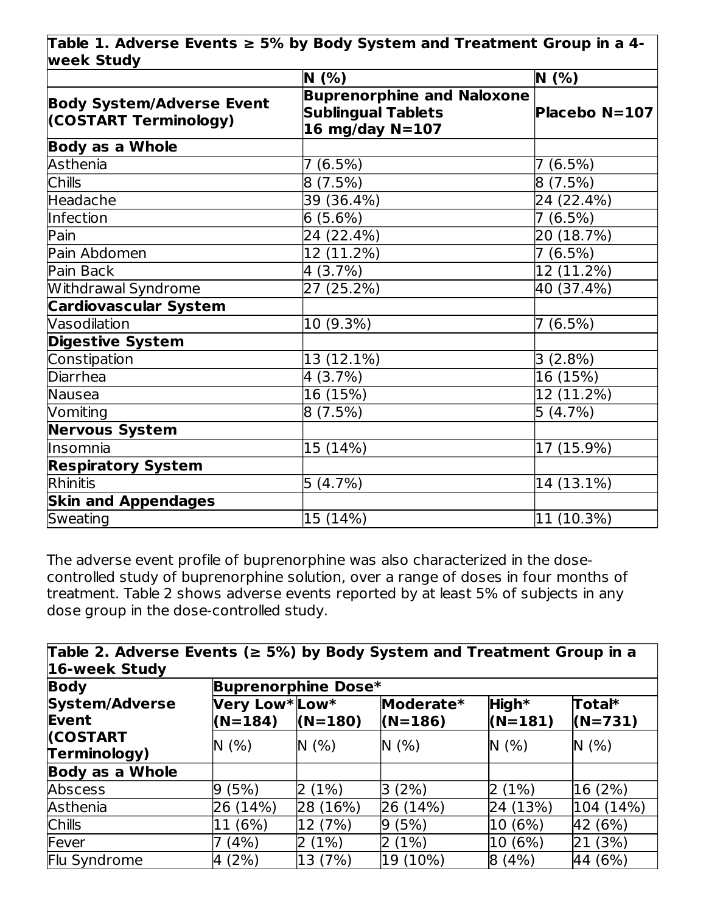**Table 1. Adverse Events ≥ 5% by Body System and Treatment Group in a 4 week Study**

|                                                           | N(% )                                                                             | N(% )          |  |
|-----------------------------------------------------------|-----------------------------------------------------------------------------------|----------------|--|
| <b>Body System/Adverse Event</b><br>(COSTART Terminology) | <b>Buprenorphine and Naloxone</b><br><b>Sublingual Tablets</b><br>16 mg/day N=107 | Placebo N=107  |  |
| <b>Body as a Whole</b>                                    |                                                                                   |                |  |
| Asthenia                                                  | 7 (6.5%)                                                                          | $(6.5\%)$<br>7 |  |
| <b>Chills</b>                                             | 8(7.5%)                                                                           | 8(7.5%)        |  |
| Headache                                                  | 39 (36.4%)                                                                        | 24 (22.4%)     |  |
| Infection                                                 | 6(5.6%)                                                                           | 7(6.5%)        |  |
| Pain                                                      | 24 (22.4%)                                                                        | 20 (18.7%)     |  |
| Pain Abdomen                                              | 12 (11.2%)                                                                        | 7(6.5%)        |  |
| Pain Back                                                 | 4 (3.7%)                                                                          | 12 (11.2%)     |  |
| Withdrawal Syndrome                                       | 27 (25.2%)                                                                        | 40 (37.4%)     |  |
| <b>Cardiovascular System</b>                              |                                                                                   |                |  |
| Vasodilation                                              | 10 (9.3%)                                                                         | 7(6.5%)        |  |
| <b>Digestive System</b>                                   |                                                                                   |                |  |
| Constipation                                              | 13 (12.1%)                                                                        | 3(2.8%)        |  |
| <b>Diarrhea</b>                                           | 4 (3.7%)                                                                          | 16 (15%)       |  |
| Nausea                                                    | 16 (15%)                                                                          | 12 (11.2%)     |  |
| Vomiting                                                  | 8(7.5%)                                                                           | 5(4.7%)        |  |
| <b>Nervous System</b>                                     |                                                                                   |                |  |
| Insomnia                                                  | 15 (14%)                                                                          | 17 (15.9%)     |  |
| <b>Respiratory System</b>                                 |                                                                                   |                |  |
| <b>Rhinitis</b>                                           | 5(4.7%)                                                                           | 14 (13.1%)     |  |
| <b>Skin and Appendages</b>                                |                                                                                   |                |  |
| Sweating                                                  | 15 (14%)                                                                          | 11 (10.3%)     |  |

The adverse event profile of buprenorphine was also characterized in the dosecontrolled study of buprenorphine solution, over a range of doses in four months of treatment. Table 2 shows adverse events reported by at least 5% of subjects in any dose group in the dose-controlled study.

| 16-week Study<br><b>Body</b>   |                           | <b>Buprenorphine Dose*</b> |                        |                    |                     |  |  |  |
|--------------------------------|---------------------------|----------------------------|------------------------|--------------------|---------------------|--|--|--|
| <b>System/Adverse</b><br>Event | Very Low* Low*<br>(N=184) | $(N=180)$                  | Moderate*<br>$(N=186)$ | High*<br>$(N=181)$ | Total*<br>$(N=731)$ |  |  |  |
| <b>COSTART</b><br>Terminology) | N(% )                     | N(% )                      | N(% )                  | N(% )              | N(% )               |  |  |  |
| <b>Body as a Whole</b>         |                           |                            |                        |                    |                     |  |  |  |
| <b>Abscess</b>                 | 9(5%)                     | 2(1%)                      | 3(2%)                  | 2 (1%)             | 16 (2%)             |  |  |  |
| Asthenia                       | 26 (14%)                  | 28 (16%)                   | 26 (14%)               | 24 (13%)           | 104 (14%)           |  |  |  |
| <b>Chills</b>                  | 11 (6%)                   | 12 (7%)                    | 9(5%)                  | 10 (6%)            | 42 (6%)             |  |  |  |
| Fever                          | 7 (4%)                    | 2(1%)                      | 2(1%)                  | 10 (6%)            | 21 (3%)             |  |  |  |
| Flu Syndrome                   | 4 (2%)                    | 13 (7%)                    | 19 (10%)               | 8(4%)              | 44 (6%)             |  |  |  |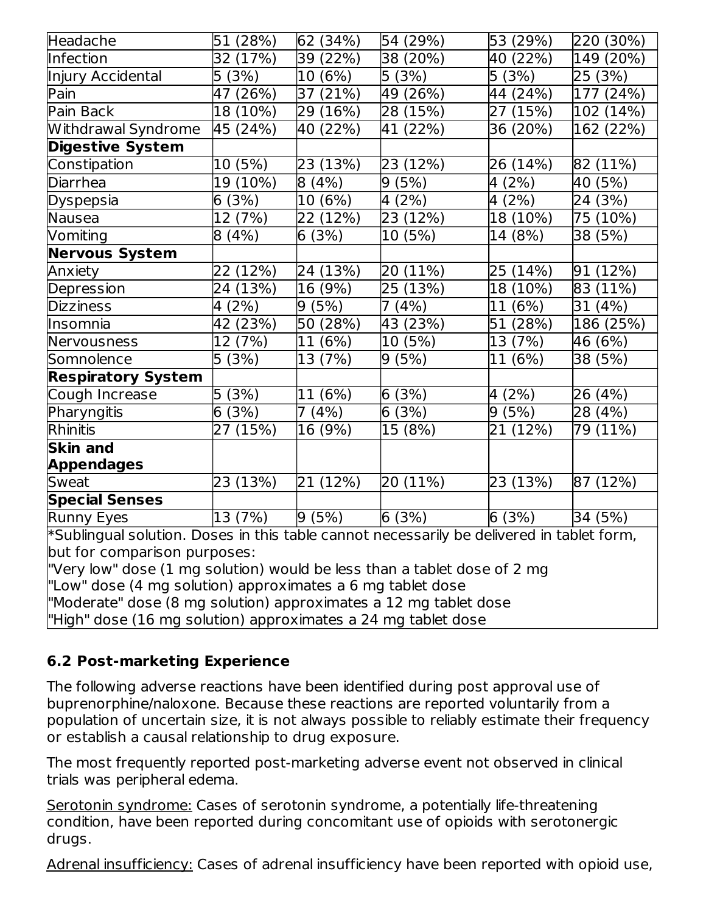| Headache                  | 51 (28%) | 62(34%)    | 54 (29%) | 53 (29%) | 220 (30%) |
|---------------------------|----------|------------|----------|----------|-----------|
| <b>Infection</b>          | 32 (17%) | 39 (22%)   | 38 (20%) | 40 (22%) | 149 (20%) |
| Injury Accidental         | 5 (3%)   | (6%)<br>10 | 5(3%)    | 5(3%)    | 25 (3%)   |
| Pain                      | 47 (26%) | 37 (21%)   | 49 (26%) | 44 (24%) | 177 (24%) |
| Pain Back                 | 18 (10%) | 29 (16%)   | 28 (15%) | 27 (15%) | 102 (14%) |
| Withdrawal Syndrome       | 45 (24%) | 40 (22%)   | 41 (22%) | 36 (20%) | 162 (22%) |
| <b>Digestive System</b>   |          |            |          |          |           |
| Constipation              | 10 (5%)  | 23 (13%)   | 23 (12%) | 26 (14%) | 82 (11%)  |
| <b>Diarrhea</b>           | 19 (10%) | 8(4%)      | 9(5%)    | 4 (2%)   | 40 (5%)   |
| Dyspepsia                 | 6(3%)    | 10 (6%)    | 4(2%)    | 4 (2%)   | 24 (3%)   |
| <b>Nausea</b>             | 12 (7%)  | 22 (12%)   | 23 (12%) | 18 (10%) | 75 (10%)  |
| Vomiting                  | 8(4%)    | 6(3%)      | 10 (5%)  | 14 (8%)  | 38 (5%)   |
| <b>Nervous System</b>     |          |            |          |          |           |
| Anxiety                   | 22 (12%) | 24 (13%)   | 20 (11%) | 25 (14%) | 91 (12%)  |
| Depression                | 24 (13%) | 16 (9%)    | 25 (13%) | 18 (10%) | 83 (11%)  |
| <b>Dizziness</b>          | 4 (2%)   | 9(5%)      | 7(4%)    | 11 (6%)  | 31 (4%)   |
| Insomnia                  | 42 (23%) | 50 (28%)   | 43 (23%) | 51 (28%) | 186 (25%) |
| Nervousness               | 12 (7%)  | 11 (6%)    | 10 (5%)  | 13 (7%)  | 46 (6%)   |
| Somnolence                | 5(3%)    | 13 (7%)    | 9(5%)    | 11 (6%)  | 38 (5%)   |
| <b>Respiratory System</b> |          |            |          |          |           |
| Cough Increase            | 5(3%)    | 11 (6%)    | 6(3%)    | 4 (2%)   | 26 (4%)   |
| Pharyngitis               | 6(3%)    | 7 (4%)     | 6(3%)    | 9(5%)    | 28 (4%)   |
| <b>Rhinitis</b>           | 27 (15%) | 16 (9%)    | 15 (8%)  | 21 (12%) | 79 (11%)  |
| <b>Skin and</b>           |          |            |          |          |           |
| <b>Appendages</b>         |          |            |          |          |           |
| <b>Sweat</b>              | 23 (13%) | 21 (12%)   | 20 (11%) | 23 (13%) | 87 (12%)  |
| <b>Special Senses</b>     |          |            |          |          |           |
| Runny Eyes                | 13 (7%)  | 9(5%)      | 6(3%)    | 6(3%)    | 34 (5%)   |
|                           |          |            |          |          |           |

\*Sublingual solution. Doses in this table cannot necessarily be delivered in tablet form, but for comparison purposes:

"Very low" dose (1 mg solution) would be less than a tablet dose of 2 mg "Low" dose (4 mg solution) approximates a 6 mg tablet dose "Moderate" dose (8 mg solution) approximates a 12 mg tablet dose

"High" dose (16 mg solution) approximates a 24 mg tablet dose

## **6.2 Post-marketing Experience**

The following adverse reactions have been identified during post approval use of buprenorphine/naloxone. Because these reactions are reported voluntarily from a population of uncertain size, it is not always possible to reliably estimate their frequency or establish a causal relationship to drug exposure.

The most frequently reported post-marketing adverse event not observed in clinical trials was peripheral edema.

Serotonin syndrome: Cases of serotonin syndrome, a potentially life-threatening condition, have been reported during concomitant use of opioids with serotonergic drugs.

Adrenal insufficiency: Cases of adrenal insufficiency have been reported with opioid use,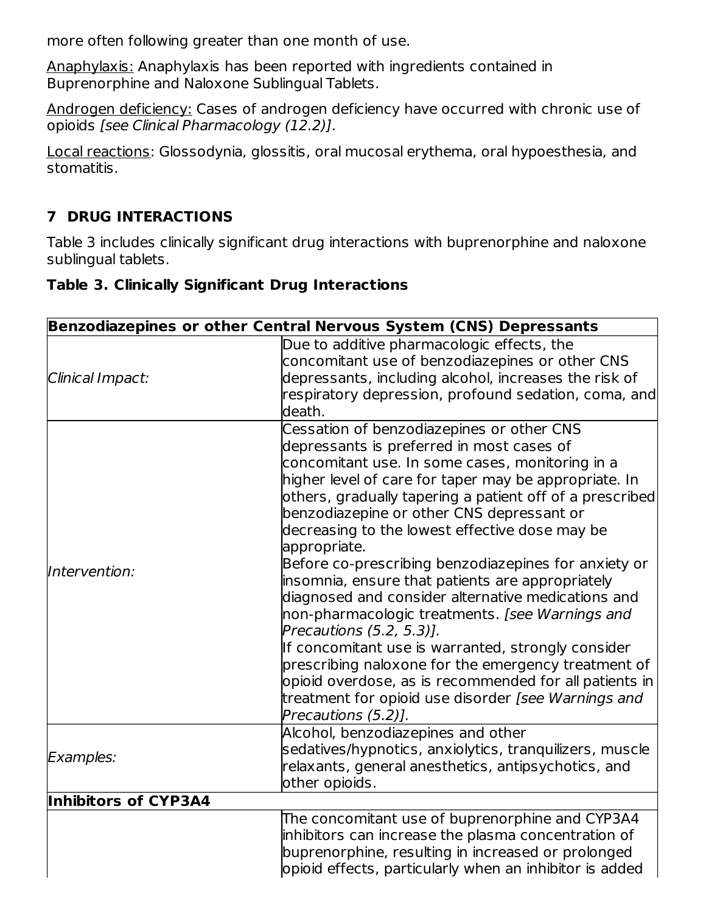more often following greater than one month of use.

Anaphylaxis: Anaphylaxis has been reported with ingredients contained in Buprenorphine and Naloxone Sublingual Tablets.

Androgen deficiency: Cases of androgen deficiency have occurred with chronic use of opioids [see Clinical Pharmacology (12.2)].

Local reactions: Glossodynia, glossitis, oral mucosal erythema, oral hypoesthesia, and stomatitis.

## **7 DRUG INTERACTIONS**

Table 3 includes clinically significant drug interactions with buprenorphine and naloxone sublingual tablets.

|                             | Benzodiazepines or other Central Nervous System (CNS) Depressants                                                                                                                                                                                                                                                                                                                                                                                                                                                                                                                                                                                                                                                                                                                                                                                                                   |
|-----------------------------|-------------------------------------------------------------------------------------------------------------------------------------------------------------------------------------------------------------------------------------------------------------------------------------------------------------------------------------------------------------------------------------------------------------------------------------------------------------------------------------------------------------------------------------------------------------------------------------------------------------------------------------------------------------------------------------------------------------------------------------------------------------------------------------------------------------------------------------------------------------------------------------|
| Clinical Impact:            | Due to additive pharmacologic effects, the<br>concomitant use of benzodiazepines or other CNS<br>depressants, including alcohol, increases the risk of<br>respiratory depression, profound sedation, coma, and<br>death.                                                                                                                                                                                                                                                                                                                                                                                                                                                                                                                                                                                                                                                            |
| Intervention:               | Cessation of benzodiazepines or other CNS<br>depressants is preferred in most cases of<br>concomitant use. In some cases, monitoring in a<br>higher level of care for taper may be appropriate. In<br>others, gradually tapering a patient off of a prescribed<br>benzodiazepine or other CNS depressant or<br>decreasing to the lowest effective dose may be<br>appropriate.<br>Before co-prescribing benzodiazepines for anxiety or<br>insomnia, ensure that patients are appropriately<br>diagnosed and consider alternative medications and<br>non-pharmacologic treatments. [see Warnings and<br>Precautions (5.2, 5.3)].<br>If concomitant use is warranted, strongly consider<br>prescribing naloxone for the emergency treatment of<br>opioid overdose, as is recommended for all patients in<br>treatment for opioid use disorder [see Warnings and<br>Precautions (5.2)]. |
| <b>Examples:</b>            | Alcohol, benzodiazepines and other<br>sedatives/hypnotics, anxiolytics, tranquilizers, muscle<br>relaxants, general anesthetics, antipsychotics, and<br>other opioids.                                                                                                                                                                                                                                                                                                                                                                                                                                                                                                                                                                                                                                                                                                              |
| <b>Inhibitors of CYP3A4</b> |                                                                                                                                                                                                                                                                                                                                                                                                                                                                                                                                                                                                                                                                                                                                                                                                                                                                                     |
|                             | The concomitant use of buprenorphine and CYP3A4<br>inhibitors can increase the plasma concentration of<br>buprenorphine, resulting in increased or prolonged<br>opioid effects, particularly when an inhibitor is added                                                                                                                                                                                                                                                                                                                                                                                                                                                                                                                                                                                                                                                             |

#### **Table 3. Clinically Significant Drug Interactions**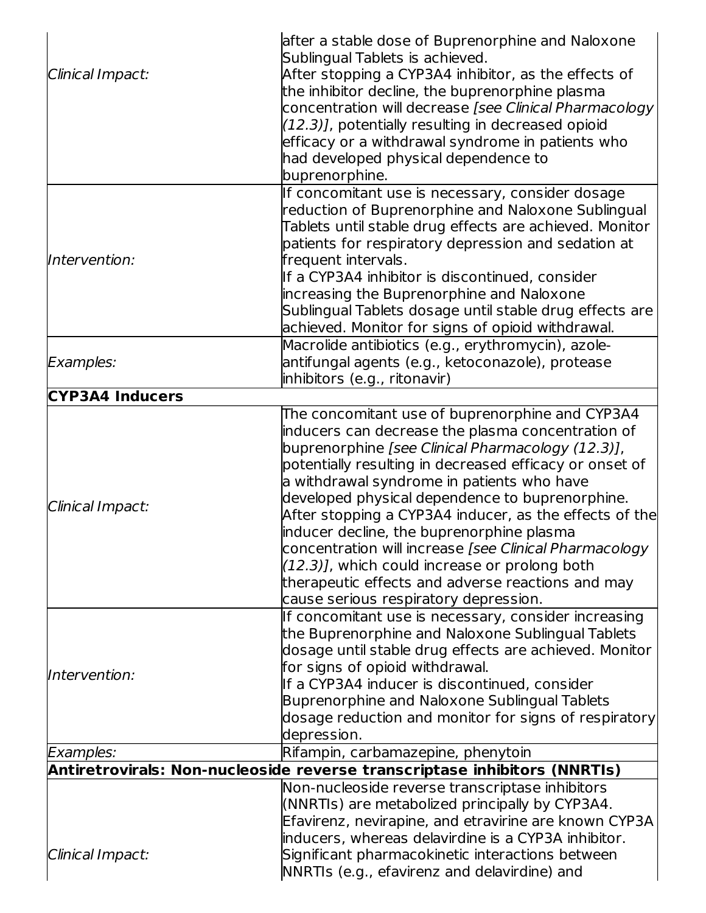| Clinical Impact:       | after a stable dose of Buprenorphine and Naloxone<br>Sublingual Tablets is achieved.<br>After stopping a CYP3A4 inhibitor, as the effects of<br>the inhibitor decline, the buprenorphine plasma<br>concentration will decrease [see Clinical Pharmacology<br>(12.3)], potentially resulting in decreased opioid<br>efficacy or a withdrawal syndrome in patients who<br>had developed physical dependence to<br>buprenorphine.                                                                                                                                                                                                           |
|------------------------|------------------------------------------------------------------------------------------------------------------------------------------------------------------------------------------------------------------------------------------------------------------------------------------------------------------------------------------------------------------------------------------------------------------------------------------------------------------------------------------------------------------------------------------------------------------------------------------------------------------------------------------|
| Intervention:          | If concomitant use is necessary, consider dosage<br>reduction of Buprenorphine and Naloxone Sublingual<br>Tablets until stable drug effects are achieved. Monitor<br>patients for respiratory depression and sedation at<br>frequent intervals.<br>If a CYP3A4 inhibitor is discontinued, consider<br>increasing the Buprenorphine and Naloxone<br>Sublingual Tablets dosage until stable drug effects are<br>achieved. Monitor for signs of opioid withdrawal.                                                                                                                                                                          |
| <b>Examples:</b>       | Macrolide antibiotics (e.g., erythromycin), azole-<br>antifungal agents (e.g., ketoconazole), protease<br>inhibitors (e.g., ritonavir)                                                                                                                                                                                                                                                                                                                                                                                                                                                                                                   |
| <b>CYP3A4 Inducers</b> |                                                                                                                                                                                                                                                                                                                                                                                                                                                                                                                                                                                                                                          |
| Clinical Impact:       | The concomitant use of buprenorphine and CYP3A4<br>inducers can decrease the plasma concentration of<br>buprenorphine [see Clinical Pharmacology (12.3)],<br>potentially resulting in decreased efficacy or onset of<br>a withdrawal syndrome in patients who have<br>developed physical dependence to buprenorphine.<br>After stopping a CYP3A4 inducer, as the effects of the<br>inducer decline, the buprenorphine plasma<br>concentration will increase [see Clinical Pharmacology<br>$(12.3)$ ], which could increase or prolong both<br>therapeutic effects and adverse reactions and may<br>cause serious respiratory depression. |
| Intervention:          | If concomitant use is necessary, consider increasing<br>the Buprenorphine and Naloxone Sublingual Tablets<br>dosage until stable drug effects are achieved. Monitor<br>for signs of opioid withdrawal.<br>If a CYP3A4 inducer is discontinued, consider<br><b>Buprenorphine and Naloxone Sublingual Tablets</b><br>$\vert$ dosage reduction and monitor for signs of respiratory $\vert$<br>depression.                                                                                                                                                                                                                                  |
| <b>Examples:</b>       | Rifampin, carbamazepine, phenytoin                                                                                                                                                                                                                                                                                                                                                                                                                                                                                                                                                                                                       |
| Clinical Impact:       | Antiretrovirals: Non-nucleoside reverse transcriptase inhibitors (NNRTIs)<br>Non-nucleoside reverse transcriptase inhibitors<br>(NNRTIs) are metabolized principally by CYP3A4.<br>Efavirenz, nevirapine, and etravirine are known CYP3A<br>inducers, whereas delavirdine is a CYP3A inhibitor.<br>Significant pharmacokinetic interactions between<br>NNRTIs (e.g., efavirenz and delavirdine) and                                                                                                                                                                                                                                      |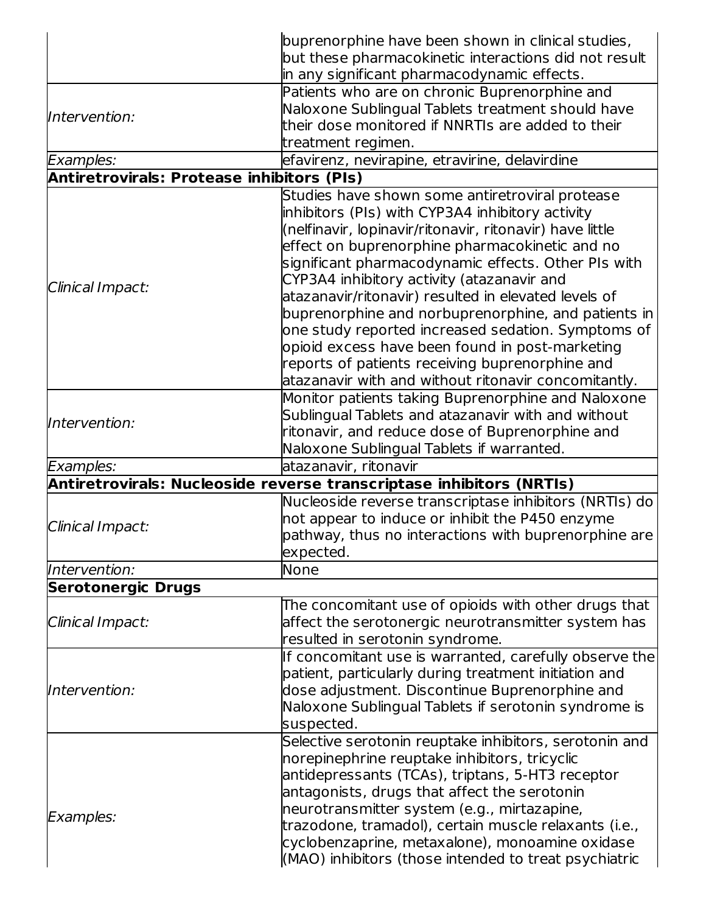|                                            | buprenorphine have been shown in clinical studies,                                            |  |  |  |  |
|--------------------------------------------|-----------------------------------------------------------------------------------------------|--|--|--|--|
|                                            | but these pharmacokinetic interactions did not result                                         |  |  |  |  |
|                                            | in any significant pharmacodynamic effects.                                                   |  |  |  |  |
|                                            | Patients who are on chronic Buprenorphine and                                                 |  |  |  |  |
| Intervention:                              | Naloxone Sublingual Tablets treatment should have                                             |  |  |  |  |
|                                            | their dose monitored if NNRTIs are added to their                                             |  |  |  |  |
|                                            | treatment regimen.                                                                            |  |  |  |  |
| <b>Examples:</b>                           | efavirenz, nevirapine, etravirine, delavirdine                                                |  |  |  |  |
| Antiretrovirals: Protease inhibitors (PIs) |                                                                                               |  |  |  |  |
|                                            | Studies have shown some antiretroviral protease                                               |  |  |  |  |
|                                            | inhibitors (PIs) with CYP3A4 inhibitory activity                                              |  |  |  |  |
|                                            | (nelfinavir, lopinavir/ritonavir, ritonavir) have little                                      |  |  |  |  |
|                                            | effect on buprenorphine pharmacokinetic and no                                                |  |  |  |  |
|                                            | significant pharmacodynamic effects. Other PIs with                                           |  |  |  |  |
| Clinical Impact:                           | CYP3A4 inhibitory activity (atazanavir and                                                    |  |  |  |  |
|                                            | atazanavir/ritonavir) resulted in elevated levels of                                          |  |  |  |  |
|                                            | buprenorphine and norbuprenorphine, and patients in                                           |  |  |  |  |
|                                            | one study reported increased sedation. Symptoms of                                            |  |  |  |  |
|                                            | opioid excess have been found in post-marketing                                               |  |  |  |  |
|                                            | reports of patients receiving buprenorphine and                                               |  |  |  |  |
|                                            | atazanavir with and without ritonavir concomitantly.                                          |  |  |  |  |
|                                            | Monitor patients taking Buprenorphine and Naloxone                                            |  |  |  |  |
| Intervention:                              | Sublingual Tablets and atazanavir with and without                                            |  |  |  |  |
|                                            | ritonavir, and reduce dose of Buprenorphine and                                               |  |  |  |  |
|                                            | Naloxone Sublingual Tablets if warranted.                                                     |  |  |  |  |
| <b>Examples:</b>                           | atazanavir, ritonavir<br>Antiretrovirals: Nucleoside reverse transcriptase inhibitors (NRTIs) |  |  |  |  |
|                                            | Nucleoside reverse transcriptase inhibitors (NRTIs) do                                        |  |  |  |  |
|                                            | not appear to induce or inhibit the P450 enzyme                                               |  |  |  |  |
| Clinical Impact:                           | pathway, thus no interactions with buprenorphine are                                          |  |  |  |  |
|                                            | expected.                                                                                     |  |  |  |  |
| Intervention:                              | <b>None</b>                                                                                   |  |  |  |  |
| <b>Serotonergic Drugs</b>                  |                                                                                               |  |  |  |  |
|                                            | The concomitant use of opioids with other drugs that                                          |  |  |  |  |
| Clinical Impact:                           | affect the serotonergic neurotransmitter system has                                           |  |  |  |  |
|                                            | resulted in serotonin syndrome.                                                               |  |  |  |  |
|                                            | If concomitant use is warranted, carefully observe the                                        |  |  |  |  |
|                                            | patient, particularly during treatment initiation and                                         |  |  |  |  |
| Intervention:                              | dose adjustment. Discontinue Buprenorphine and                                                |  |  |  |  |
|                                            | Naloxone Sublingual Tablets if serotonin syndrome is                                          |  |  |  |  |
|                                            | suspected.                                                                                    |  |  |  |  |
|                                            | Selective serotonin reuptake inhibitors, serotonin and                                        |  |  |  |  |
|                                            | norepinephrine reuptake inhibitors, tricyclic                                                 |  |  |  |  |
|                                            | antidepressants (TCAs), triptans, 5-HT3 receptor                                              |  |  |  |  |
|                                            | antagonists, drugs that affect the serotonin                                                  |  |  |  |  |
| <b>Examples:</b>                           | neurotransmitter system (e.g., mirtazapine,                                                   |  |  |  |  |
|                                            | trazodone, tramadol), certain muscle relaxants (i.e.,                                         |  |  |  |  |
|                                            | cyclobenzaprine, metaxalone), monoamine oxidase                                               |  |  |  |  |
|                                            | (MAO) inhibitors (those intended to treat psychiatric                                         |  |  |  |  |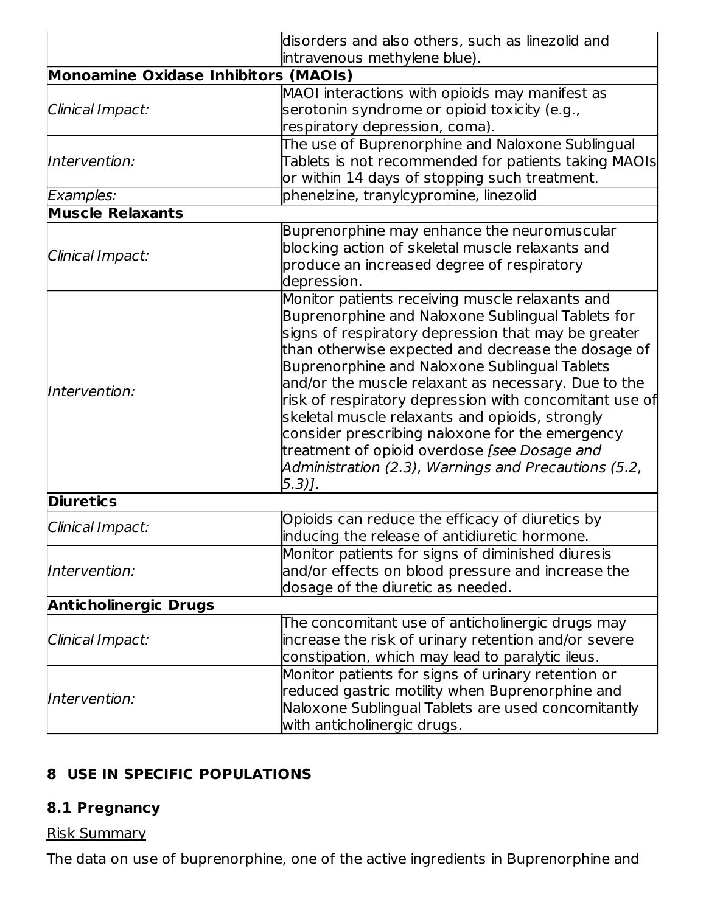|                                             | disorders and also others, such as linezolid and       |  |  |  |  |
|---------------------------------------------|--------------------------------------------------------|--|--|--|--|
| <b>Monoamine Oxidase Inhibitors (MAOIs)</b> | intravenous methylene blue).                           |  |  |  |  |
|                                             |                                                        |  |  |  |  |
|                                             | MAOI interactions with opioids may manifest as         |  |  |  |  |
| Clinical Impact:                            | serotonin syndrome or opioid toxicity (e.g.,           |  |  |  |  |
|                                             | respiratory depression, coma).                         |  |  |  |  |
|                                             | The use of Buprenorphine and Naloxone Sublingual       |  |  |  |  |
| Intervention:                               | Tablets is not recommended for patients taking MAOIs   |  |  |  |  |
|                                             | or within 14 days of stopping such treatment.          |  |  |  |  |
| <b>Examples:</b>                            | phenelzine, tranylcypromine, linezolid                 |  |  |  |  |
| <b>Muscle Relaxants</b>                     |                                                        |  |  |  |  |
|                                             | Buprenorphine may enhance the neuromuscular            |  |  |  |  |
| Clinical Impact:                            | blocking action of skeletal muscle relaxants and       |  |  |  |  |
|                                             | produce an increased degree of respiratory             |  |  |  |  |
|                                             | depression.                                            |  |  |  |  |
|                                             | Monitor patients receiving muscle relaxants and        |  |  |  |  |
|                                             | Buprenorphine and Naloxone Sublingual Tablets for      |  |  |  |  |
|                                             | signs of respiratory depression that may be greater    |  |  |  |  |
|                                             | than otherwise expected and decrease the dosage of     |  |  |  |  |
|                                             | <b>Buprenorphine and Naloxone Sublingual Tablets</b>   |  |  |  |  |
| Intervention:                               | and/or the muscle relaxant as necessary. Due to the    |  |  |  |  |
|                                             | risk of respiratory depression with concomitant use of |  |  |  |  |
|                                             | skeletal muscle relaxants and opioids, strongly        |  |  |  |  |
|                                             | consider prescribing naloxone for the emergency        |  |  |  |  |
|                                             | treatment of opioid overdose [see Dosage and           |  |  |  |  |
|                                             | Administration (2.3), Warnings and Precautions (5.2,   |  |  |  |  |
|                                             | $(5.3)$ ].                                             |  |  |  |  |
| <b>Diuretics</b>                            |                                                        |  |  |  |  |
| Clinical Impact:                            | Opioids can reduce the efficacy of diuretics by        |  |  |  |  |
|                                             | inducing the release of antidiuretic hormone.          |  |  |  |  |
|                                             | Monitor patients for signs of diminished diuresis      |  |  |  |  |
| Intervention:                               | and/or effects on blood pressure and increase the      |  |  |  |  |
|                                             | dosage of the diuretic as needed.                      |  |  |  |  |
| <b>Anticholinergic Drugs</b>                |                                                        |  |  |  |  |
|                                             | The concomitant use of anticholinergic drugs may       |  |  |  |  |
| Clinical Impact:                            | increase the risk of urinary retention and/or severe   |  |  |  |  |
|                                             | constipation, which may lead to paralytic ileus.       |  |  |  |  |
|                                             | Monitor patients for signs of urinary retention or     |  |  |  |  |
| Intervention:                               | reduced gastric motility when Buprenorphine and        |  |  |  |  |
|                                             | Naloxone Sublingual Tablets are used concomitantly     |  |  |  |  |
|                                             | with anticholinergic drugs.                            |  |  |  |  |

## **8 USE IN SPECIFIC POPULATIONS**

# **8.1 Pregnancy**

### Risk Summary

The data on use of buprenorphine, one of the active ingredients in Buprenorphine and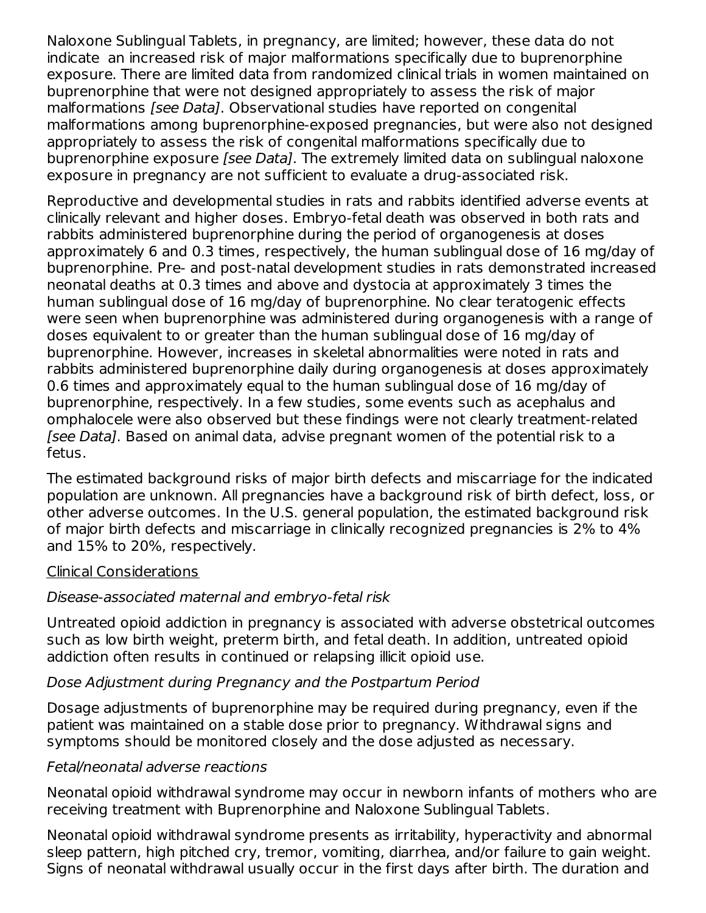Naloxone Sublingual Tablets, in pregnancy, are limited; however, these data do not indicate an increased risk of major malformations specifically due to buprenorphine exposure. There are limited data from randomized clinical trials in women maintained on buprenorphine that were not designed appropriately to assess the risk of major malformations [see Data]. Observational studies have reported on congenital malformations among buprenorphine-exposed pregnancies, but were also not designed appropriately to assess the risk of congenital malformations specifically due to buprenorphine exposure [see Data]. The extremely limited data on sublingual naloxone exposure in pregnancy are not sufficient to evaluate a drug-associated risk.

Reproductive and developmental studies in rats and rabbits identified adverse events at clinically relevant and higher doses. Embryo-fetal death was observed in both rats and rabbits administered buprenorphine during the period of organogenesis at doses approximately 6 and 0.3 times, respectively, the human sublingual dose of 16 mg/day of buprenorphine. Pre- and post-natal development studies in rats demonstrated increased neonatal deaths at 0.3 times and above and dystocia at approximately 3 times the human sublingual dose of 16 mg/day of buprenorphine. No clear teratogenic effects were seen when buprenorphine was administered during organogenesis with a range of doses equivalent to or greater than the human sublingual dose of 16 mg/day of buprenorphine. However, increases in skeletal abnormalities were noted in rats and rabbits administered buprenorphine daily during organogenesis at doses approximately 0.6 times and approximately equal to the human sublingual dose of 16 mg/day of buprenorphine, respectively. In a few studies, some events such as acephalus and omphalocele were also observed but these findings were not clearly treatment-related [see Data]. Based on animal data, advise pregnant women of the potential risk to a fetus.

The estimated background risks of major birth defects and miscarriage for the indicated population are unknown. All pregnancies have a background risk of birth defect, loss, or other adverse outcomes. In the U.S. general population, the estimated background risk of major birth defects and miscarriage in clinically recognized pregnancies is 2% to 4% and 15% to 20%, respectively.

#### Clinical Considerations

#### Disease-associated maternal and embryo-fetal risk

Untreated opioid addiction in pregnancy is associated with adverse obstetrical outcomes such as low birth weight, preterm birth, and fetal death. In addition, untreated opioid addiction often results in continued or relapsing illicit opioid use.

#### Dose Adjustment during Pregnancy and the Postpartum Period

Dosage adjustments of buprenorphine may be required during pregnancy, even if the patient was maintained on a stable dose prior to pregnancy. Withdrawal signs and symptoms should be monitored closely and the dose adjusted as necessary.

#### Fetal/neonatal adverse reactions

Neonatal opioid withdrawal syndrome may occur in newborn infants of mothers who are receiving treatment with Buprenorphine and Naloxone Sublingual Tablets.

Neonatal opioid withdrawal syndrome presents as irritability, hyperactivity and abnormal sleep pattern, high pitched cry, tremor, vomiting, diarrhea, and/or failure to gain weight. Signs of neonatal withdrawal usually occur in the first days after birth. The duration and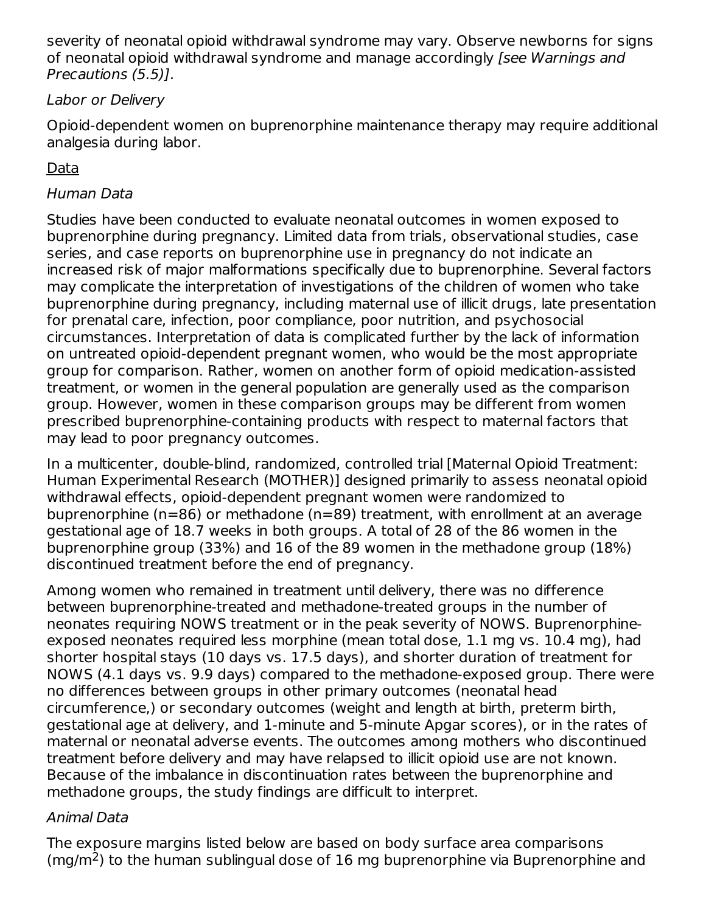severity of neonatal opioid withdrawal syndrome may vary. Observe newborns for signs of neonatal opioid withdrawal syndrome and manage accordingly [see Warnings and Precautions (5.5)].

### Labor or Delivery

Opioid-dependent women on buprenorphine maintenance therapy may require additional analgesia during labor.

### Data

### Human Data

Studies have been conducted to evaluate neonatal outcomes in women exposed to buprenorphine during pregnancy. Limited data from trials, observational studies, case series, and case reports on buprenorphine use in pregnancy do not indicate an increased risk of major malformations specifically due to buprenorphine. Several factors may complicate the interpretation of investigations of the children of women who take buprenorphine during pregnancy, including maternal use of illicit drugs, late presentation for prenatal care, infection, poor compliance, poor nutrition, and psychosocial circumstances. Interpretation of data is complicated further by the lack of information on untreated opioid-dependent pregnant women, who would be the most appropriate group for comparison. Rather, women on another form of opioid medication-assisted treatment, or women in the general population are generally used as the comparison group. However, women in these comparison groups may be different from women prescribed buprenorphine-containing products with respect to maternal factors that may lead to poor pregnancy outcomes.

In a multicenter, double-blind, randomized, controlled trial [Maternal Opioid Treatment: Human Experimental Research (MOTHER)] designed primarily to assess neonatal opioid withdrawal effects, opioid-dependent pregnant women were randomized to buprenorphine (n=86) or methadone (n=89) treatment, with enrollment at an average gestational age of 18.7 weeks in both groups. A total of 28 of the 86 women in the buprenorphine group (33%) and 16 of the 89 women in the methadone group (18%) discontinued treatment before the end of pregnancy.

Among women who remained in treatment until delivery, there was no difference between buprenorphine-treated and methadone-treated groups in the number of neonates requiring NOWS treatment or in the peak severity of NOWS. Buprenorphineexposed neonates required less morphine (mean total dose, 1.1 mg vs. 10.4 mg), had shorter hospital stays (10 days vs. 17.5 days), and shorter duration of treatment for NOWS (4.1 days vs. 9.9 days) compared to the methadone-exposed group. There were no differences between groups in other primary outcomes (neonatal head circumference,) or secondary outcomes (weight and length at birth, preterm birth, gestational age at delivery, and 1-minute and 5-minute Apgar scores), or in the rates of maternal or neonatal adverse events. The outcomes among mothers who discontinued treatment before delivery and may have relapsed to illicit opioid use are not known. Because of the imbalance in discontinuation rates between the buprenorphine and methadone groups, the study findings are difficult to interpret.

## Animal Data

The exposure margins listed below are based on body surface area comparisons  $\rm (mg/m^2)$  to the human sublingual dose of 16 mg buprenorphine via Buprenorphine and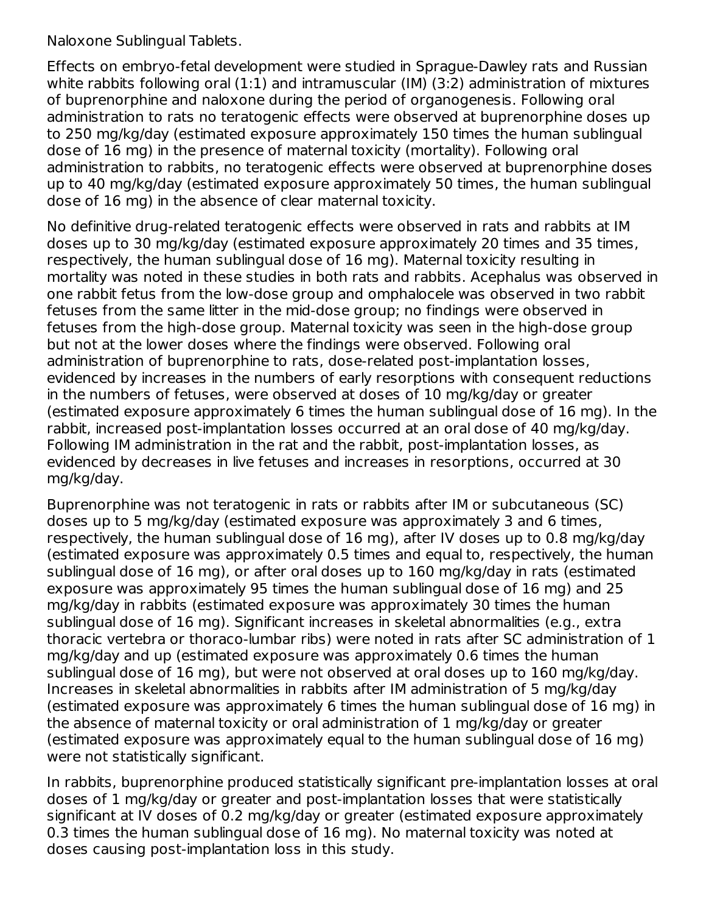Naloxone Sublingual Tablets.

Effects on embryo-fetal development were studied in Sprague-Dawley rats and Russian white rabbits following oral (1:1) and intramuscular (IM) (3:2) administration of mixtures of buprenorphine and naloxone during the period of organogenesis. Following oral administration to rats no teratogenic effects were observed at buprenorphine doses up to 250 mg/kg/day (estimated exposure approximately 150 times the human sublingual dose of 16 mg) in the presence of maternal toxicity (mortality). Following oral administration to rabbits, no teratogenic effects were observed at buprenorphine doses up to 40 mg/kg/day (estimated exposure approximately 50 times, the human sublingual dose of 16 mg) in the absence of clear maternal toxicity.

No definitive drug-related teratogenic effects were observed in rats and rabbits at IM doses up to 30 mg/kg/day (estimated exposure approximately 20 times and 35 times, respectively, the human sublingual dose of 16 mg). Maternal toxicity resulting in mortality was noted in these studies in both rats and rabbits. Acephalus was observed in one rabbit fetus from the low-dose group and omphalocele was observed in two rabbit fetuses from the same litter in the mid-dose group; no findings were observed in fetuses from the high-dose group. Maternal toxicity was seen in the high-dose group but not at the lower doses where the findings were observed. Following oral administration of buprenorphine to rats, dose-related post-implantation losses, evidenced by increases in the numbers of early resorptions with consequent reductions in the numbers of fetuses, were observed at doses of 10 mg/kg/day or greater (estimated exposure approximately 6 times the human sublingual dose of 16 mg). In the rabbit, increased post-implantation losses occurred at an oral dose of 40 mg/kg/day. Following IM administration in the rat and the rabbit, post-implantation losses, as evidenced by decreases in live fetuses and increases in resorptions, occurred at 30 mg/kg/day.

Buprenorphine was not teratogenic in rats or rabbits after IM or subcutaneous (SC) doses up to 5 mg/kg/day (estimated exposure was approximately 3 and 6 times, respectively, the human sublingual dose of 16 mg), after IV doses up to 0.8 mg/kg/day (estimated exposure was approximately 0.5 times and equal to, respectively, the human sublingual dose of 16 mg), or after oral doses up to 160 mg/kg/day in rats (estimated exposure was approximately 95 times the human sublingual dose of 16 mg) and 25 mg/kg/day in rabbits (estimated exposure was approximately 30 times the human sublingual dose of 16 mg). Significant increases in skeletal abnormalities (e.g., extra thoracic vertebra or thoraco-lumbar ribs) were noted in rats after SC administration of 1 mg/kg/day and up (estimated exposure was approximately 0.6 times the human sublingual dose of 16 mg), but were not observed at oral doses up to 160 mg/kg/day. Increases in skeletal abnormalities in rabbits after IM administration of 5 mg/kg/day (estimated exposure was approximately 6 times the human sublingual dose of 16 mg) in the absence of maternal toxicity or oral administration of 1 mg/kg/day or greater (estimated exposure was approximately equal to the human sublingual dose of 16 mg) were not statistically significant.

In rabbits, buprenorphine produced statistically significant pre-implantation losses at oral doses of 1 mg/kg/day or greater and post-implantation losses that were statistically significant at IV doses of 0.2 mg/kg/day or greater (estimated exposure approximately 0.3 times the human sublingual dose of 16 mg). No maternal toxicity was noted at doses causing post-implantation loss in this study.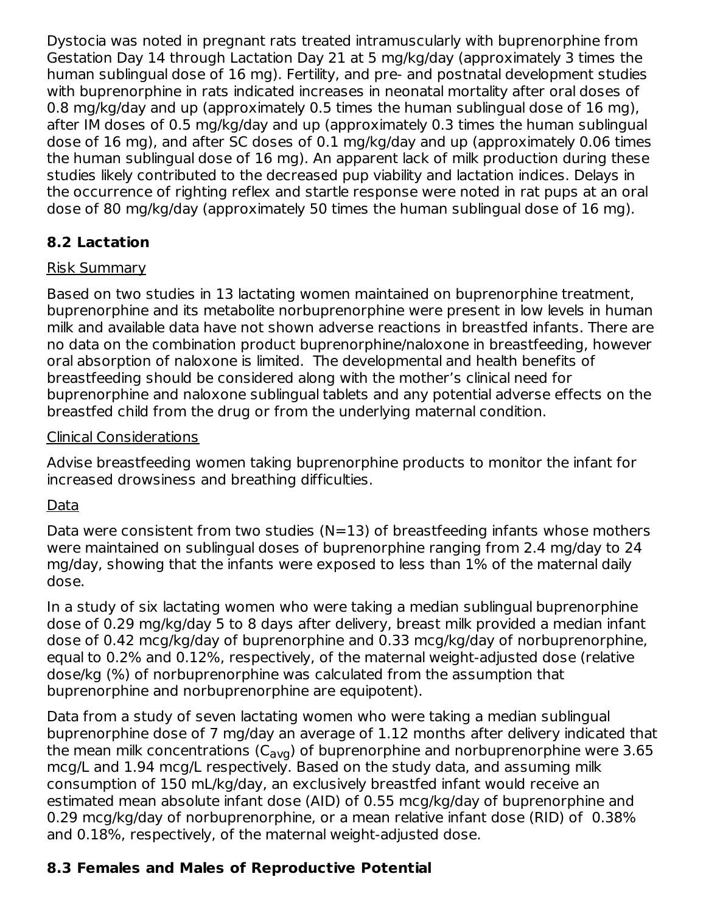Dystocia was noted in pregnant rats treated intramuscularly with buprenorphine from Gestation Day 14 through Lactation Day 21 at 5 mg/kg/day (approximately 3 times the human sublingual dose of 16 mg). Fertility, and pre- and postnatal development studies with buprenorphine in rats indicated increases in neonatal mortality after oral doses of 0.8 mg/kg/day and up (approximately 0.5 times the human sublingual dose of 16 mg), after IM doses of 0.5 mg/kg/day and up (approximately 0.3 times the human sublingual dose of 16 mg), and after SC doses of 0.1 mg/kg/day and up (approximately 0.06 times the human sublingual dose of 16 mg). An apparent lack of milk production during these studies likely contributed to the decreased pup viability and lactation indices. Delays in the occurrence of righting reflex and startle response were noted in rat pups at an oral dose of 80 mg/kg/day (approximately 50 times the human sublingual dose of 16 mg).

# **8.2 Lactation**

### Risk Summary

Based on two studies in 13 lactating women maintained on buprenorphine treatment, buprenorphine and its metabolite norbuprenorphine were present in low levels in human milk and available data have not shown adverse reactions in breastfed infants. There are no data on the combination product buprenorphine/naloxone in breastfeeding, however oral absorption of naloxone is limited. The developmental and health benefits of breastfeeding should be considered along with the mother's clinical need for buprenorphine and naloxone sublingual tablets and any potential adverse effects on the breastfed child from the drug or from the underlying maternal condition.

#### Clinical Considerations

Advise breastfeeding women taking buprenorphine products to monitor the infant for increased drowsiness and breathing difficulties.

#### Data

Data were consistent from two studies  $(N=13)$  of breastfeeding infants whose mothers were maintained on sublingual doses of buprenorphine ranging from 2.4 mg/day to 24 mg/day, showing that the infants were exposed to less than 1% of the maternal daily dose.

In a study of six lactating women who were taking a median sublingual buprenorphine dose of 0.29 mg/kg/day 5 to 8 days after delivery, breast milk provided a median infant dose of 0.42 mcg/kg/day of buprenorphine and 0.33 mcg/kg/day of norbuprenorphine, equal to 0.2% and 0.12%, respectively, of the maternal weight-adjusted dose (relative dose/kg (%) of norbuprenorphine was calculated from the assumption that buprenorphine and norbuprenorphine are equipotent).

Data from a study of seven lactating women who were taking a median sublingual buprenorphine dose of 7 mg/day an average of 1.12 months after delivery indicated that the mean milk concentrations (C<sub>avg</sub>) of buprenorphine and norbuprenorphine were 3.65 mcg/L and 1.94 mcg/L respectively. Based on the study data, and assuming milk consumption of 150 mL/kg/day, an exclusively breastfed infant would receive an estimated mean absolute infant dose (AID) of 0.55 mcg/kg/day of buprenorphine and 0.29 mcg/kg/day of norbuprenorphine, or a mean relative infant dose (RID) of 0.38% and 0.18%, respectively, of the maternal weight-adjusted dose.

## **8.3 Females and Males of Reproductive Potential**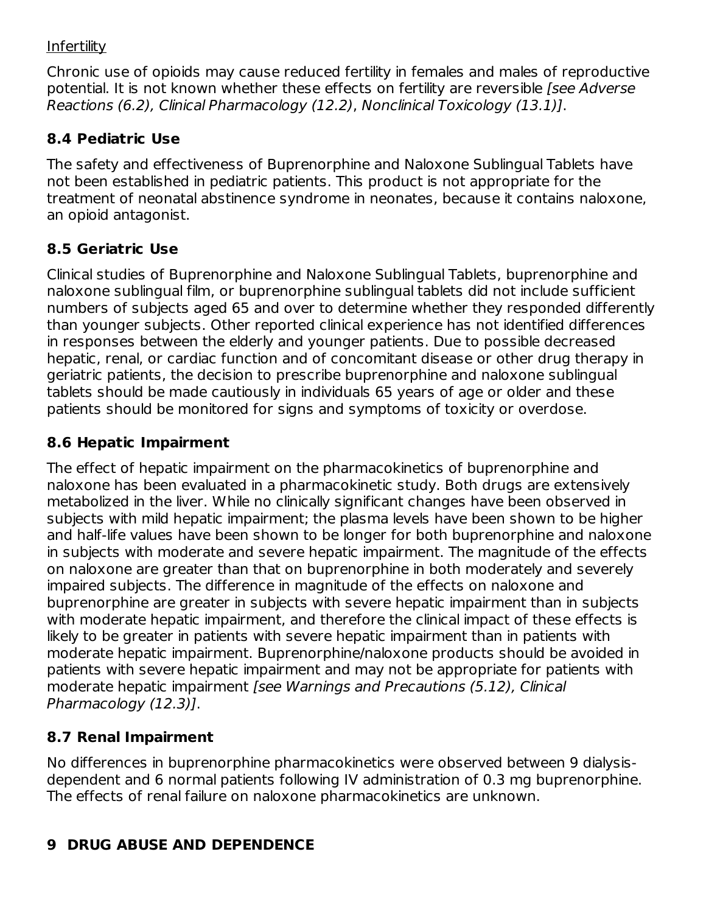**Infertility** 

Chronic use of opioids may cause reduced fertility in females and males of reproductive potential. It is not known whether these effects on fertility are reversible [see Adverse Reactions (6.2), Clinical Pharmacology (12.2), Nonclinical Toxicology (13.1)].

# **8.4 Pediatric Use**

The safety and effectiveness of Buprenorphine and Naloxone Sublingual Tablets have not been established in pediatric patients. This product is not appropriate for the treatment of neonatal abstinence syndrome in neonates, because it contains naloxone, an opioid antagonist.

# **8.5 Geriatric Use**

Clinical studies of Buprenorphine and Naloxone Sublingual Tablets, buprenorphine and naloxone sublingual film, or buprenorphine sublingual tablets did not include sufficient numbers of subjects aged 65 and over to determine whether they responded differently than younger subjects. Other reported clinical experience has not identified differences in responses between the elderly and younger patients. Due to possible decreased hepatic, renal, or cardiac function and of concomitant disease or other drug therapy in geriatric patients, the decision to prescribe buprenorphine and naloxone sublingual tablets should be made cautiously in individuals 65 years of age or older and these patients should be monitored for signs and symptoms of toxicity or overdose.

# **8.6 Hepatic Impairment**

The effect of hepatic impairment on the pharmacokinetics of buprenorphine and naloxone has been evaluated in a pharmacokinetic study. Both drugs are extensively metabolized in the liver. While no clinically significant changes have been observed in subjects with mild hepatic impairment; the plasma levels have been shown to be higher and half-life values have been shown to be longer for both buprenorphine and naloxone in subjects with moderate and severe hepatic impairment. The magnitude of the effects on naloxone are greater than that on buprenorphine in both moderately and severely impaired subjects. The difference in magnitude of the effects on naloxone and buprenorphine are greater in subjects with severe hepatic impairment than in subjects with moderate hepatic impairment, and therefore the clinical impact of these effects is likely to be greater in patients with severe hepatic impairment than in patients with moderate hepatic impairment. Buprenorphine/naloxone products should be avoided in patients with severe hepatic impairment and may not be appropriate for patients with moderate hepatic impairment [see Warnings and Precautions (5.12), Clinical Pharmacology (12.3)].

# **8.7 Renal Impairment**

No differences in buprenorphine pharmacokinetics were observed between 9 dialysisdependent and 6 normal patients following IV administration of 0.3 mg buprenorphine. The effects of renal failure on naloxone pharmacokinetics are unknown.

# **9 DRUG ABUSE AND DEPENDENCE**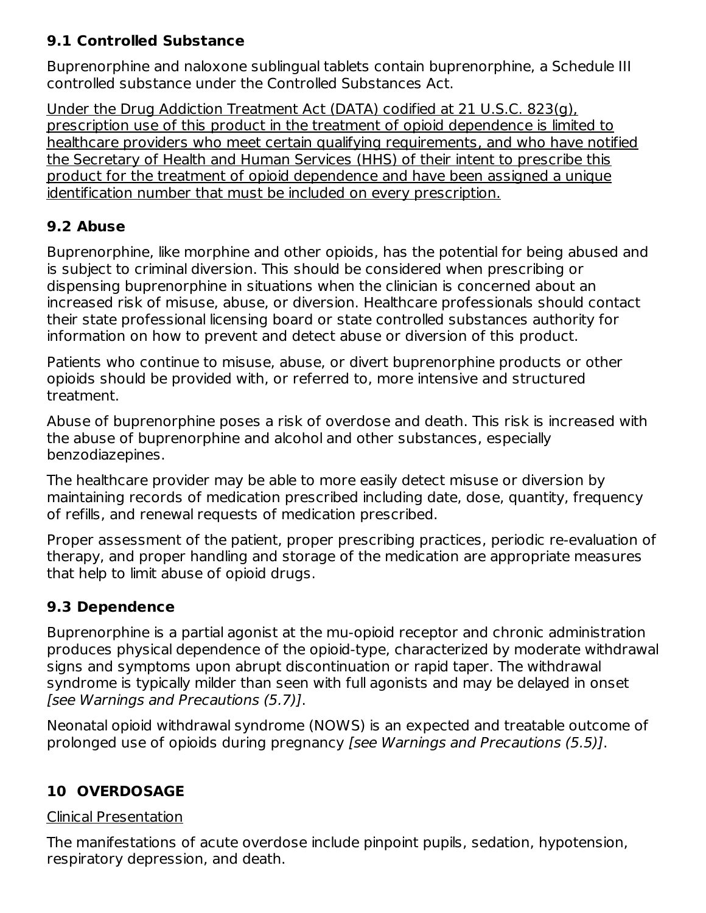### **9.1 Controlled Substance**

Buprenorphine and naloxone sublingual tablets contain buprenorphine, a Schedule III controlled substance under the Controlled Substances Act.

Under the Drug Addiction Treatment Act (DATA) codified at 21 U.S.C. 823(g), prescription use of this product in the treatment of opioid dependence is limited to healthcare providers who meet certain qualifying requirements, and who have notified the Secretary of Health and Human Services (HHS) of their intent to prescribe this product for the treatment of opioid dependence and have been assigned a unique identification number that must be included on every prescription.

# **9.2 Abuse**

Buprenorphine, like morphine and other opioids, has the potential for being abused and is subject to criminal diversion. This should be considered when prescribing or dispensing buprenorphine in situations when the clinician is concerned about an increased risk of misuse, abuse, or diversion. Healthcare professionals should contact their state professional licensing board or state controlled substances authority for information on how to prevent and detect abuse or diversion of this product.

Patients who continue to misuse, abuse, or divert buprenorphine products or other opioids should be provided with, or referred to, more intensive and structured treatment.

Abuse of buprenorphine poses a risk of overdose and death. This risk is increased with the abuse of buprenorphine and alcohol and other substances, especially benzodiazepines.

The healthcare provider may be able to more easily detect misuse or diversion by maintaining records of medication prescribed including date, dose, quantity, frequency of refills, and renewal requests of medication prescribed.

Proper assessment of the patient, proper prescribing practices, periodic re-evaluation of therapy, and proper handling and storage of the medication are appropriate measures that help to limit abuse of opioid drugs.

# **9.3 Dependence**

Buprenorphine is a partial agonist at the mu-opioid receptor and chronic administration produces physical dependence of the opioid-type, characterized by moderate withdrawal signs and symptoms upon abrupt discontinuation or rapid taper. The withdrawal syndrome is typically milder than seen with full agonists and may be delayed in onset [see Warnings and Precautions (5.7)].

Neonatal opioid withdrawal syndrome (NOWS) is an expected and treatable outcome of prolonged use of opioids during pregnancy [see Warnings and Precautions (5.5)].

# **10 OVERDOSAGE**

### Clinical Presentation

The manifestations of acute overdose include pinpoint pupils, sedation, hypotension, respiratory depression, and death.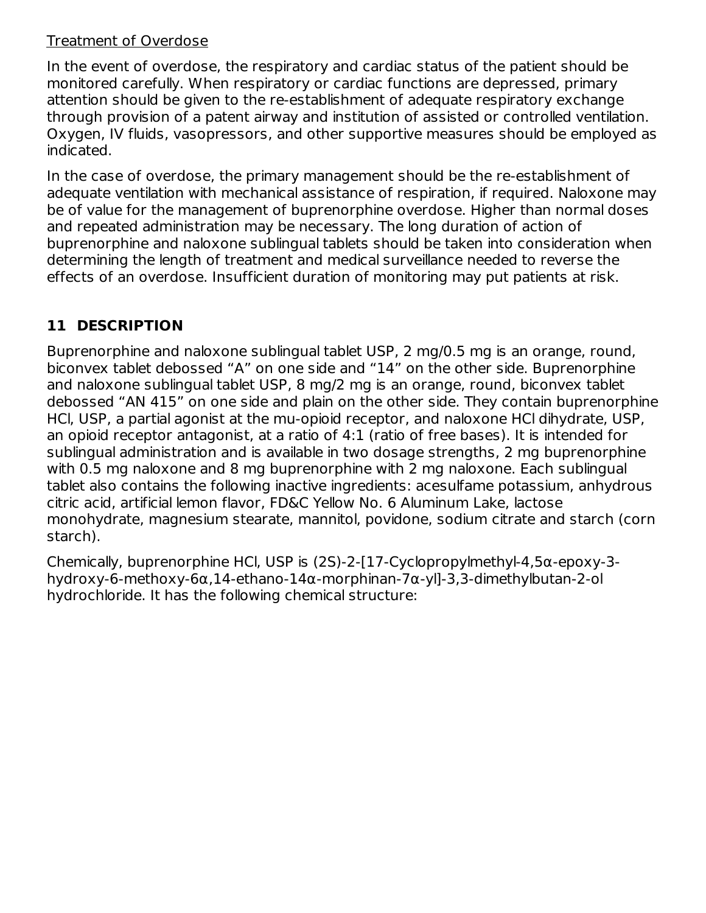#### Treatment of Overdose

In the event of overdose, the respiratory and cardiac status of the patient should be monitored carefully. When respiratory or cardiac functions are depressed, primary attention should be given to the re-establishment of adequate respiratory exchange through provision of a patent airway and institution of assisted or controlled ventilation. Oxygen, IV fluids, vasopressors, and other supportive measures should be employed as indicated.

In the case of overdose, the primary management should be the re-establishment of adequate ventilation with mechanical assistance of respiration, if required. Naloxone may be of value for the management of buprenorphine overdose. Higher than normal doses and repeated administration may be necessary. The long duration of action of buprenorphine and naloxone sublingual tablets should be taken into consideration when determining the length of treatment and medical surveillance needed to reverse the effects of an overdose. Insufficient duration of monitoring may put patients at risk.

# **11 DESCRIPTION**

Buprenorphine and naloxone sublingual tablet USP, 2 mg/0.5 mg is an orange, round, biconvex tablet debossed "A" on one side and "14" on the other side. Buprenorphine and naloxone sublingual tablet USP, 8 mg/2 mg is an orange, round, biconvex tablet debossed "AN 415" on one side and plain on the other side. They contain buprenorphine HCl, USP, a partial agonist at the mu-opioid receptor, and naloxone HCl dihydrate, USP, an opioid receptor antagonist, at a ratio of 4:1 (ratio of free bases). It is intended for sublingual administration and is available in two dosage strengths, 2 mg buprenorphine with 0.5 mg naloxone and 8 mg buprenorphine with 2 mg naloxone. Each sublingual tablet also contains the following inactive ingredients: acesulfame potassium, anhydrous citric acid, artificial lemon flavor, FD&C Yellow No. 6 Aluminum Lake, lactose monohydrate, magnesium stearate, mannitol, povidone, sodium citrate and starch (corn starch).

Chemically, buprenorphine HCl, USP is (2S)-2-[17-Cyclopropylmethyl-4,5α-epoxy-3 hydroxy-6-methoxy-6α,14-ethano-14α-morphinan-7α-yl]-3,3-dimethylbutan-2-ol hydrochloride. It has the following chemical structure: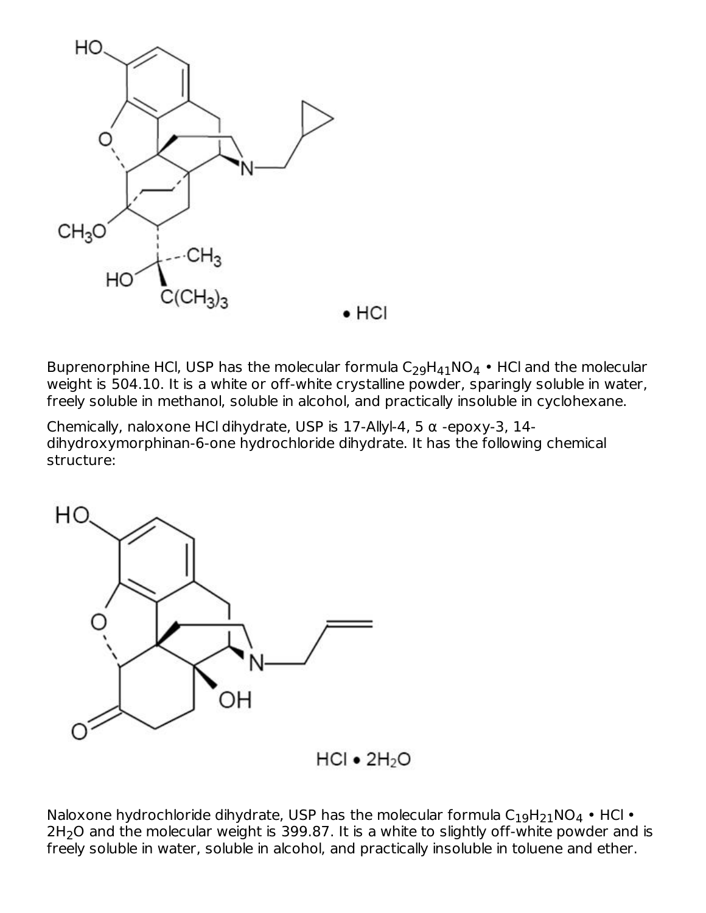

Buprenorphine HCl, USP has the molecular formula  $\mathsf{C}_{29}\mathsf{H}_{41}\mathsf{NO}_4$  • HCl and the molecular weight is 504.10. It is a white or off-white crystalline powder, sparingly soluble in water, freely soluble in methanol, soluble in alcohol, and practically insoluble in cyclohexane.

Chemically, naloxone HCl dihydrate, USP is 17-Allyl-4, 5  $\alpha$  -epoxy-3, 14dihydroxymorphinan-6-one hydrochloride dihydrate. It has the following chemical structure:



Naloxone hydrochloride dihydrate, USP has the molecular formula  $\mathsf{C}_1$ 9H $_{21}$ NO $_4$  • HCl •  $2H<sub>2</sub>O$  and the molecular weight is 399.87. It is a white to slightly off-white powder and is freely soluble in water, soluble in alcohol, and practically insoluble in toluene and ether.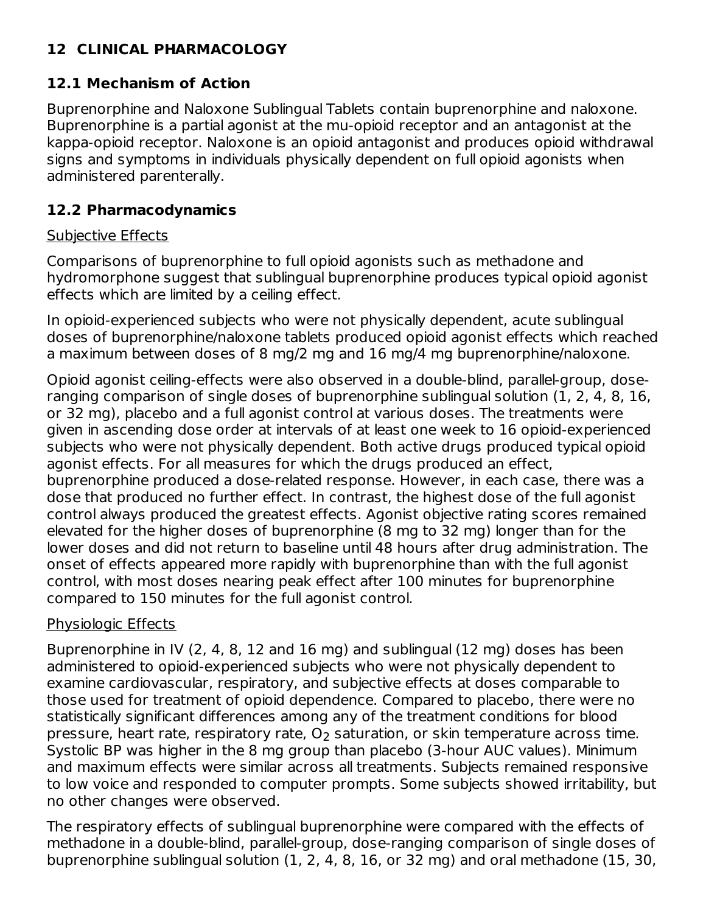## **12 CLINICAL PHARMACOLOGY**

### **12.1 Mechanism of Action**

Buprenorphine and Naloxone Sublingual Tablets contain buprenorphine and naloxone. Buprenorphine is a partial agonist at the mu-opioid receptor and an antagonist at the kappa-opioid receptor. Naloxone is an opioid antagonist and produces opioid withdrawal signs and symptoms in individuals physically dependent on full opioid agonists when administered parenterally.

### **12.2 Pharmacodynamics**

#### Subjective Effects

Comparisons of buprenorphine to full opioid agonists such as methadone and hydromorphone suggest that sublingual buprenorphine produces typical opioid agonist effects which are limited by a ceiling effect.

In opioid-experienced subjects who were not physically dependent, acute sublingual doses of buprenorphine/naloxone tablets produced opioid agonist effects which reached a maximum between doses of 8 mg/2 mg and 16 mg/4 mg buprenorphine/naloxone.

Opioid agonist ceiling-effects were also observed in a double-blind, parallel-group, doseranging comparison of single doses of buprenorphine sublingual solution (1, 2, 4, 8, 16, or 32 mg), placebo and a full agonist control at various doses. The treatments were given in ascending dose order at intervals of at least one week to 16 opioid-experienced subjects who were not physically dependent. Both active drugs produced typical opioid agonist effects. For all measures for which the drugs produced an effect, buprenorphine produced a dose-related response. However, in each case, there was a dose that produced no further effect. In contrast, the highest dose of the full agonist control always produced the greatest effects. Agonist objective rating scores remained elevated for the higher doses of buprenorphine (8 mg to 32 mg) longer than for the lower doses and did not return to baseline until 48 hours after drug administration. The onset of effects appeared more rapidly with buprenorphine than with the full agonist control, with most doses nearing peak effect after 100 minutes for buprenorphine compared to 150 minutes for the full agonist control.

## Physiologic Effects

Buprenorphine in IV (2, 4, 8, 12 and 16 mg) and sublingual (12 mg) doses has been administered to opioid-experienced subjects who were not physically dependent to examine cardiovascular, respiratory, and subjective effects at doses comparable to those used for treatment of opioid dependence. Compared to placebo, there were no statistically significant differences among any of the treatment conditions for blood pressure, heart rate, respiratory rate,  $O_2$  saturation, or skin temperature across time. Systolic BP was higher in the 8 mg group than placebo (3-hour AUC values). Minimum and maximum effects were similar across all treatments. Subjects remained responsive to low voice and responded to computer prompts. Some subjects showed irritability, but no other changes were observed.

The respiratory effects of sublingual buprenorphine were compared with the effects of methadone in a double-blind, parallel-group, dose-ranging comparison of single doses of buprenorphine sublingual solution (1, 2, 4, 8, 16, or 32 mg) and oral methadone (15, 30,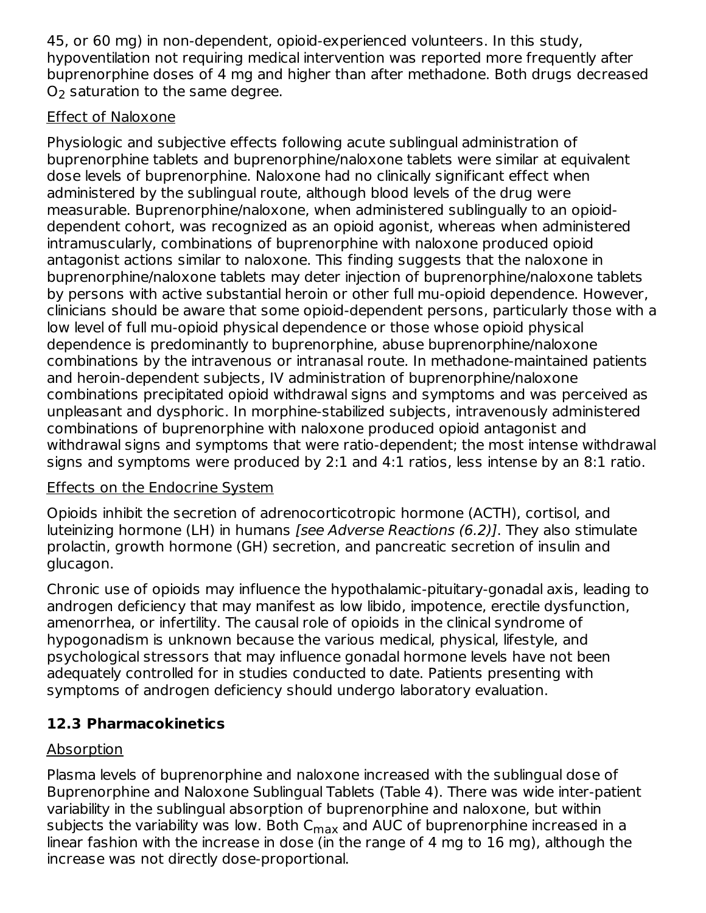45, or 60 mg) in non-dependent, opioid-experienced volunteers. In this study, hypoventilation not requiring medical intervention was reported more frequently after buprenorphine doses of 4 mg and higher than after methadone. Both drugs decreased  $O<sub>2</sub>$  saturation to the same degree.

#### Effect of Naloxone

Physiologic and subjective effects following acute sublingual administration of buprenorphine tablets and buprenorphine/naloxone tablets were similar at equivalent dose levels of buprenorphine. Naloxone had no clinically significant effect when administered by the sublingual route, although blood levels of the drug were measurable. Buprenorphine/naloxone, when administered sublingually to an opioiddependent cohort, was recognized as an opioid agonist, whereas when administered intramuscularly, combinations of buprenorphine with naloxone produced opioid antagonist actions similar to naloxone. This finding suggests that the naloxone in buprenorphine/naloxone tablets may deter injection of buprenorphine/naloxone tablets by persons with active substantial heroin or other full mu-opioid dependence. However, clinicians should be aware that some opioid-dependent persons, particularly those with a low level of full mu-opioid physical dependence or those whose opioid physical dependence is predominantly to buprenorphine, abuse buprenorphine/naloxone combinations by the intravenous or intranasal route. In methadone-maintained patients and heroin-dependent subjects, IV administration of buprenorphine/naloxone combinations precipitated opioid withdrawal signs and symptoms and was perceived as unpleasant and dysphoric. In morphine-stabilized subjects, intravenously administered combinations of buprenorphine with naloxone produced opioid antagonist and withdrawal signs and symptoms that were ratio-dependent; the most intense withdrawal signs and symptoms were produced by 2:1 and 4:1 ratios, less intense by an 8:1 ratio.

#### Effects on the Endocrine System

Opioids inhibit the secretion of adrenocorticotropic hormone (ACTH), cortisol, and luteinizing hormone (LH) in humans [see Adverse Reactions (6.2)]. They also stimulate prolactin, growth hormone (GH) secretion, and pancreatic secretion of insulin and glucagon.

Chronic use of opioids may influence the hypothalamic-pituitary-gonadal axis, leading to androgen deficiency that may manifest as low libido, impotence, erectile dysfunction, amenorrhea, or infertility. The causal role of opioids in the clinical syndrome of hypogonadism is unknown because the various medical, physical, lifestyle, and psychological stressors that may influence gonadal hormone levels have not been adequately controlled for in studies conducted to date. Patients presenting with symptoms of androgen deficiency should undergo laboratory evaluation.

## **12.3 Pharmacokinetics**

### Absorption

Plasma levels of buprenorphine and naloxone increased with the sublingual dose of Buprenorphine and Naloxone Sublingual Tablets (Table 4). There was wide inter-patient variability in the sublingual absorption of buprenorphine and naloxone, but within subjects the variability was low. Both C<sub>max</sub> and AUC of buprenorphine increased in a linear fashion with the increase in dose (in the range of 4 mg to 16 mg), although the increase was not directly dose-proportional.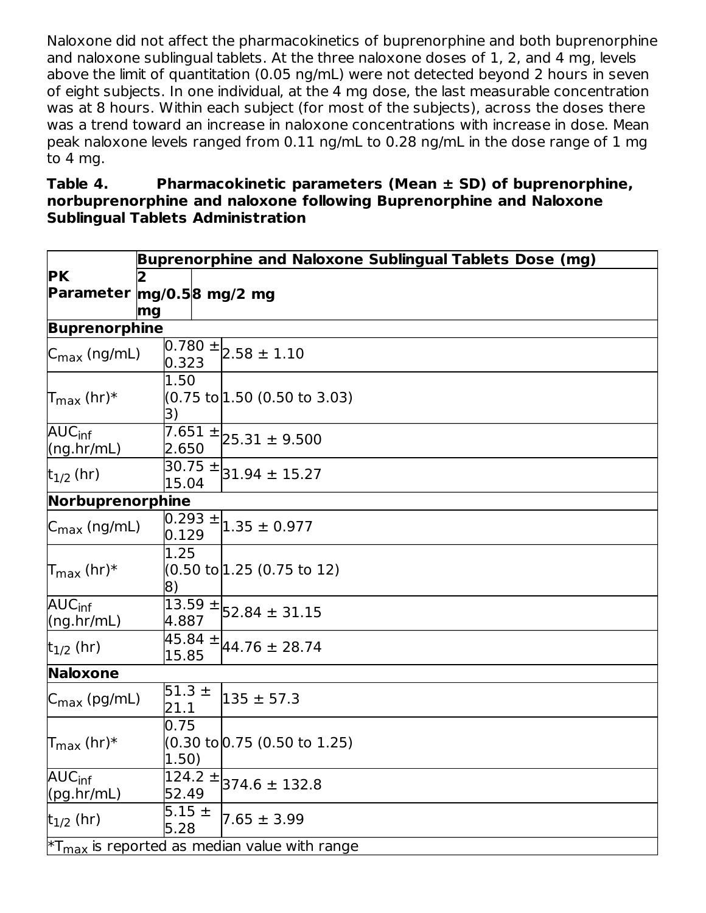Naloxone did not affect the pharmacokinetics of buprenorphine and both buprenorphine and naloxone sublingual tablets. At the three naloxone doses of 1, 2, and 4 mg, levels above the limit of quantitation (0.05 ng/mL) were not detected beyond 2 hours in seven of eight subjects. In one individual, at the 4 mg dose, the last measurable concentration was at 8 hours. Within each subject (for most of the subjects), across the doses there was a trend toward an increase in naloxone concentrations with increase in dose. Mean peak naloxone levels ranged from 0.11 ng/mL to 0.28 ng/mL in the dose range of 1 mg to 4 mg.

#### **Table 4. Pharmacokinetic parameters (Mean ± SD) of buprenorphine, norbuprenorphine and naloxone following Buprenorphine and Naloxone Sublingual Tablets Administration**

|                                                        | Buprenorphine and Naloxone Sublingual Tablets Dose (mg) |  |                                                          |  |  |
|--------------------------------------------------------|---------------------------------------------------------|--|----------------------------------------------------------|--|--|
| <b>PK</b>                                              |                                                         |  |                                                          |  |  |
| Parameter mg/0.58 mg/2 mg                              | mg                                                      |  |                                                          |  |  |
| <b>Buprenorphine</b>                                   |                                                         |  |                                                          |  |  |
| $C_{\text{max}}$ (ng/mL)                               | 0.323                                                   |  | $\overline{)0.780}$ ± $\overline{)2.58}$ ± 1.10          |  |  |
| $T_{\text{max}}$ (hr)*                                 | 1.50<br>B)                                              |  | (0.75 to 1.50 (0.50 to 3.03)                             |  |  |
| <b>AUC</b> <sub>inf</sub><br>(ng/hr/mL)                | 2.650                                                   |  | $\overline{7.651}$ ± 25.31 ± 9.500                       |  |  |
| $t_{1/2}$ (hr)                                         | 15.04                                                   |  | $\overline{30.75} \pm \overline{31.94} \pm 15.27$        |  |  |
| Norbuprenorphine                                       |                                                         |  |                                                          |  |  |
| $C_{\text{max}}$ (ng/mL)                               | 0.129                                                   |  | $\overline{)0.293}$ ± $\overline{)1.35}$ ± 0.977         |  |  |
| $\mathsf{T}_{\mathsf{max}}$ (hr)*                      | 1.25<br>8)                                              |  | (0.50 to 1.25 (0.75 to 12)                               |  |  |
| <b>AUC</b> <sub>inf</sub><br>(ng/hr/mL)                | 4.887                                                   |  | $\sqrt{13.59}$ ± 52.84 ± 31.15                           |  |  |
| $t_{1/2}$ (hr)                                         | 15.85                                                   |  | $\sqrt{45.84}$ ± $\sqrt{44.76}$ ± 28.74                  |  |  |
| <b>Naloxone</b>                                        |                                                         |  |                                                          |  |  |
| $C_{\text{max}}$ (pg/mL)                               | $51.3 \pm$<br>21.1                                      |  | $135 \pm 57.3$                                           |  |  |
| $T_{\text{max}}$ (hr)*                                 | 0.75<br>$ 1.50\rangle$                                  |  | $(0.30 \text{ to } 0.75 \ (0.50 \text{ to } 1.25))$      |  |  |
| $\overline{\mathsf{AUC}}_{\mathsf{inf}}$<br>(pg.hr/mL) | 52.49                                                   |  | $\overline{124.2} \pm 374.6 \pm 132.8$                   |  |  |
| $t_{1/2}$ (hr)                                         | $5.15 \pm$<br>5.28                                      |  | $7.65 \pm 3.99$                                          |  |  |
|                                                        |                                                         |  | $*T_{\text{max}}$ is reported as median value with range |  |  |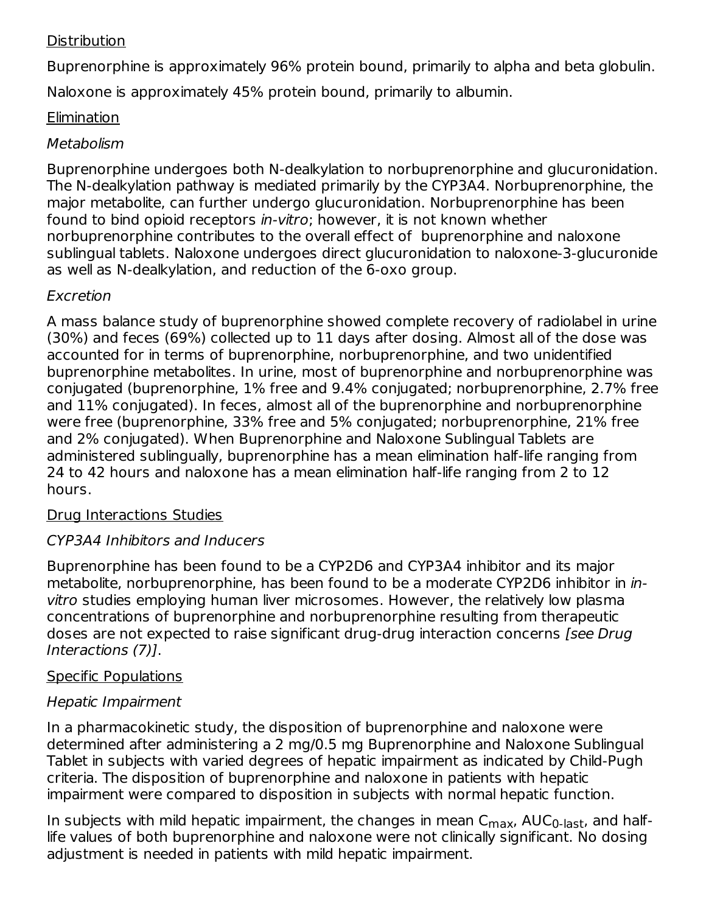#### **Distribution**

Buprenorphine is approximately 96% protein bound, primarily to alpha and beta globulin.

Naloxone is approximately 45% protein bound, primarily to albumin.

# Elimination

# Metabolism

Buprenorphine undergoes both N-dealkylation to norbuprenorphine and glucuronidation. The N-dealkylation pathway is mediated primarily by the CYP3A4. Norbuprenorphine, the major metabolite, can further undergo glucuronidation. Norbuprenorphine has been found to bind opioid receptors in-vitro; however, it is not known whether norbuprenorphine contributes to the overall effect of buprenorphine and naloxone sublingual tablets. Naloxone undergoes direct glucuronidation to naloxone-3-glucuronide as well as N-dealkylation, and reduction of the 6-oxo group.

### Excretion

A mass balance study of buprenorphine showed complete recovery of radiolabel in urine (30%) and feces (69%) collected up to 11 days after dosing. Almost all of the dose was accounted for in terms of buprenorphine, norbuprenorphine, and two unidentified buprenorphine metabolites. In urine, most of buprenorphine and norbuprenorphine was conjugated (buprenorphine, 1% free and 9.4% conjugated; norbuprenorphine, 2.7% free and 11% conjugated). In feces, almost all of the buprenorphine and norbuprenorphine were free (buprenorphine, 33% free and 5% conjugated; norbuprenorphine, 21% free and 2% conjugated). When Buprenorphine and Naloxone Sublingual Tablets are administered sublingually, buprenorphine has a mean elimination half-life ranging from 24 to 42 hours and naloxone has a mean elimination half-life ranging from 2 to 12 hours.

## Drug Interactions Studies

## CYP3A4 Inhibitors and Inducers

Buprenorphine has been found to be a CYP2D6 and CYP3A4 inhibitor and its major metabolite, norbuprenorphine, has been found to be a moderate CYP2D6 inhibitor in invitro studies employing human liver microsomes. However, the relatively low plasma concentrations of buprenorphine and norbuprenorphine resulting from therapeutic doses are not expected to raise significant drug-drug interaction concerns [see Drug Interactions (7)].

## Specific Populations

### Hepatic Impairment

In a pharmacokinetic study, the disposition of buprenorphine and naloxone were determined after administering a 2 mg/0.5 mg Buprenorphine and Naloxone Sublingual Tablet in subjects with varied degrees of hepatic impairment as indicated by Child-Pugh criteria. The disposition of buprenorphine and naloxone in patients with hepatic impairment were compared to disposition in subjects with normal hepatic function.

In subjects with mild hepatic impairment, the changes in mean C<sub>max</sub>, AUC<sub>0-last</sub>, and halflife values of both buprenorphine and naloxone were not clinically significant. No dosing adjustment is needed in patients with mild hepatic impairment.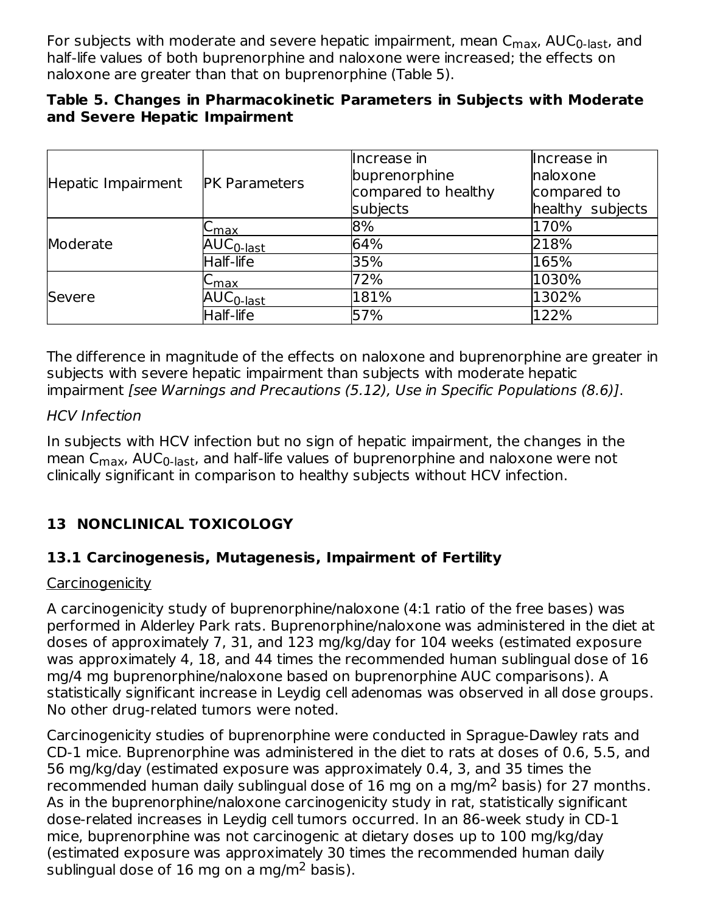For subjects with moderate and severe hepatic impairment, mean C<sub>max</sub>, AUC<sub>0-last</sub>, and half-life values of both buprenorphine and naloxone were increased; the effects on naloxone are greater than that on buprenorphine (Table 5).

#### **Table 5. Changes in Pharmacokinetic Parameters in Subjects with Moderate and Severe Hepatic Impairment**

| Hepatic Impairment | <b>PK Parameters</b>  | Increase in<br>buprenorphine<br>compared to healthy<br>subjects | Increase in<br>haloxone<br>compared to<br>healthy subjects |
|--------------------|-----------------------|-----------------------------------------------------------------|------------------------------------------------------------|
| Moderate           | $C_{\sf max}$         | 8%                                                              | 170%                                                       |
|                    | $AUC0$ -last          | 64%                                                             | 218%                                                       |
|                    | Half-life             | 35%                                                             | 165%                                                       |
| Severe             | $C_{\hbox{max}}$      | 72%                                                             | 1030%                                                      |
|                    | AUC <sub>0-last</sub> | 181%                                                            | 1302%                                                      |
|                    | Half-life             | 57%                                                             | 122%                                                       |

The difference in magnitude of the effects on naloxone and buprenorphine are greater in subjects with severe hepatic impairment than subjects with moderate hepatic impairment [see Warnings and Precautions (5.12), Use in Specific Populations (8.6)].

#### HCV Infection

In subjects with HCV infection but no sign of hepatic impairment, the changes in the mean C<sub>max</sub>, AUC<sub>0-last</sub>, and half-life values of buprenorphine and naloxone were not clinically significant in comparison to healthy subjects without HCV infection.

# **13 NONCLINICAL TOXICOLOGY**

### **13.1 Carcinogenesis, Mutagenesis, Impairment of Fertility**

#### **Carcinogenicity**

A carcinogenicity study of buprenorphine/naloxone (4:1 ratio of the free bases) was performed in Alderley Park rats. Buprenorphine/naloxone was administered in the diet at doses of approximately 7, 31, and 123 mg/kg/day for 104 weeks (estimated exposure was approximately 4, 18, and 44 times the recommended human sublingual dose of 16 mg/4 mg buprenorphine/naloxone based on buprenorphine AUC comparisons). A statistically significant increase in Leydig cell adenomas was observed in all dose groups. No other drug-related tumors were noted.

Carcinogenicity studies of buprenorphine were conducted in Sprague-Dawley rats and CD-1 mice. Buprenorphine was administered in the diet to rats at doses of 0.6, 5.5, and 56 mg/kg/day (estimated exposure was approximately 0.4, 3, and 35 times the recommended human daily sublingual dose of 16 mg on a mg/m<sup>2</sup> basis) for 27 months. As in the buprenorphine/naloxone carcinogenicity study in rat, statistically significant dose-related increases in Leydig cell tumors occurred. In an 86-week study in CD-1 mice, buprenorphine was not carcinogenic at dietary doses up to 100 mg/kg/day (estimated exposure was approximately 30 times the recommended human daily sublingual dose of  $16$  mg on a mg/m $2$  basis).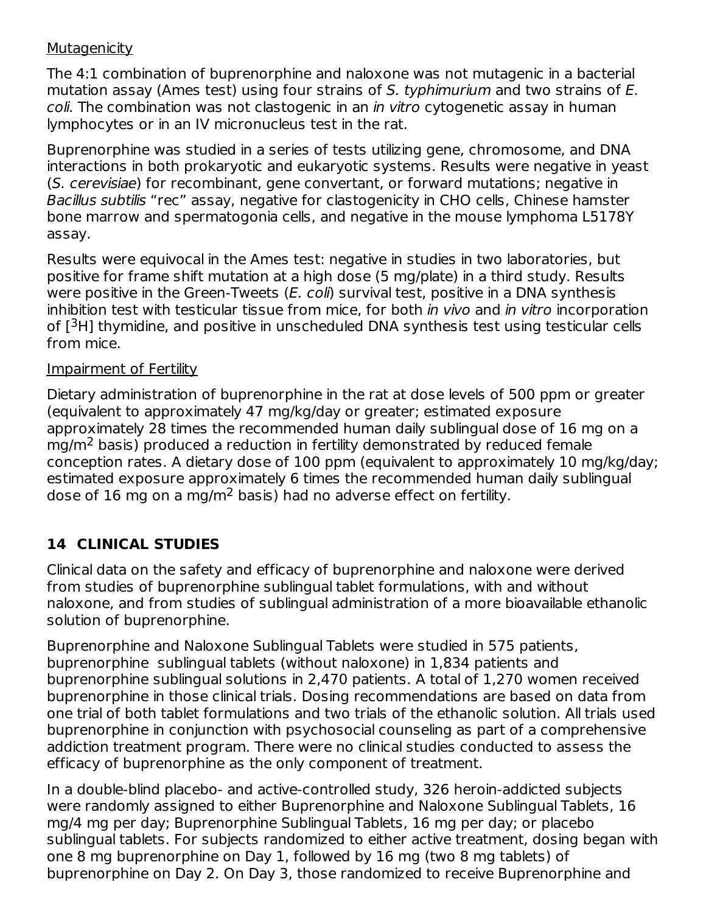#### **Mutagenicity**

The 4:1 combination of buprenorphine and naloxone was not mutagenic in a bacterial mutation assay (Ames test) using four strains of S. typhimurium and two strains of E. coli. The combination was not clastogenic in an in vitro cytogenetic assay in human lymphocytes or in an IV micronucleus test in the rat.

Buprenorphine was studied in a series of tests utilizing gene, chromosome, and DNA interactions in both prokaryotic and eukaryotic systems. Results were negative in yeast (S. cerevisiae) for recombinant, gene convertant, or forward mutations; negative in Bacillus subtilis "rec" assay, negative for clastogenicity in CHO cells, Chinese hamster bone marrow and spermatogonia cells, and negative in the mouse lymphoma L5178Y assay.

Results were equivocal in the Ames test: negative in studies in two laboratories, but positive for frame shift mutation at a high dose (5 mg/plate) in a third study. Results were positive in the Green-Tweets  $(E.\; \text{coll})$  survival test, positive in a DNA synthesis inhibition test with testicular tissue from mice, for both in vivo and in vitro incorporation of [<sup>3</sup>H] thymidine, and positive in unscheduled DNA synthesis test using testicular cells from mice.

#### Impairment of Fertility

Dietary administration of buprenorphine in the rat at dose levels of 500 ppm or greater (equivalent to approximately 47 mg/kg/day or greater; estimated exposure approximately 28 times the recommended human daily sublingual dose of 16 mg on a mg/m<sup>2</sup> basis) produced a reduction in fertility demonstrated by reduced female conception rates. A dietary dose of 100 ppm (equivalent to approximately 10 mg/kg/day; estimated exposure approximately 6 times the recommended human daily sublingual dose of 16 mg on a mg/m $2$  basis) had no adverse effect on fertility.

### **14 CLINICAL STUDIES**

Clinical data on the safety and efficacy of buprenorphine and naloxone were derived from studies of buprenorphine sublingual tablet formulations, with and without naloxone, and from studies of sublingual administration of a more bioavailable ethanolic solution of buprenorphine.

Buprenorphine and Naloxone Sublingual Tablets were studied in 575 patients, buprenorphine sublingual tablets (without naloxone) in 1,834 patients and buprenorphine sublingual solutions in 2,470 patients. A total of 1,270 women received buprenorphine in those clinical trials. Dosing recommendations are based on data from one trial of both tablet formulations and two trials of the ethanolic solution. All trials used buprenorphine in conjunction with psychosocial counseling as part of a comprehensive addiction treatment program. There were no clinical studies conducted to assess the efficacy of buprenorphine as the only component of treatment.

In a double-blind placebo- and active-controlled study, 326 heroin-addicted subjects were randomly assigned to either Buprenorphine and Naloxone Sublingual Tablets, 16 mg/4 mg per day; Buprenorphine Sublingual Tablets, 16 mg per day; or placebo sublingual tablets. For subjects randomized to either active treatment, dosing began with one 8 mg buprenorphine on Day 1, followed by 16 mg (two 8 mg tablets) of buprenorphine on Day 2. On Day 3, those randomized to receive Buprenorphine and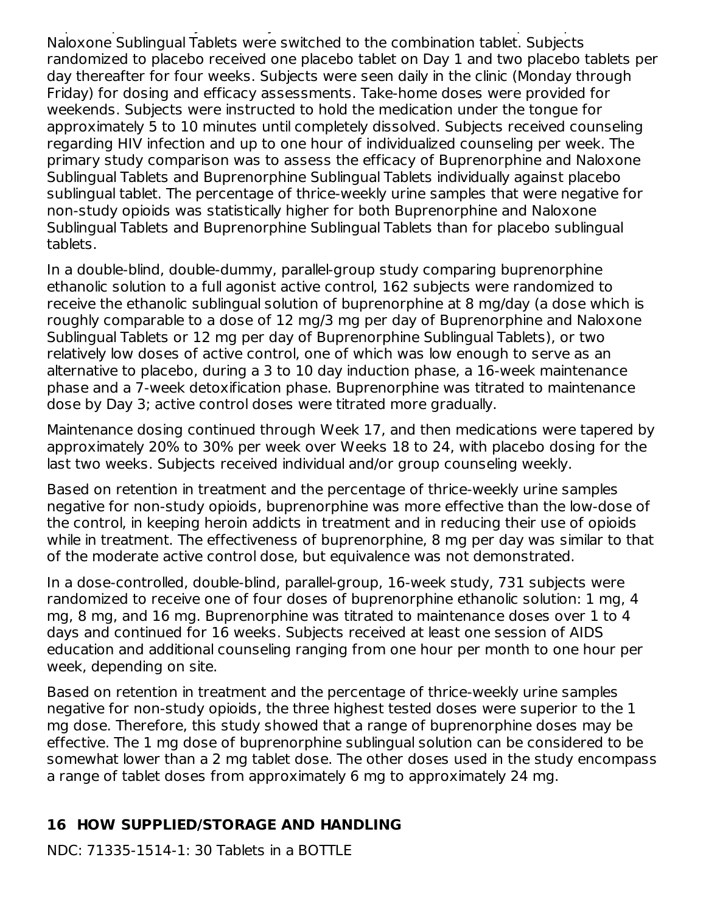buprenorphine on Day 2. On Day 3, those randomized to receive Buprenorphine and Naloxone Sublingual Tablets were switched to the combination tablet. Subjects randomized to placebo received one placebo tablet on Day 1 and two placebo tablets per day thereafter for four weeks. Subjects were seen daily in the clinic (Monday through Friday) for dosing and efficacy assessments. Take-home doses were provided for weekends. Subjects were instructed to hold the medication under the tongue for approximately 5 to 10 minutes until completely dissolved. Subjects received counseling regarding HIV infection and up to one hour of individualized counseling per week. The primary study comparison was to assess the efficacy of Buprenorphine and Naloxone Sublingual Tablets and Buprenorphine Sublingual Tablets individually against placebo sublingual tablet. The percentage of thrice-weekly urine samples that were negative for non-study opioids was statistically higher for both Buprenorphine and Naloxone Sublingual Tablets and Buprenorphine Sublingual Tablets than for placebo sublingual tablets.

In a double-blind, double-dummy, parallel-group study comparing buprenorphine ethanolic solution to a full agonist active control, 162 subjects were randomized to receive the ethanolic sublingual solution of buprenorphine at 8 mg/day (a dose which is roughly comparable to a dose of 12 mg/3 mg per day of Buprenorphine and Naloxone Sublingual Tablets or 12 mg per day of Buprenorphine Sublingual Tablets), or two relatively low doses of active control, one of which was low enough to serve as an alternative to placebo, during a 3 to 10 day induction phase, a 16-week maintenance phase and a 7-week detoxification phase. Buprenorphine was titrated to maintenance dose by Day 3; active control doses were titrated more gradually.

Maintenance dosing continued through Week 17, and then medications were tapered by approximately 20% to 30% per week over Weeks 18 to 24, with placebo dosing for the last two weeks. Subjects received individual and/or group counseling weekly.

Based on retention in treatment and the percentage of thrice-weekly urine samples negative for non-study opioids, buprenorphine was more effective than the low-dose of the control, in keeping heroin addicts in treatment and in reducing their use of opioids while in treatment. The effectiveness of buprenorphine, 8 mg per day was similar to that of the moderate active control dose, but equivalence was not demonstrated.

In a dose-controlled, double-blind, parallel-group, 16-week study, 731 subjects were randomized to receive one of four doses of buprenorphine ethanolic solution: 1 mg, 4 mg, 8 mg, and 16 mg. Buprenorphine was titrated to maintenance doses over 1 to 4 days and continued for 16 weeks. Subjects received at least one session of AIDS education and additional counseling ranging from one hour per month to one hour per week, depending on site.

Based on retention in treatment and the percentage of thrice-weekly urine samples negative for non-study opioids, the three highest tested doses were superior to the 1 mg dose. Therefore, this study showed that a range of buprenorphine doses may be effective. The 1 mg dose of buprenorphine sublingual solution can be considered to be somewhat lower than a 2 mg tablet dose. The other doses used in the study encompass a range of tablet doses from approximately 6 mg to approximately 24 mg.

### **16 HOW SUPPLIED/STORAGE AND HANDLING**

NDC: 71335-1514-1: 30 Tablets in a BOTTLE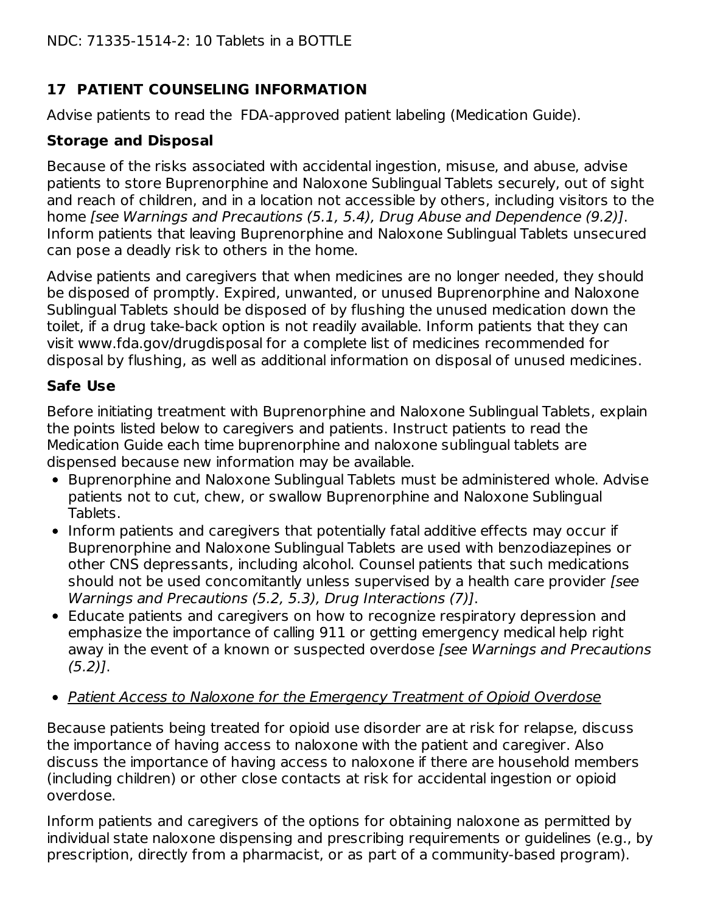### **17 PATIENT COUNSELING INFORMATION**

Advise patients to read the FDA-approved patient labeling (Medication Guide).

### **Storage and Disposal**

Because of the risks associated with accidental ingestion, misuse, and abuse, advise patients to store Buprenorphine and Naloxone Sublingual Tablets securely, out of sight and reach of children, and in a location not accessible by others, including visitors to the home [see Warnings and Precautions (5.1, 5.4), Drug Abuse and Dependence (9.2)]. Inform patients that leaving Buprenorphine and Naloxone Sublingual Tablets unsecured can pose a deadly risk to others in the home.

Advise patients and caregivers that when medicines are no longer needed, they should be disposed of promptly. Expired, unwanted, or unused Buprenorphine and Naloxone Sublingual Tablets should be disposed of by flushing the unused medication down the toilet, if a drug take-back option is not readily available. Inform patients that they can visit www.fda.gov/drugdisposal for a complete list of medicines recommended for disposal by flushing, as well as additional information on disposal of unused medicines.

### **Safe Use**

Before initiating treatment with Buprenorphine and Naloxone Sublingual Tablets, explain the points listed below to caregivers and patients. Instruct patients to read the Medication Guide each time buprenorphine and naloxone sublingual tablets are dispensed because new information may be available.

- Buprenorphine and Naloxone Sublingual Tablets must be administered whole. Advise patients not to cut, chew, or swallow Buprenorphine and Naloxone Sublingual Tablets.
- Inform patients and caregivers that potentially fatal additive effects may occur if Buprenorphine and Naloxone Sublingual Tablets are used with benzodiazepines or other CNS depressants, including alcohol. Counsel patients that such medications should not be used concomitantly unless supervised by a health care provider [see Warnings and Precautions (5.2, 5.3), Drug Interactions (7)].
- Educate patients and caregivers on how to recognize respiratory depression and emphasize the importance of calling 911 or getting emergency medical help right away in the event of a known or suspected overdose [see Warnings and Precautions  $(5.2)$ ].
- Patient Access to Naloxone for the Emergency Treatment of Opioid Overdose

Because patients being treated for opioid use disorder are at risk for relapse, discuss the importance of having access to naloxone with the patient and caregiver. Also discuss the importance of having access to naloxone if there are household members (including children) or other close contacts at risk for accidental ingestion or opioid overdose.

Inform patients and caregivers of the options for obtaining naloxone as permitted by individual state naloxone dispensing and prescribing requirements or guidelines (e.g., by prescription, directly from a pharmacist, or as part of a community-based program).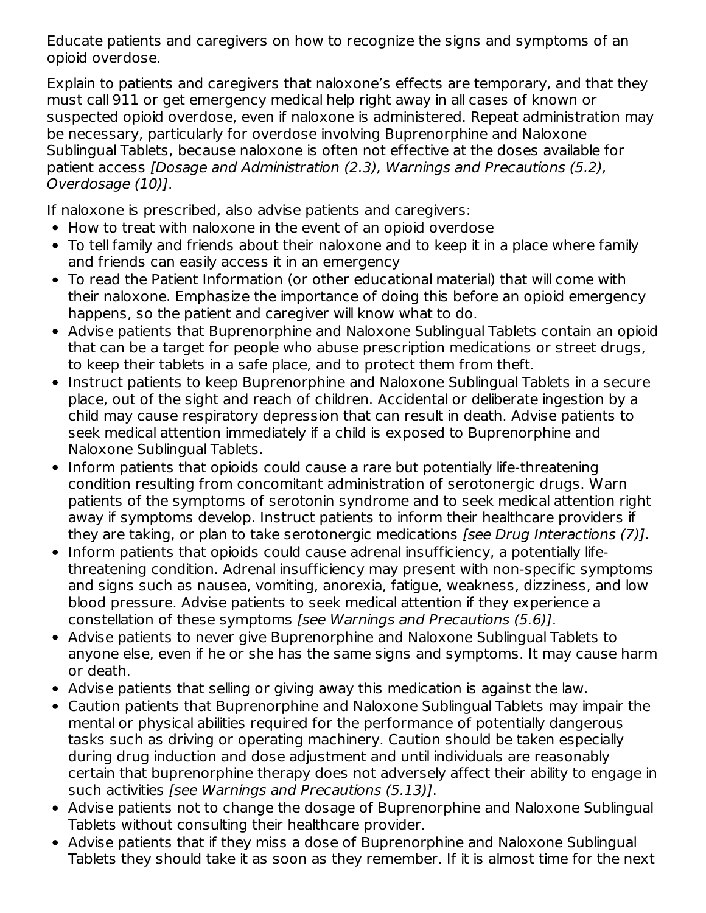Educate patients and caregivers on how to recognize the signs and symptoms of an opioid overdose.

Explain to patients and caregivers that naloxone's effects are temporary, and that they must call 911 or get emergency medical help right away in all cases of known or suspected opioid overdose, even if naloxone is administered. Repeat administration may be necessary, particularly for overdose involving Buprenorphine and Naloxone Sublingual Tablets, because naloxone is often not effective at the doses available for patient access [Dosage and Administration (2.3), Warnings and Precautions (5.2), Overdosage (10)].

If naloxone is prescribed, also advise patients and caregivers:

- How to treat with naloxone in the event of an opioid overdose
- To tell family and friends about their naloxone and to keep it in a place where family and friends can easily access it in an emergency
- To read the Patient Information (or other educational material) that will come with their naloxone. Emphasize the importance of doing this before an opioid emergency happens, so the patient and caregiver will know what to do.
- Advise patients that Buprenorphine and Naloxone Sublingual Tablets contain an opioid that can be a target for people who abuse prescription medications or street drugs, to keep their tablets in a safe place, and to protect them from theft.
- Instruct patients to keep Buprenorphine and Naloxone Sublingual Tablets in a secure place, out of the sight and reach of children. Accidental or deliberate ingestion by a child may cause respiratory depression that can result in death. Advise patients to seek medical attention immediately if a child is exposed to Buprenorphine and Naloxone Sublingual Tablets.
- Inform patients that opioids could cause a rare but potentially life-threatening condition resulting from concomitant administration of serotonergic drugs. Warn patients of the symptoms of serotonin syndrome and to seek medical attention right away if symptoms develop. Instruct patients to inform their healthcare providers if they are taking, or plan to take serotonergic medications *[see Drug Interactions (7)]*.
- Inform patients that opioids could cause adrenal insufficiency, a potentially lifethreatening condition. Adrenal insufficiency may present with non-specific symptoms and signs such as nausea, vomiting, anorexia, fatigue, weakness, dizziness, and low blood pressure. Advise patients to seek medical attention if they experience a constellation of these symptoms [see Warnings and Precautions (5.6)].
- Advise patients to never give Buprenorphine and Naloxone Sublingual Tablets to anyone else, even if he or she has the same signs and symptoms. It may cause harm or death.
- Advise patients that selling or giving away this medication is against the law.
- Caution patients that Buprenorphine and Naloxone Sublingual Tablets may impair the mental or physical abilities required for the performance of potentially dangerous tasks such as driving or operating machinery. Caution should be taken especially during drug induction and dose adjustment and until individuals are reasonably certain that buprenorphine therapy does not adversely affect their ability to engage in such activities [see Warnings and Precautions (5.13)].
- Advise patients not to change the dosage of Buprenorphine and Naloxone Sublingual Tablets without consulting their healthcare provider.
- Advise patients that if they miss a dose of Buprenorphine and Naloxone Sublingual Tablets they should take it as soon as they remember. If it is almost time for the next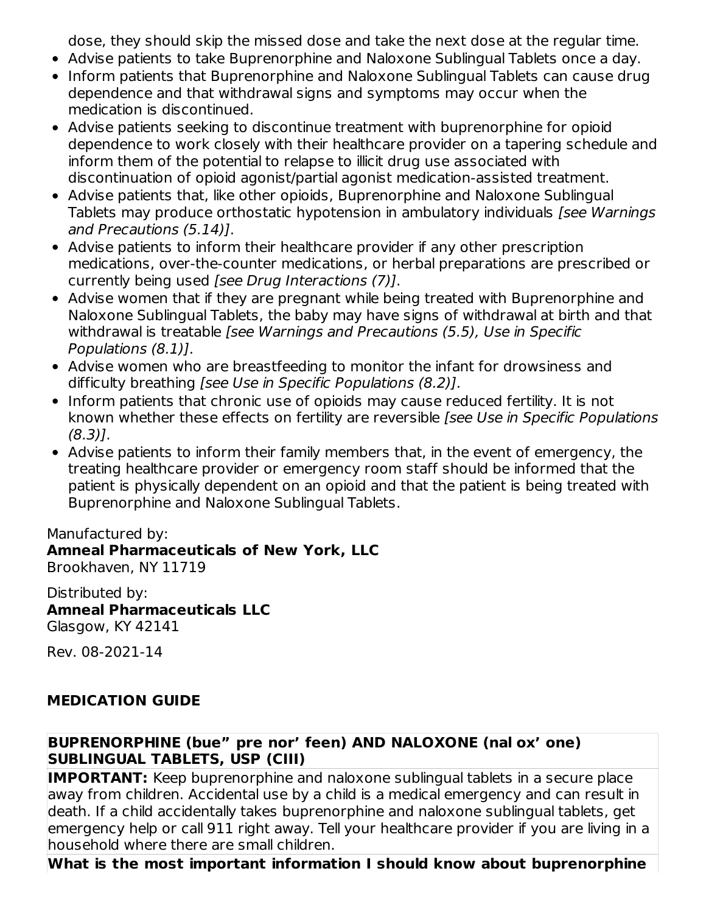dose, they should skip the missed dose and take the next dose at the regular time.

- Advise patients to take Buprenorphine and Naloxone Sublingual Tablets once a day.
- Inform patients that Buprenorphine and Naloxone Sublingual Tablets can cause drug dependence and that withdrawal signs and symptoms may occur when the medication is discontinued.
- Advise patients seeking to discontinue treatment with buprenorphine for opioid dependence to work closely with their healthcare provider on a tapering schedule and inform them of the potential to relapse to illicit drug use associated with discontinuation of opioid agonist/partial agonist medication-assisted treatment.
- Advise patients that, like other opioids, Buprenorphine and Naloxone Sublingual Tablets may produce orthostatic hypotension in ambulatory individuals [see Warnings and Precautions (5.14)].
- Advise patients to inform their healthcare provider if any other prescription medications, over-the-counter medications, or herbal preparations are prescribed or currently being used [see Drug Interactions (7)].
- Advise women that if they are pregnant while being treated with Buprenorphine and Naloxone Sublingual Tablets, the baby may have signs of withdrawal at birth and that withdrawal is treatable [see Warnings and Precautions (5.5), Use in Specific Populations (8.1)].
- Advise women who are breastfeeding to monitor the infant for drowsiness and difficulty breathing [see Use in Specific Populations (8.2)].
- Inform patients that chronic use of opioids may cause reduced fertility. It is not known whether these effects on fertility are reversible [see Use in Specific Populations (8.3)].
- Advise patients to inform their family members that, in the event of emergency, the treating healthcare provider or emergency room staff should be informed that the patient is physically dependent on an opioid and that the patient is being treated with Buprenorphine and Naloxone Sublingual Tablets.

#### Manufactured by:

**Amneal Pharmaceuticals of New York, LLC** Brookhaven, NY 11719

Distributed by: **Amneal Pharmaceuticals LLC** Glasgow, KY 42141

Rev. 08-2021-14

### **MEDICATION GUIDE**

#### **BUPRENORPHINE (bue" pre nor' feen) AND NALOXONE (nal ox' one) SUBLINGUAL TABLETS, USP (CIII)**

**IMPORTANT:** Keep buprenorphine and naloxone sublingual tablets in a secure place away from children. Accidental use by a child is a medical emergency and can result in death. If a child accidentally takes buprenorphine and naloxone sublingual tablets, get emergency help or call 911 right away. Tell your healthcare provider if you are living in a household where there are small children.

**What is the most important information I should know about buprenorphine**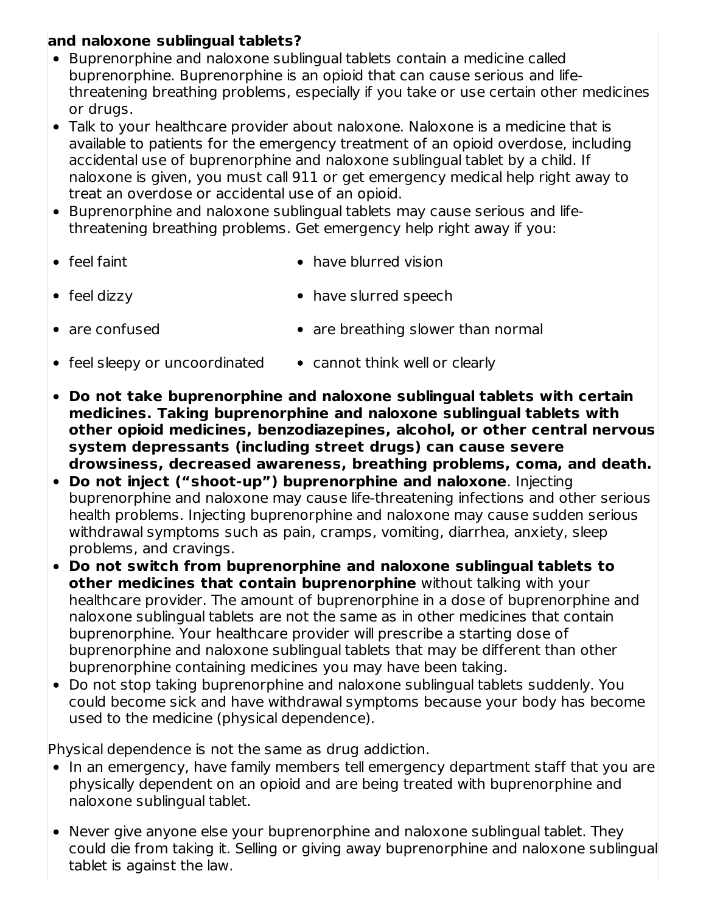### **and naloxone sublingual tablets?**

- Buprenorphine and naloxone sublingual tablets contain a medicine called buprenorphine. Buprenorphine is an opioid that can cause serious and lifethreatening breathing problems, especially if you take or use certain other medicines or drugs.
- Talk to your healthcare provider about naloxone. Naloxone is a medicine that is available to patients for the emergency treatment of an opioid overdose, including accidental use of buprenorphine and naloxone sublingual tablet by a child. If naloxone is given, you must call 911 or get emergency medical help right away to treat an overdose or accidental use of an opioid.
- Buprenorphine and naloxone sublingual tablets may cause serious and lifethreatening breathing problems. Get emergency help right away if you:
- feel faint **have blurred vision**
- feel dizzy have slurred speech
- are confused **are breathing slower than normal**
- feel sleepy or uncoordinated  $\bullet$  cannot think well or clearly
- **Do not take buprenorphine and naloxone sublingual tablets with certain medicines. Taking buprenorphine and naloxone sublingual tablets with other opioid medicines, benzodiazepines, alcohol, or other central nervous system depressants (including street drugs) can cause severe drowsiness, decreased awareness, breathing problems, coma, and death.**
- **Do not inject ("shoot‐up") buprenorphine and naloxone**. Injecting buprenorphine and naloxone may cause life‐threatening infections and other serious health problems. Injecting buprenorphine and naloxone may cause sudden serious withdrawal symptoms such as pain, cramps, vomiting, diarrhea, anxiety, sleep problems, and cravings.
- **Do not switch from buprenorphine and naloxone sublingual tablets to other medicines that contain buprenorphine** without talking with your healthcare provider. The amount of buprenorphine in a dose of buprenorphine and naloxone sublingual tablets are not the same as in other medicines that contain buprenorphine. Your healthcare provider will prescribe a starting dose of buprenorphine and naloxone sublingual tablets that may be different than other buprenorphine containing medicines you may have been taking.
- Do not stop taking buprenorphine and naloxone sublingual tablets suddenly. You could become sick and have withdrawal symptoms because your body has become used to the medicine (physical dependence).

Physical dependence is not the same as drug addiction.

- In an emergency, have family members tell emergency department staff that you are physically dependent on an opioid and are being treated with buprenorphine and naloxone sublingual tablet.
- Never give anyone else your buprenorphine and naloxone sublingual tablet. They could die from taking it. Selling or giving away buprenorphine and naloxone sublingual tablet is against the law.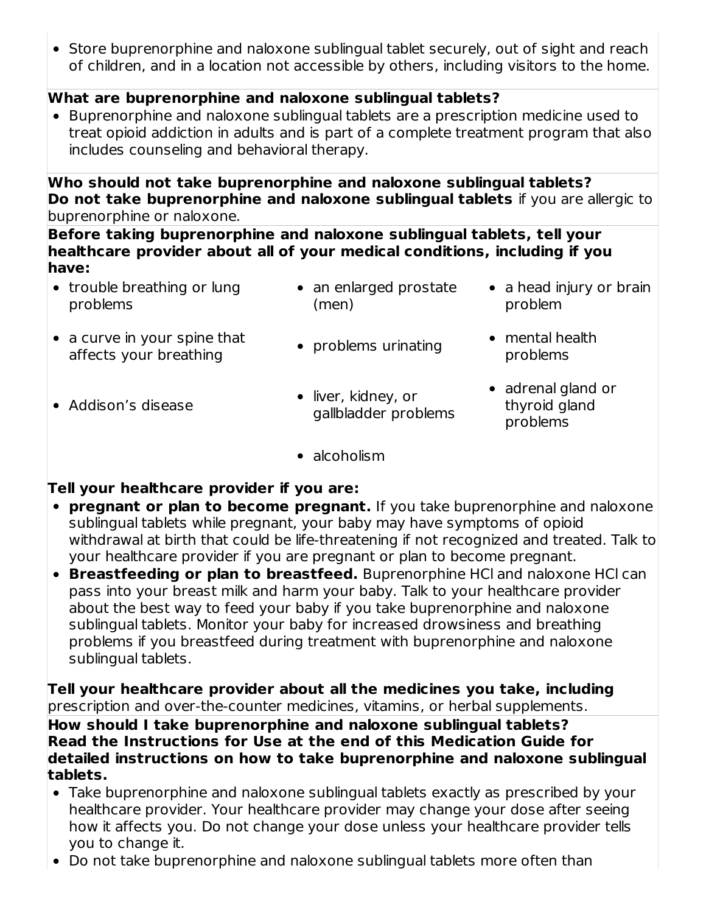Store buprenorphine and naloxone sublingual tablet securely, out of sight and reach of children, and in a location not accessible by others, including visitors to the home.

#### **What are buprenorphine and naloxone sublingual tablets?**

Buprenorphine and naloxone sublingual tablets are a prescription medicine used to treat opioid addiction in adults and is part of a complete treatment program that also includes counseling and behavioral therapy.

**Who should not take buprenorphine and naloxone sublingual tablets? Do not take buprenorphine and naloxone sublingual tablets** if you are allergic to buprenorphine or naloxone.

**Before taking buprenorphine and naloxone sublingual tablets, tell your healthcare provider about all of your medical conditions, including if you have:**

• trouble breathing or lung problems

• a curve in your spine that affects your breathing

- an enlarged prostate (men)
- a head injury or brain problem
- problems urinating  $\bullet$  mental health problems
- Addison's disease
- liver, kidney, or gallbladder problems
- adrenal gland or thyroid gland problems

• alcoholism

## **Tell your healthcare provider if you are:**

- **pregnant or plan to become pregnant.** If you take buprenorphine and naloxone sublingual tablets while pregnant, your baby may have symptoms of opioid withdrawal at birth that could be life-threatening if not recognized and treated. Talk to your healthcare provider if you are pregnant or plan to become pregnant.
- **Breastfeeding or plan to breastfeed.** Buprenorphine HCl and naloxone HCl can pass into your breast milk and harm your baby. Talk to your healthcare provider about the best way to feed your baby if you take buprenorphine and naloxone sublingual tablets. Monitor your baby for increased drowsiness and breathing problems if you breastfeed during treatment with buprenorphine and naloxone sublingual tablets.

**Tell your healthcare provider about all the medicines you take, including** prescription and over-the-counter medicines, vitamins, or herbal supplements.

**How should I take buprenorphine and naloxone sublingual tablets? Read the Instructions for Use at the end of this Medication Guide for detailed instructions on how to take buprenorphine and naloxone sublingual tablets.**

- Take buprenorphine and naloxone sublingual tablets exactly as prescribed by your healthcare provider. Your healthcare provider may change your dose after seeing how it affects you. Do not change your dose unless your healthcare provider tells you to change it.
- Do not take buprenorphine and naloxone sublingual tablets more often than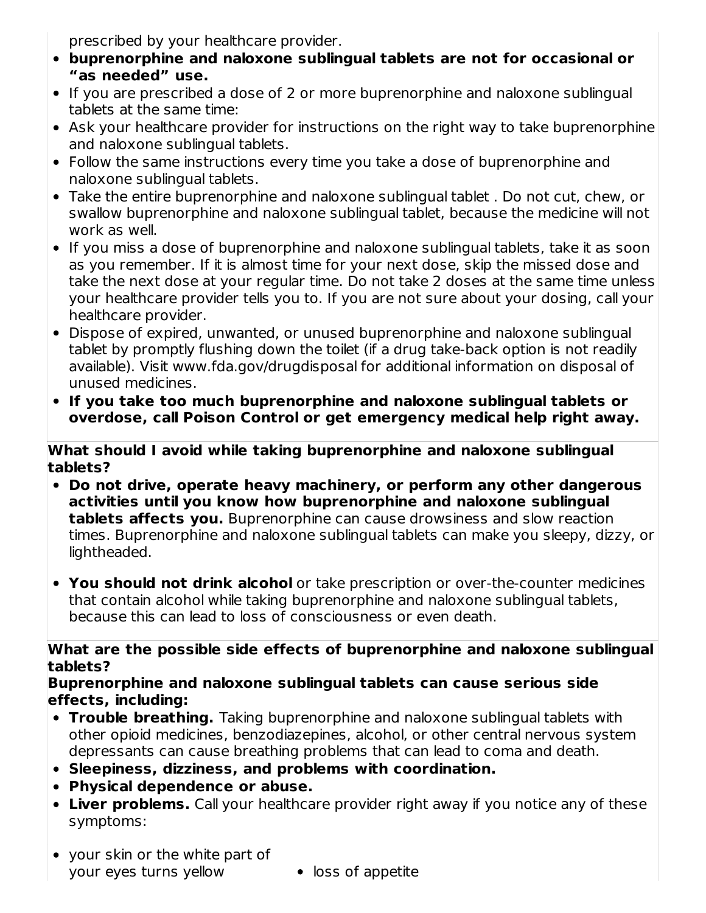prescribed by your healthcare provider.

- **buprenorphine and naloxone sublingual tablets are not for occasional or "as needed" use.**
- If you are prescribed a dose of 2 or more buprenorphine and naloxone sublingual tablets at the same time:
- Ask your healthcare provider for instructions on the right way to take buprenorphine and naloxone sublingual tablets.
- Follow the same instructions every time you take a dose of buprenorphine and naloxone sublingual tablets.
- Take the entire buprenorphine and naloxone sublingual tablet . Do not cut, chew, or swallow buprenorphine and naloxone sublingual tablet, because the medicine will not work as well.
- If you miss a dose of buprenorphine and naloxone sublingual tablets, take it as soon as you remember. If it is almost time for your next dose, skip the missed dose and take the next dose at your regular time. Do not take 2 doses at the same time unless your healthcare provider tells you to. If you are not sure about your dosing, call your healthcare provider.
- Dispose of expired, unwanted, or unused buprenorphine and naloxone sublingual tablet by promptly flushing down the toilet (if a drug take‐back option is not readily available). Visit www.fda.gov/drugdisposal for additional information on disposal of unused medicines.
- **If you take too much buprenorphine and naloxone sublingual tablets or overdose, call Poison Control or get emergency medical help right away.**

**What should I avoid while taking buprenorphine and naloxone sublingual tablets?**

- **Do not drive, operate heavy machinery, or perform any other dangerous activities until you know how buprenorphine and naloxone sublingual tablets affects you.** Buprenorphine can cause drowsiness and slow reaction times. Buprenorphine and naloxone sublingual tablets can make you sleepy, dizzy, or lightheaded.
- **You should not drink alcohol** or take prescription or over‐the‐counter medicines that contain alcohol while taking buprenorphine and naloxone sublingual tablets, because this can lead to loss of consciousness or even death.

**What are the possible side effects of buprenorphine and naloxone sublingual tablets?**

#### **Buprenorphine and naloxone sublingual tablets can cause serious side effects, including:**

- **Trouble breathing.** Taking buprenorphine and naloxone sublingual tablets with other opioid medicines, benzodiazepines, alcohol, or other central nervous system depressants can cause breathing problems that can lead to coma and death.
- **Sleepiness, dizziness, and problems with coordination.**
- **Physical dependence or abuse.**
- **Liver problems.** Call your healthcare provider right away if you notice any of these symptoms:
- your skin or the white part of your eyes turns yellow • loss of appetite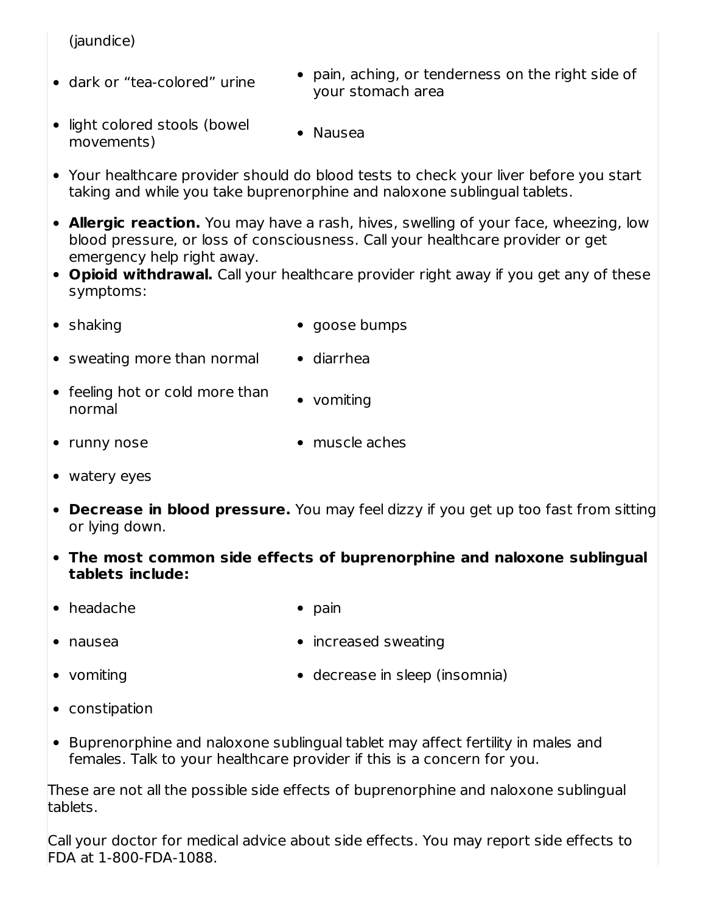(jaundice)

- dark or "tea-colored" urine
- pain, aching, or tenderness on the right side of your stomach area
- light colored stools (bowel movements)
- Nausea
- Your healthcare provider should do blood tests to check your liver before you start taking and while you take buprenorphine and naloxone sublingual tablets.
- **Allergic reaction.** You may have a rash, hives, swelling of your face, wheezing, low blood pressure, or loss of consciousness. Call your healthcare provider or get emergency help right away.
- **Opioid withdrawal.** Call your healthcare provider right away if you get any of these symptoms:
- shaking extended to the shaking of the shaking of the shaking states of the shaking states of the shaking states of the shaking states of the shaking states of the shaking states of the shaking states of the shaking stat
- $\bullet$  sweating more than normal  $\bullet$  diarrhea
- feeling hot or cold more than normal • vomiting
- runny nose **entity** muscle aches
- watery eyes
- **Decrease in blood pressure.** You may feel dizzy if you get up too fast from sitting or lying down.
- **The most common side effects of buprenorphine and naloxone sublingual tablets include:**
- headache pain
- 

- 
- nausea **increased sweating**
- vomiting extended to the decrease in sleep (insomnia)
	-

- constipation
- Buprenorphine and naloxone sublingual tablet may affect fertility in males and females. Talk to your healthcare provider if this is a concern for you.

These are not all the possible side effects of buprenorphine and naloxone sublingual tablets.

Call your doctor for medical advice about side effects. You may report side effects to FDA at 1-800-FDA-1088.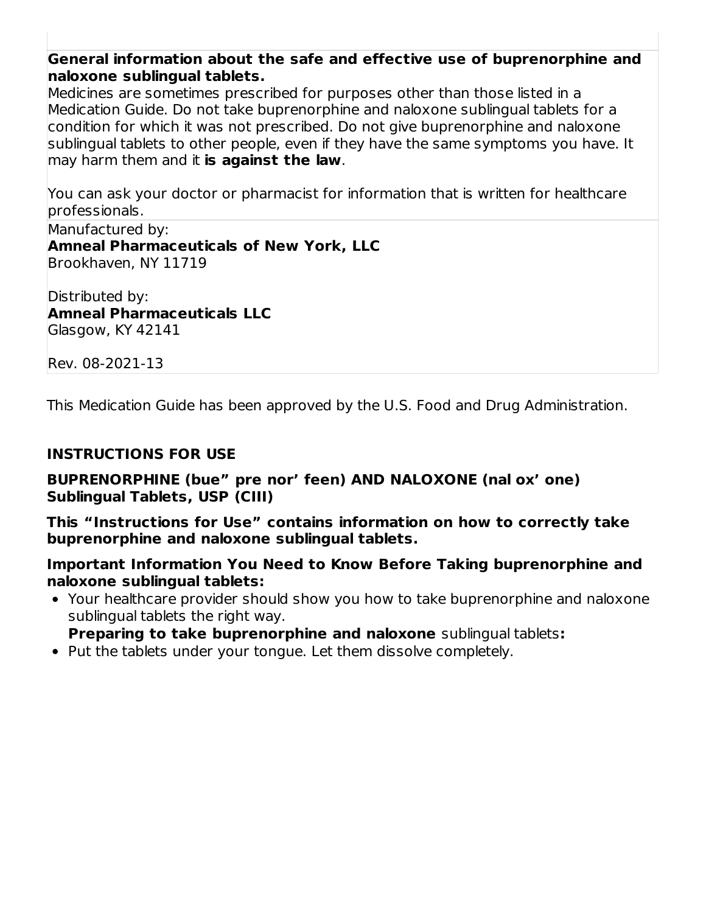**General information about the safe and effective use of buprenorphine and naloxone sublingual tablets.**

Medicines are sometimes prescribed for purposes other than those listed in a Medication Guide. Do not take buprenorphine and naloxone sublingual tablets for a condition for which it was not prescribed. Do not give buprenorphine and naloxone sublingual tablets to other people, even if they have the same symptoms you have. It may harm them and it **is against the law**.

You can ask your doctor or pharmacist for information that is written for healthcare professionals.

Manufactured by: **Amneal Pharmaceuticals of New York, LLC** Brookhaven, NY 11719

Distributed by: **Amneal Pharmaceuticals LLC** Glasgow, KY 42141

Rev. 08-2021-13

This Medication Guide has been approved by the U.S. Food and Drug Administration.

#### **INSTRUCTIONS FOR USE**

**BUPRENORPHINE (bue" pre nor' feen) AND NALOXONE (nal ox' one) Sublingual Tablets, USP (CIII)**

**This "Instructions for Use" contains information on how to correctly take buprenorphine and naloxone sublingual tablets.**

#### **Important Information You Need to Know Before Taking buprenorphine and naloxone sublingual tablets:**

Your healthcare provider should show you how to take buprenorphine and naloxone sublingual tablets the right way.

**Preparing to take buprenorphine and naloxone** sublingual tablets**:**

• Put the tablets under your tongue. Let them dissolve completely.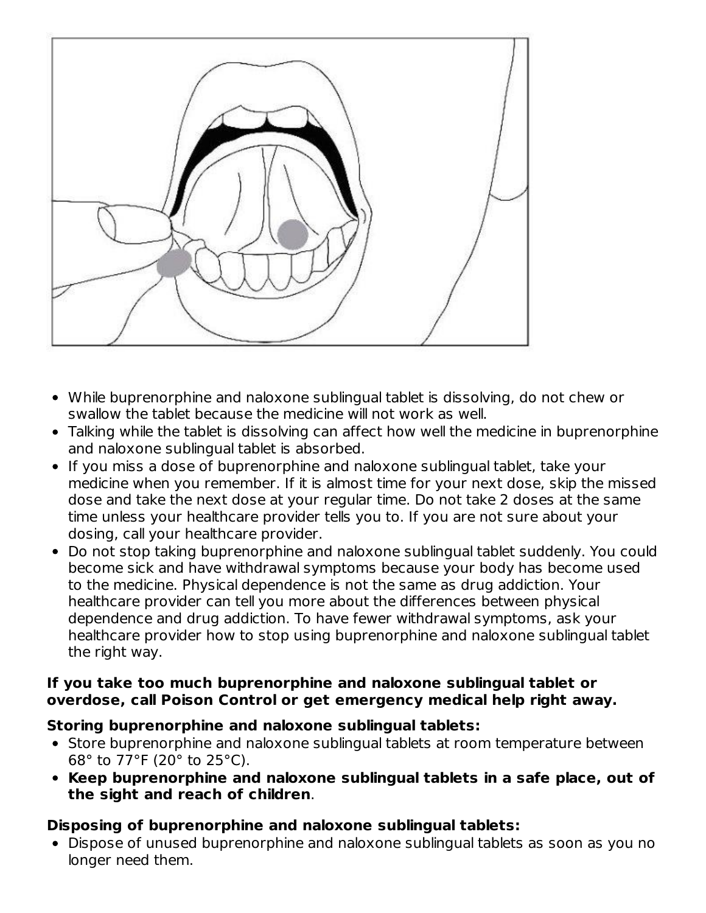

- While buprenorphine and naloxone sublingual tablet is dissolving, do not chew or swallow the tablet because the medicine will not work as well.
- Talking while the tablet is dissolving can affect how well the medicine in buprenorphine and naloxone sublingual tablet is absorbed.
- If you miss a dose of buprenorphine and naloxone sublingual tablet, take your medicine when you remember. If it is almost time for your next dose, skip the missed dose and take the next dose at your regular time. Do not take 2 doses at the same time unless your healthcare provider tells you to. If you are not sure about your dosing, call your healthcare provider.
- Do not stop taking buprenorphine and naloxone sublingual tablet suddenly. You could become sick and have withdrawal symptoms because your body has become used to the medicine. Physical dependence is not the same as drug addiction. Your healthcare provider can tell you more about the differences between physical dependence and drug addiction. To have fewer withdrawal symptoms, ask your healthcare provider how to stop using buprenorphine and naloxone sublingual tablet the right way.

#### **If you take too much buprenorphine and naloxone sublingual tablet or overdose, call Poison Control or get emergency medical help right away.**

### **Storing buprenorphine and naloxone sublingual tablets:**

- Store buprenorphine and naloxone sublingual tablets at room temperature between 68° to 77°F (20° to 25°C).
- **Keep buprenorphine and naloxone sublingual tablets in a safe place, out of the sight and reach of children**.

### **Disposing of buprenorphine and naloxone sublingual tablets:**

Dispose of unused buprenorphine and naloxone sublingual tablets as soon as you no longer need them.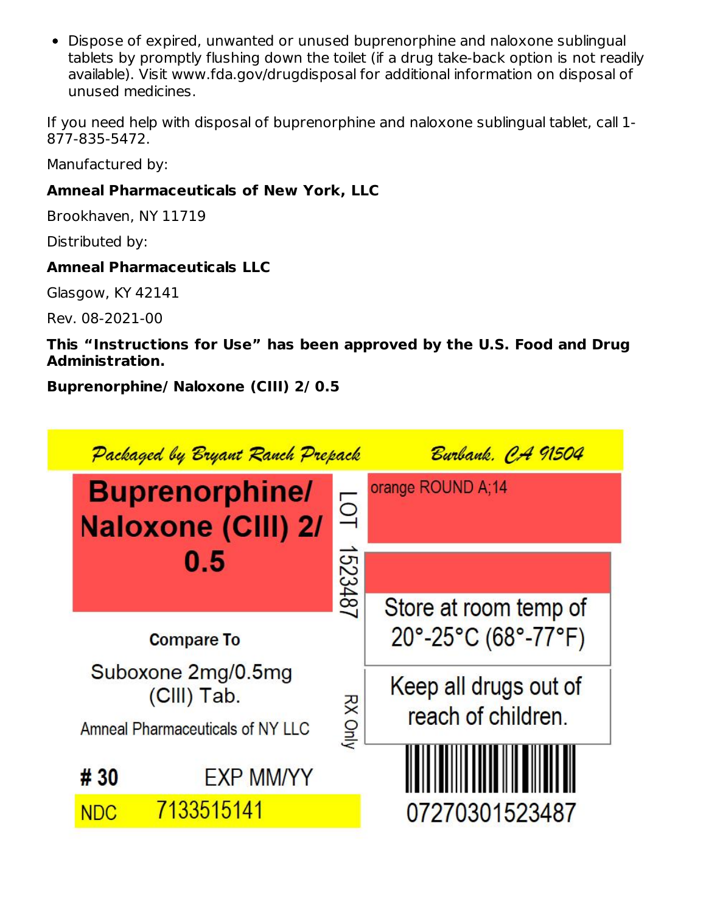Dispose of expired, unwanted or unused buprenorphine and naloxone sublingual tablets by promptly flushing down the toilet (if a drug take‐back option is not readily available). Visit www.fda.gov/drugdisposal for additional information on disposal of unused medicines.

If you need help with disposal of buprenorphine and naloxone sublingual tablet, call 1‐ 877‐835‐5472.

Manufactured by:

### **Amneal Pharmaceuticals of New York, LLC**

Brookhaven, NY 11719

Distributed by:

#### **Amneal Pharmaceuticals LLC**

Glasgow, KY 42141

Rev. 08-2021-00

#### **This "Instructions for Use" has been approved by the U.S. Food and Drug Administration.**

**Buprenorphine/ Naloxone (CIII) 2/ 0.5**

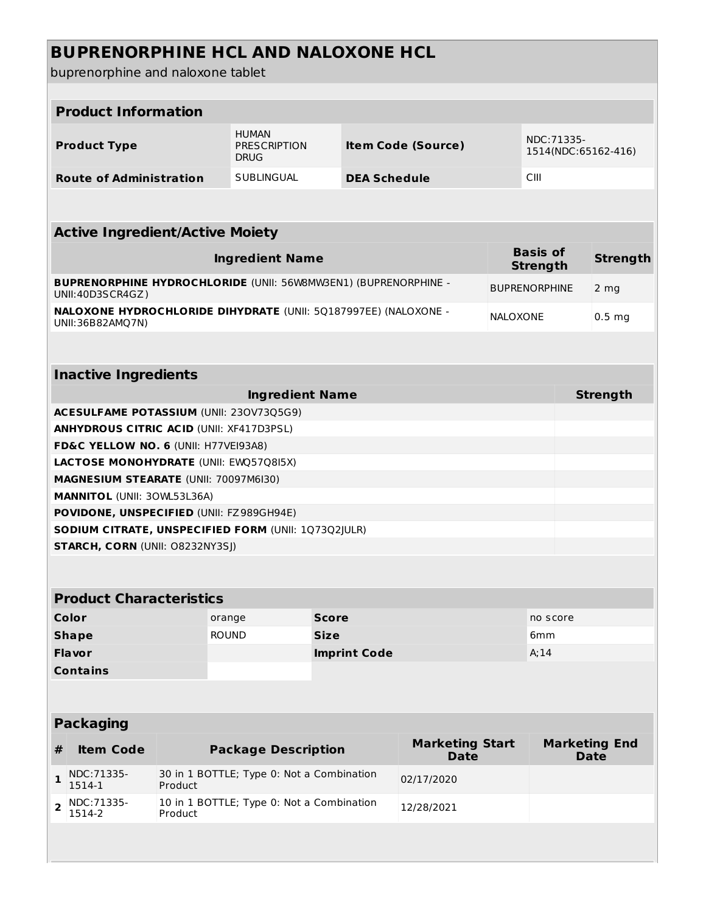| <b>BUPRENORPHINE HCL AND NALOXONE HCL</b><br>buprenorphine and naloxone tablet             |                                                                    |                                                    |                     |  |                                       |                 |                                    |                                     |
|--------------------------------------------------------------------------------------------|--------------------------------------------------------------------|----------------------------------------------------|---------------------|--|---------------------------------------|-----------------|------------------------------------|-------------------------------------|
| <b>Product Information</b>                                                                 |                                                                    |                                                    |                     |  |                                       |                 |                                    |                                     |
|                                                                                            |                                                                    |                                                    |                     |  |                                       |                 |                                    |                                     |
| <b>Product Type</b>                                                                        |                                                                    | <b>HUMAN</b><br><b>PRESCRIPTION</b><br><b>DRUG</b> |                     |  | <b>Item Code (Source)</b>             |                 | NDC: 71335-                        | 1514(NDC:65162-416)                 |
| <b>Route of Administration</b>                                                             |                                                                    | <b>SUBLINGUAL</b>                                  |                     |  | <b>DEA Schedule</b>                   |                 | <b>CIII</b>                        |                                     |
|                                                                                            |                                                                    |                                                    |                     |  |                                       |                 |                                    |                                     |
| <b>Active Ingredient/Active Moiety</b>                                                     |                                                                    |                                                    |                     |  |                                       |                 |                                    |                                     |
|                                                                                            |                                                                    | <b>Ingredient Name</b>                             |                     |  |                                       |                 | <b>Basis of</b><br><b>Strength</b> | <b>Strength</b>                     |
| <b>BUPRENORPHINE HYDROCHLORIDE (UNII: 56W8MW3EN1) (BUPRENORPHINE -</b><br>UNII:40D3SCR4GZ) |                                                                    |                                                    |                     |  |                                       |                 | <b>BUPRENORPHINE</b>               | 2 <sub>mg</sub>                     |
| NALOXONE HYDROCHLORIDE DIHYDRATE (UNII: 5Q187997EE) (NALOXONE -<br>UNII:36B82AMQ7N)        |                                                                    |                                                    |                     |  |                                       | <b>NALOXONE</b> |                                    | $0.5$ mg                            |
|                                                                                            |                                                                    |                                                    |                     |  |                                       |                 |                                    |                                     |
| <b>Inactive Ingredients</b>                                                                |                                                                    |                                                    |                     |  |                                       |                 |                                    |                                     |
|                                                                                            |                                                                    | <b>Ingredient Name</b>                             |                     |  |                                       |                 |                                    | <b>Strength</b>                     |
| ACESULFAME POTASSIUM (UNII: 230V73Q5G9)                                                    |                                                                    |                                                    |                     |  |                                       |                 |                                    |                                     |
| <b>ANHYDROUS CITRIC ACID (UNII: XF417D3PSL)</b>                                            |                                                                    |                                                    |                     |  |                                       |                 |                                    |                                     |
| FD&C YELLOW NO. 6 (UNII: H77VEI93A8)                                                       |                                                                    |                                                    |                     |  |                                       |                 |                                    |                                     |
| LACTOSE MONOHYDRATE (UNII: EWQ57Q8I5X)                                                     |                                                                    |                                                    |                     |  |                                       |                 |                                    |                                     |
| <b>MAGNESIUM STEARATE (UNII: 70097M6I30)</b>                                               |                                                                    |                                                    |                     |  |                                       |                 |                                    |                                     |
| MANNITOL (UNII: 30WL53L36A)                                                                |                                                                    |                                                    |                     |  |                                       |                 |                                    |                                     |
| POVIDONE, UNSPECIFIED (UNII: FZ989GH94E)                                                   |                                                                    |                                                    |                     |  |                                       |                 |                                    |                                     |
| SODIUM CITRATE, UNSPECIFIED FORM (UNII: 1Q73Q2JULR)                                        |                                                                    |                                                    |                     |  |                                       |                 |                                    |                                     |
| <b>STARCH, CORN (UNII: 08232NY3SJ)</b>                                                     |                                                                    |                                                    |                     |  |                                       |                 |                                    |                                     |
|                                                                                            |                                                                    |                                                    |                     |  |                                       |                 |                                    |                                     |
| <b>Product Characteristics</b>                                                             |                                                                    |                                                    |                     |  |                                       |                 |                                    |                                     |
| Color                                                                                      | orange                                                             |                                                    | <b>Score</b>        |  |                                       |                 | no score                           |                                     |
| <b>Shape</b>                                                                               | <b>ROUND</b>                                                       |                                                    | <b>Size</b>         |  |                                       |                 | 6 <sub>mm</sub>                    |                                     |
| <b>Flavor</b>                                                                              |                                                                    |                                                    | <b>Imprint Code</b> |  |                                       |                 | A;14                               |                                     |
| <b>Contains</b>                                                                            |                                                                    |                                                    |                     |  |                                       |                 |                                    |                                     |
|                                                                                            |                                                                    |                                                    |                     |  |                                       |                 |                                    |                                     |
| <b>Packaging</b>                                                                           |                                                                    |                                                    |                     |  |                                       |                 |                                    |                                     |
| <b>Item Code</b><br>#                                                                      |                                                                    | <b>Package Description</b>                         |                     |  | <b>Marketing Start</b><br><b>Date</b> |                 |                                    | <b>Marketing End</b><br><b>Date</b> |
| NDC: 71335-<br>$\mathbf{1}$<br>1514-1                                                      | Product                                                            | 30 in 1 BOTTLE; Type 0: Not a Combination          |                     |  | 02/17/2020                            |                 |                                    |                                     |
| NDC: 71335-<br>$\overline{2}$<br>1514-2                                                    | 10 in 1 BOTTLE; Type 0: Not a Combination<br>12/28/2021<br>Product |                                                    |                     |  |                                       |                 |                                    |                                     |
|                                                                                            |                                                                    |                                                    |                     |  |                                       |                 |                                    |                                     |